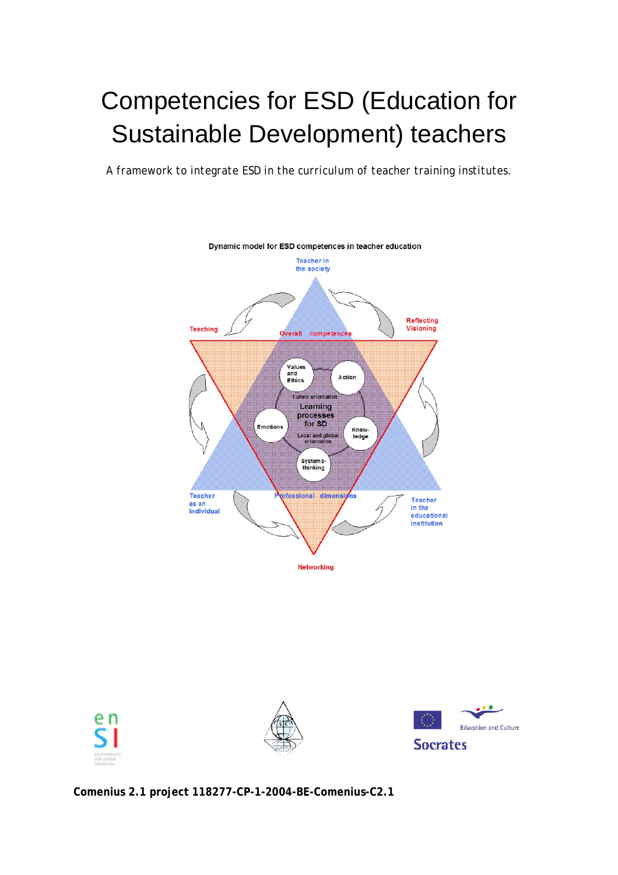# Competencies for ESD (Education for Sustainable Development) teachers

*A framework to integrate ESD in the curriculum of teacher training institutes.* 









**Comenius 2.1 project 118277-CP-1-2004-BE-Comenius-C2.1**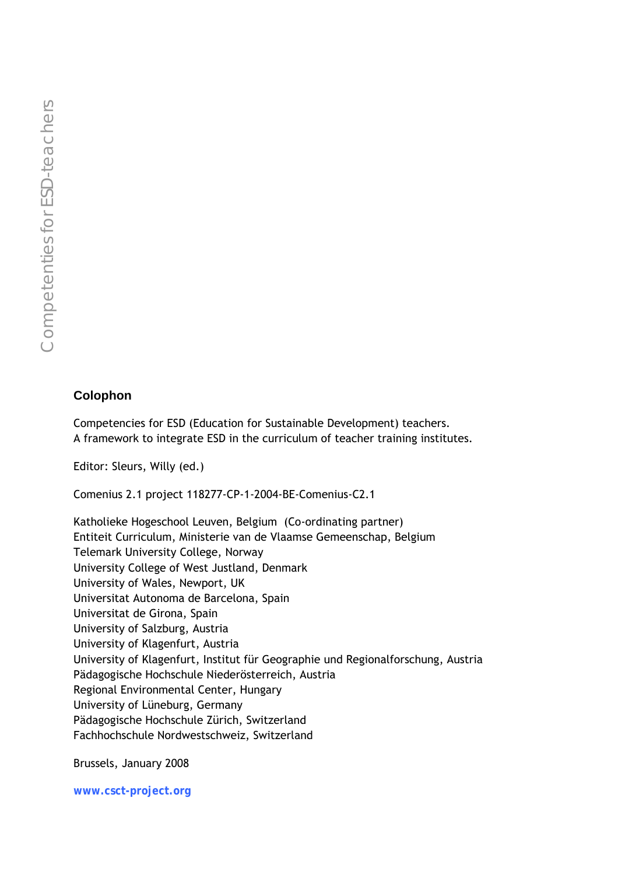#### **Colophon**

Competencies for ESD (Education for Sustainable Development) teachers. A framework to integrate ESD in the curriculum of teacher training institutes.

Editor: Sleurs, Willy (ed.)

Comenius 2.1 project 118277-CP-1-2004-BE-Comenius-C2.1

Katholieke Hogeschool Leuven, Belgium (Co-ordinating partner) Entiteit Curriculum, Ministerie van de Vlaamse Gemeenschap, Belgium Telemark University College, Norway University College of West Justland, Denmark University of Wales, Newport, UK Universitat Autonoma de Barcelona, Spain Universitat de Girona, Spain University of Salzburg, Austria University of Klagenfurt, Austria University of Klagenfurt, Institut für Geographie und Regionalforschung, Austria Pädagogische Hochschule Niederösterreich, Austria Regional Environmental Center, Hungary University of Lüneburg, Germany Pädagogische Hochschule Zürich, Switzerland Fachhochschule Nordwestschweiz, Switzerland

Brussels, January 2008

**www.csct-project.org**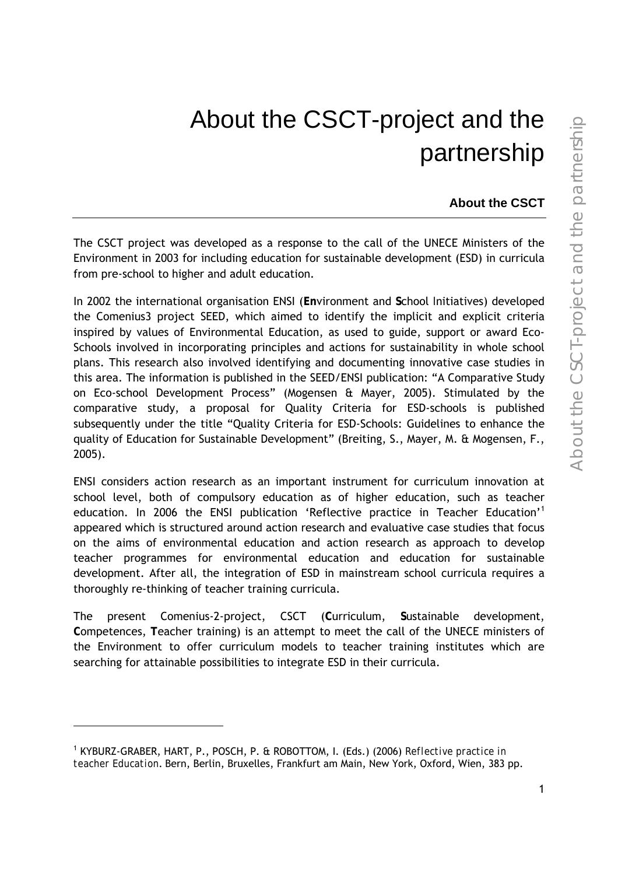# About the CSCT-project and the partnership

**About the CSCT** 

The CSCT project was developed as a response to the call of the UNECE Ministers of the Environment in 2003 for including education for sustainable development (ESD) in curricula from pre-school to higher and adult education.

In 2002 the international organisation ENSI (**En**vironment and **S**chool *I*nitiatives) developed the Comenius3 project SEED, which aimed to identify the implicit and explicit criteria inspired by values of Environmental Education, as used to guide, support or award Eco-Schools involved in incorporating principles and actions for sustainability in whole school plans. This research also involved identifying and documenting innovative case studies in this area. The information is published in the SEED/ENSI publication: "A Comparative Study on Eco-school Development Process" (Mogensen & Mayer, 2005). Stimulated by the comparative study, a proposal for Quality Criteria for ESD-schools is published subsequently under the title "Quality Criteria for ESD-Schools: Guidelines to enhance the quality of Education for Sustainable Development" (Breiting, S., Mayer, M. & Mogensen, F., 2005).

ENSI considers action research as an important instrument for curriculum innovation at school level, both of compulsory education as of higher education, such as teacher education. In 2006 the ENSI publication 'Reflective practice in Teacher Education'<sup>1</sup> appeared which is structured around action research and evaluative case studies that focus on the aims of environmental education and action research as approach to develop teacher programmes for environmental education and education for sustainable development. After all, the integration of ESD in mainstream school curricula requires a thoroughly re-thinking of teacher training curricula.

The present Comenius-2-project, CSCT (**C**urriculum, **S**ustainable development, **C**ompetences, **T**eacher training) is an attempt to meet the call of the UNECE ministers of the Environment to offer curriculum models to teacher training institutes which are searching for attainable possibilities to integrate ESD in their curricula.

-

<sup>&</sup>lt;sup>1</sup> KYBURZ-GRABER, HART, P., POSCH, P. & ROBOTTOM, I. (Eds.) (2006) *Reflective practice in teacher Education*. Bern, Berlin, Bruxelles, Frankfurt am Main, New York, Oxford, Wien, 383 pp.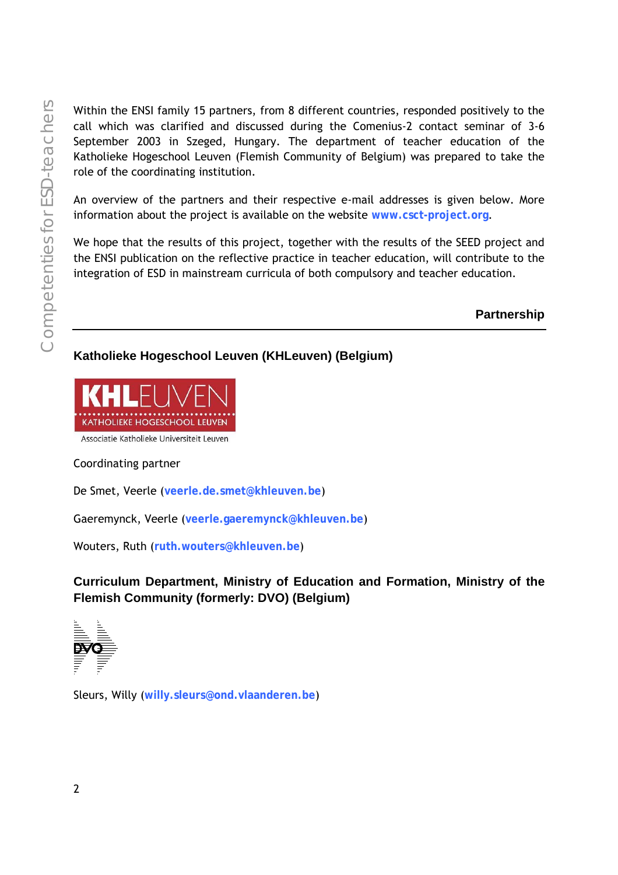Within the ENSI family 15 partners, from 8 different countries, responded positively to the call which was clarified and discussed during the Comenius-2 contact seminar of 3-6 September 2003 in Szeged, Hungary. The department of teacher education of the Katholieke Hogeschool Leuven (Flemish Community of Belgium) was prepared to take the role of the coordinating institution.

An overview of the partners and their respective e-mail addresses is given below. More information about the project is available on the website **www.csct-project.org**.

We hope that the results of this project, together with the results of the SEED project and the ENSI publication on the reflective practice in teacher education, will contribute to the integration of ESD in mainstream curricula of both compulsory and teacher education.

**Partnership** 

#### **Katholieke Hogeschool Leuven (KHLeuven) (Belgium)**



Associatie Katholieke Universiteit Leuven

#### Coordinating partner

De Smet, Veerle (**veerle.de.smet@khleuven.be**)

Gaeremynck, Veerle (**veerle.gaeremynck@khleuven.be**)

Wouters, Ruth (**ruth.wouters@khleuven.be**)

**Curriculum Department, Ministry of Education and Formation, Ministry of the Flemish Community (formerly: DVO) (Belgium)** 



Sleurs, Willy (**willy.sleurs@ond.vlaanderen.be**)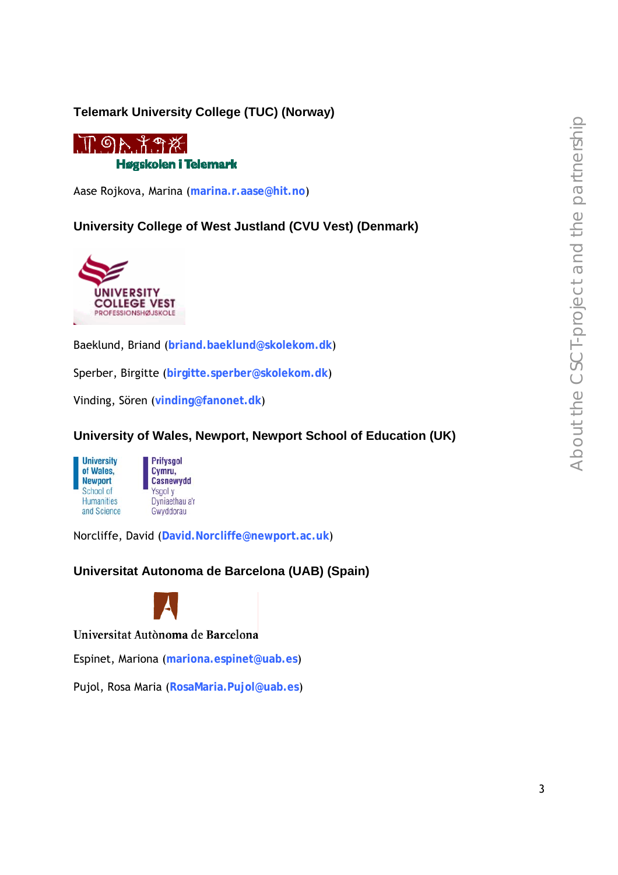#### **Telemark University College (TUC) (Norway)**



Aase Rojkova, Marina (**marina.r.aase@hit.no**)

**University College of West Justland (CVU Vest) (Denmark)** 



Baeklund, Briand (**briand.baeklund@skolekom.dk**)

Sperber, Birgitte (**birgitte.sperber@skolekom.dk**)

Vinding, Sören (**vinding@fanonet.dk**)

**University of Wales, Newport, Newport School of Education (UK)** 





Norcliffe, David (**David.Norcliffe@newport.ac.uk**)

**Universitat Autonoma de Barcelona (UAB) (Spain)** 



Universitat Autònoma de Barcelona

Espinet, Mariona (**mariona.espinet@uab.es**)

Pujol, Rosa Maria (**RosaMaria.Pujol@uab.es**)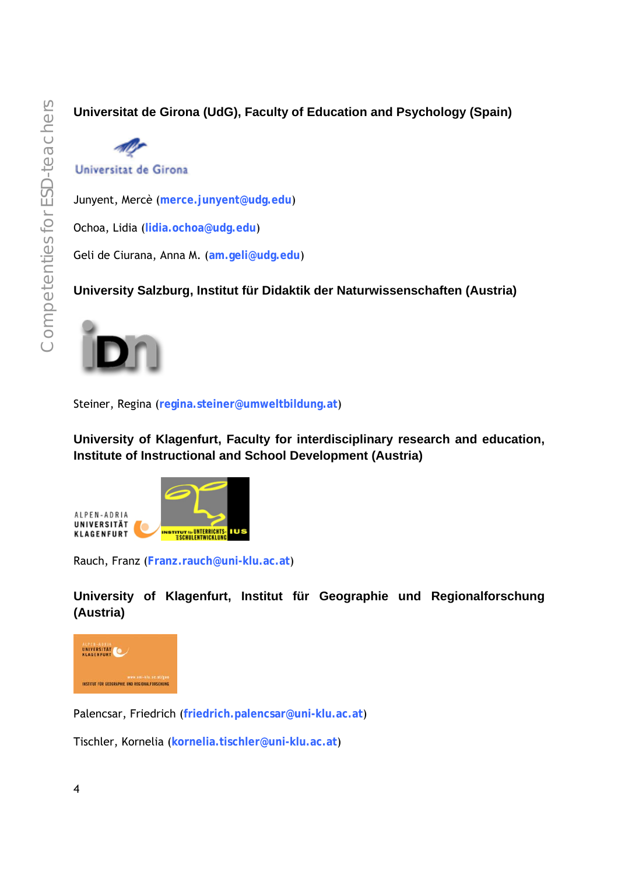**Universitat de Girona (UdG), Faculty of Education and Psychology (Spain)** 



Universitat de Girona

Junyent, Mercè (**merce.junyent@udg.edu**)

Ochoa, Lidia (**lidia.ochoa@udg.edu**)

Geli de Ciurana, Anna M. (**am.geli@udg.edu**)

**University Salzburg, Institut für Didaktik der Naturwissenschaften (Austria)** 



Steiner, Regina (**regina.steiner@umweltbildung.at**)

**University of Klagenfurt, Faculty for interdisciplinary research and education, Institute of Instructional and School Development (Austria)** 



Rauch, Franz (**Franz.rauch@uni-klu.ac.at**)

**University of Klagenfurt, Institut für Geographie und Regionalforschung (Austria)** 



Palencsar, Friedrich (**friedrich.palencsar@uni-klu.ac.at**)

Tischler, Kornelia (**kornelia.tischler@uni-klu.ac.at**)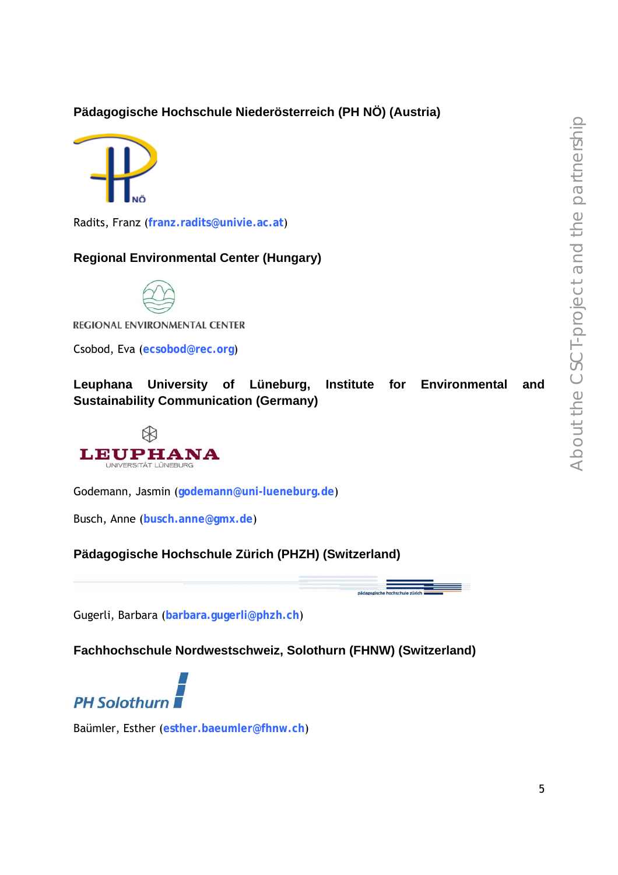#### **Pädagogische Hochschule Niederösterreich (PH NÖ) (Austria)**



Radits, Franz (**franz.radits@univie.ac.at**)

#### **Regional Environmental Center (Hungary)**



REGIONAL ENVIRONMENTAL CENTER

Csobod, Eva (**ecsobod@rec.org**)

**Leuphana University of Lüneburg, Institute for Environmental and Sustainability Communication (Germany)** 



Godemann, Jasmin (**godemann@uni-lueneburg.de**)

Busch, Anne (**busch.anne@gmx.de**)

#### **Pädagogische Hochschule Zürich (PHZH) (Switzerland)**

Gugerli, Barbara (**barbara.gugerli@phzh.ch**)

**Fachhochschule Nordwestschweiz, Solothurn (FHNW) (Switzerland)** 



Baümler, Esther (**esther.baeumler@fhnw.ch**)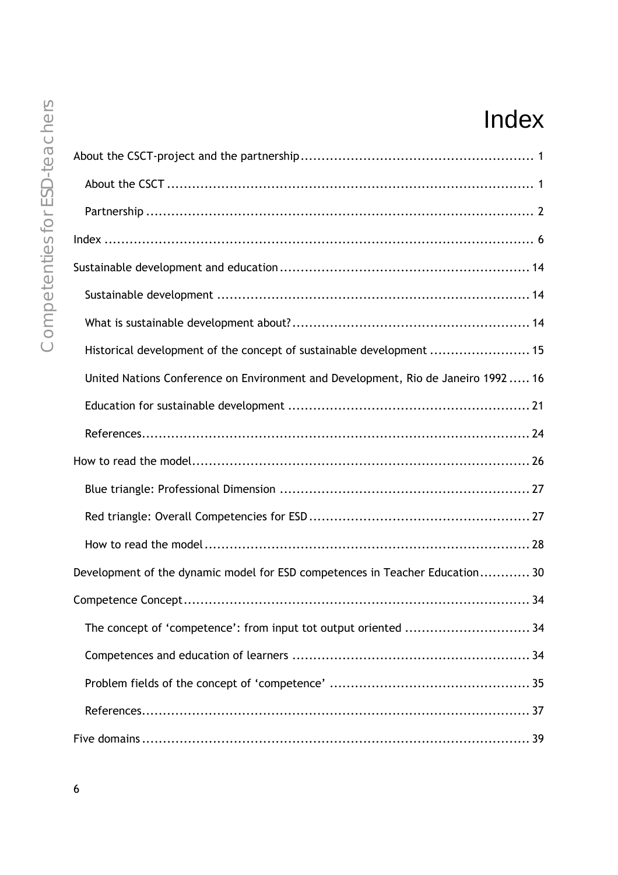## Index

| chei  |             |
|-------|-------------|
|       | About the C |
| Ġ     | About the   |
| ŏ     | Partnersh   |
| C     | Index       |
| i     | Sustainable |
| peter | Sustainab   |
|       | What is so  |
|       | Historical  |
|       | United Na   |
|       |             |

| Historical development of the concept of sustainable development  15             |
|----------------------------------------------------------------------------------|
| United Nations Conference on Environment and Development, Rio de Janeiro 1992 16 |
|                                                                                  |
|                                                                                  |
|                                                                                  |
|                                                                                  |
|                                                                                  |
|                                                                                  |
| Development of the dynamic model for ESD competences in Teacher Education 30     |
|                                                                                  |
| The concept of 'competence': from input tot output oriented  34                  |
|                                                                                  |
|                                                                                  |
|                                                                                  |
|                                                                                  |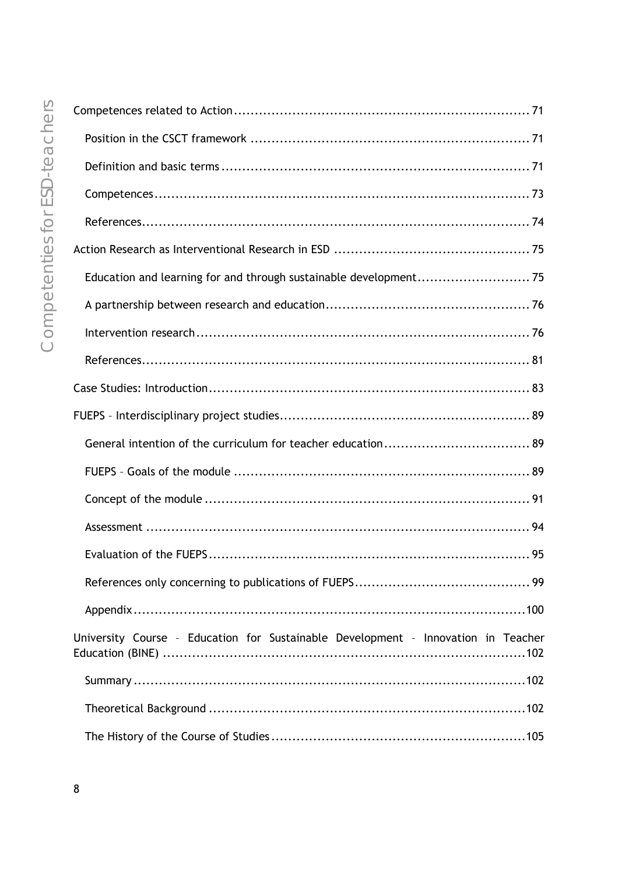| University Course - Education for Sustainable Development - Innovation in Teacher |
|-----------------------------------------------------------------------------------|
|                                                                                   |
|                                                                                   |
|                                                                                   |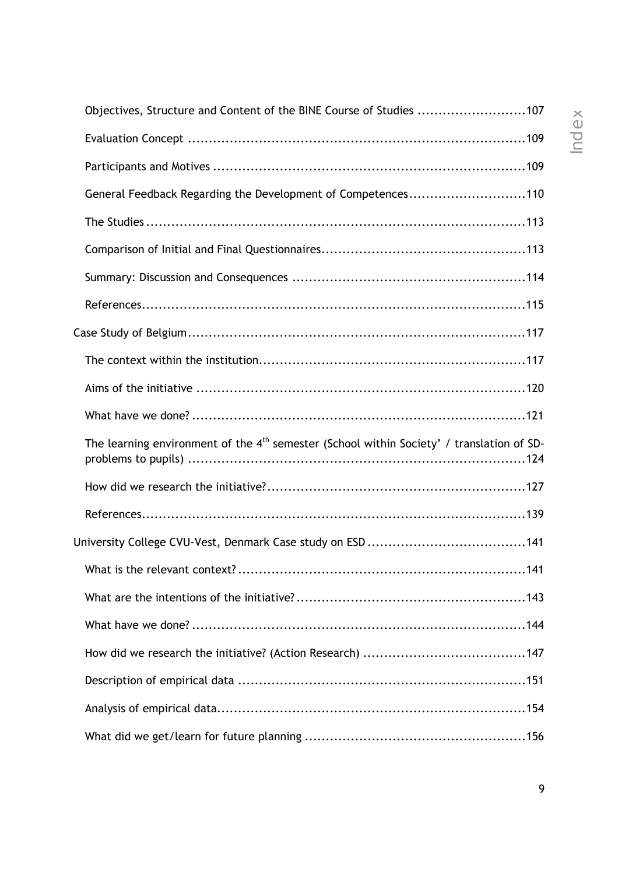| Objectives, Structure and Content of the BINE Course of Studies 107                         |  |
|---------------------------------------------------------------------------------------------|--|
|                                                                                             |  |
|                                                                                             |  |
| General Feedback Regarding the Development of Competences110                                |  |
|                                                                                             |  |
|                                                                                             |  |
|                                                                                             |  |
|                                                                                             |  |
|                                                                                             |  |
|                                                                                             |  |
|                                                                                             |  |
|                                                                                             |  |
| The learning environment of the $4th$ semester (School within Society' / translation of SD- |  |
|                                                                                             |  |
|                                                                                             |  |
|                                                                                             |  |
|                                                                                             |  |
|                                                                                             |  |
|                                                                                             |  |
|                                                                                             |  |
|                                                                                             |  |
|                                                                                             |  |
|                                                                                             |  |
|                                                                                             |  |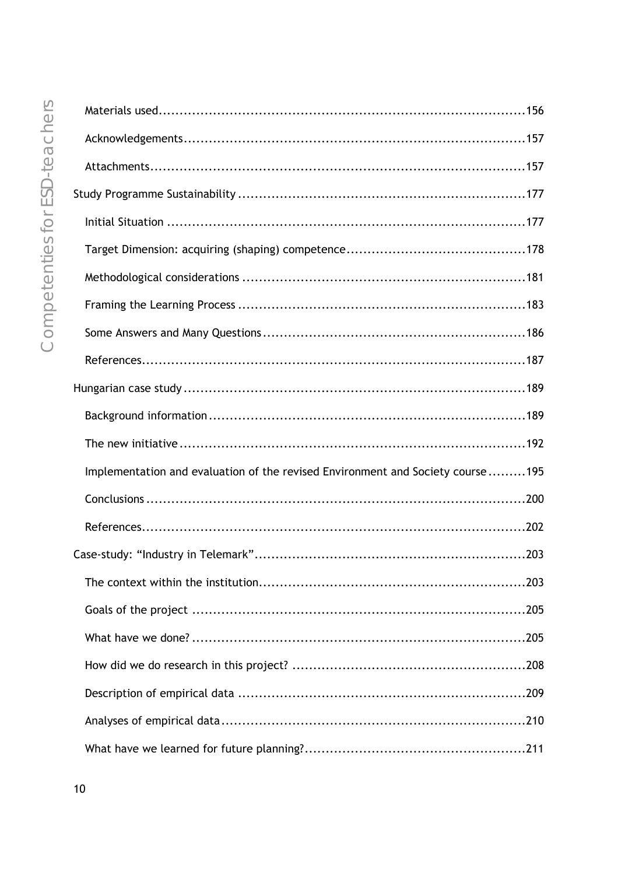| Implementation and evaluation of the revised Environment and Society course195 |  |
|--------------------------------------------------------------------------------|--|
|                                                                                |  |
|                                                                                |  |
|                                                                                |  |
|                                                                                |  |
|                                                                                |  |
|                                                                                |  |
|                                                                                |  |
|                                                                                |  |
|                                                                                |  |
|                                                                                |  |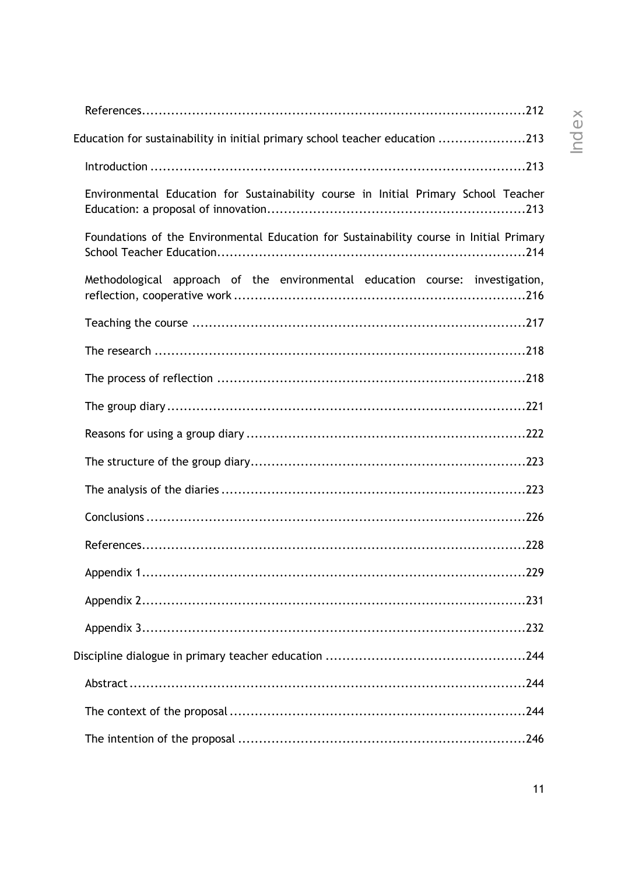| Education for sustainability in initial primary school teacher education 213            |
|-----------------------------------------------------------------------------------------|
|                                                                                         |
| Environmental Education for Sustainability course in Initial Primary School Teacher     |
| Foundations of the Environmental Education for Sustainability course in Initial Primary |
| Methodological approach of the environmental education course: investigation,           |
|                                                                                         |
|                                                                                         |
|                                                                                         |
|                                                                                         |
|                                                                                         |
|                                                                                         |
|                                                                                         |
|                                                                                         |
|                                                                                         |
|                                                                                         |
|                                                                                         |
|                                                                                         |
|                                                                                         |
|                                                                                         |
|                                                                                         |
|                                                                                         |

### Inde  $~\times$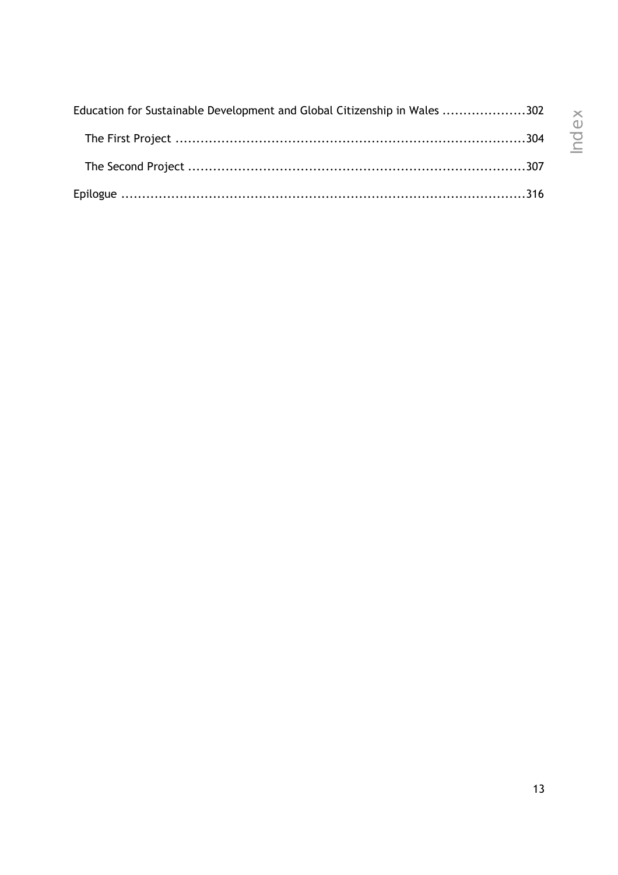| Education for Sustainable Development and Global Citizenship in Wales 302 |
|---------------------------------------------------------------------------|
|                                                                           |
|                                                                           |
|                                                                           |

Nolex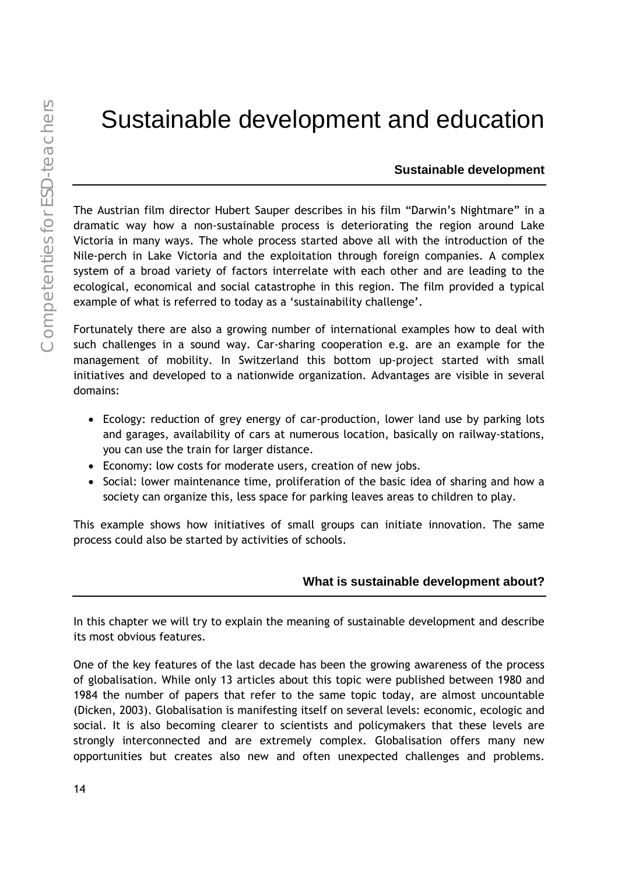### Sustainable development and education

#### **Sustainable development**

The Austrian film director Hubert Sauper describes in his film "Darwin's Nightmare" in a dramatic way how a non-sustainable process is deteriorating the region around Lake Victoria in many ways. The whole process started above all with the introduction of the Nile-perch in Lake Victoria and the exploitation through foreign companies. A complex system of a broad variety of factors interrelate with each other and are leading to the ecological, economical and social catastrophe in this region. The film provided a typical example of what is referred to today as a 'sustainability challenge'.

Fortunately there are also a growing number of international examples how to deal with such challenges in a sound way. Car-sharing cooperation e.g. are an example for the management of mobility. In Switzerland this bottom up-project started with small initiatives and developed to a nationwide organization. Advantages are visible in several domains:

- Ecology: reduction of grey energy of car-production, lower land use by parking lots and garages, availability of cars at numerous location, basically on railway-stations, you can use the train for larger distance.
- Economy: low costs for moderate users, creation of new jobs.
- Social: lower maintenance time, proliferation of the basic idea of sharing and how a society can organize this, less space for parking leaves areas to children to play.

This example shows how initiatives of small groups can initiate innovation. The same process could also be started by activities of schools.

#### **What is sustainable development about?**

In this chapter we will try to explain the meaning of sustainable development and describe its most obvious features.

One of the key features of the last decade has been the growing awareness of the process of globalisation. While only 13 articles about this topic were published between 1980 and 1984 the number of papers that refer to the same topic today, are almost uncountable (Dicken, 2003). Globalisation is manifesting itself on several levels: economic, ecologic and social. It is also becoming clearer to scientists and policymakers that these levels are strongly interconnected and are extremely complex. Globalisation offers many new opportunities but creates also new and often unexpected challenges and problems.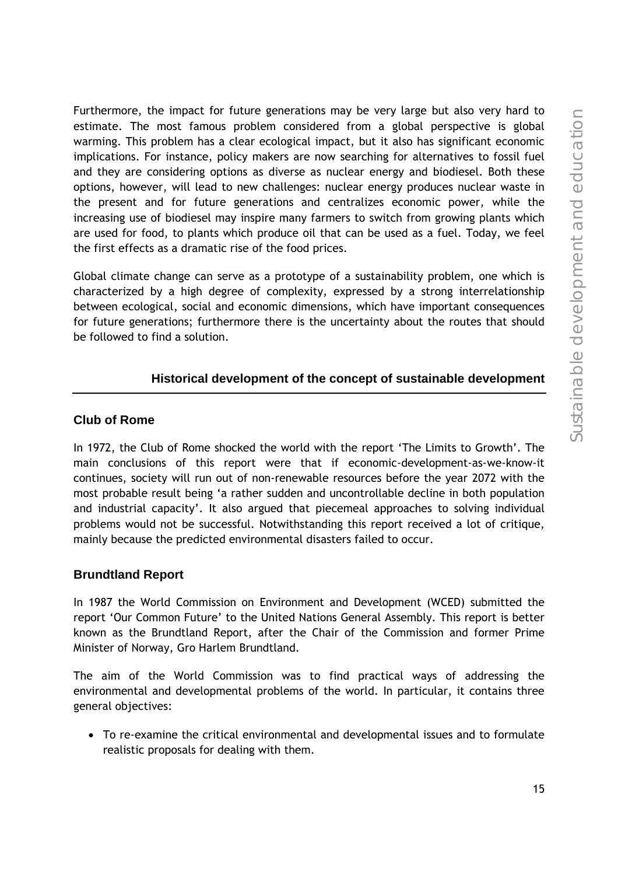Furthermore, the impact for future generations may be very large but also very hard to estimate. The most famous problem considered from a global perspective is global warming. This problem has a clear ecological impact, but it also has significant economic implications. For instance, policy makers are now searching for alternatives to fossil fuel and they are considering options as diverse as nuclear energy and biodiesel. Both these options, however, will lead to new challenges: nuclear energy produces nuclear waste in the present and for future generations and centralizes economic power, while the increasing use of biodiesel may inspire many farmers to switch from growing plants which are used for food, to plants which produce oil that can be used as a fuel. Today, we feel the first effects as a dramatic rise of the food prices.

Global climate change can serve as a prototype of a sustainability problem, one which is characterized by a high degree of complexity, expressed by a strong interrelationship between ecological, social and economic dimensions, which have important consequences for future generations; furthermore there is the uncertainty about the routes that should be followed to find a solution.

#### **Historical development of the concept of sustainable development**

#### **Club of Rome**

In 1972, the Club of Rome shocked the world with the report 'The Limits to Growth'. The main conclusions of this report were that if economic-development-as-we-know-it continues, society will run out of non-renewable resources before the year 2072 with the most probable result being 'a rather sudden and uncontrollable decline in both population and industrial capacity'. It also argued that piecemeal approaches to solving individual problems would not be successful. Notwithstanding this report received a lot of critique, mainly because the predicted environmental disasters failed to occur.

#### **Brundtland Report**

In 1987 the World Commission on Environment and Development (WCED) submitted the report 'Our Common Future' to the United Nations General Assembly. This report is better known as the Brundtland Report, after the Chair of the Commission and former Prime Minister of Norway, Gro Harlem Brundtland.

The aim of the World Commission was to find practical ways of addressing the environmental and developmental problems of the world. In particular, it contains three general objectives:

• To re-examine the critical environmental and developmental issues and to formulate realistic proposals for dealing with them.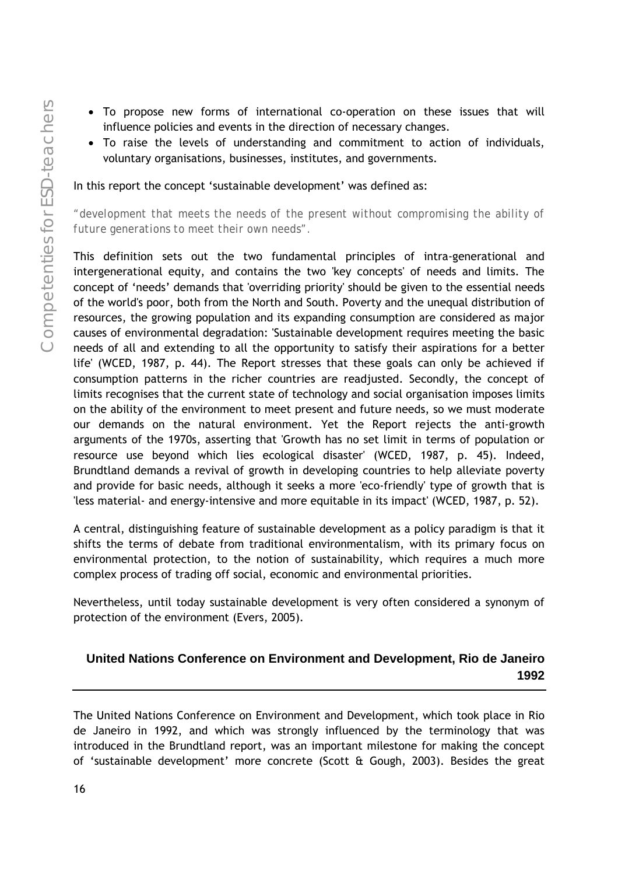- To propose new forms of international co-operation on these issues that will influence policies and events in the direction of necessary changes.
- To raise the levels of understanding and commitment to action of individuals, voluntary organisations, businesses, institutes, and governments.

In this report the concept 'sustainable development' was defined as:

*"development that meets the needs of the present without compromising the ability of future generations to meet their own needs".* 

This definition sets out the two fundamental principles of intra-generational and intergenerational equity, and contains the two 'key concepts' of needs and limits. The concept of 'needs' demands that 'overriding priority' should be given to the essential needs of the world's poor, both from the North and South. Poverty and the unequal distribution of resources, the growing population and its expanding consumption are considered as major causes of environmental degradation: 'Sustainable development requires meeting the basic needs of all and extending to all the opportunity to satisfy their aspirations for a better life' (WCED, 1987, p. 44). The Report stresses that these goals can only be achieved if consumption patterns in the richer countries are readjusted. Secondly, the concept of limits recognises that the current state of technology and social organisation imposes limits on the ability of the environment to meet present and future needs, so we must moderate our demands on the natural environment. Yet the Report rejects the anti-growth arguments of the 1970s, asserting that 'Growth has no set limit in terms of population or resource use beyond which lies ecological disaster' (WCED, 1987, p. 45). Indeed, Brundtland demands a revival of growth in developing countries to help alleviate poverty and provide for basic needs, although it seeks a more 'eco-friendly' type of growth that is 'less material- and energy-intensive and more equitable in its impact' (WCED, 1987, p. 52).

A central, distinguishing feature of sustainable development as a policy paradigm is that it shifts the terms of debate from traditional environmentalism, with its primary focus on environmental protection, to the notion of sustainability, which requires a much more complex process of trading off social, economic and environmental priorities.

Nevertheless, until today sustainable development is very often considered a synonym of protection of the environment (Evers, 2005).

#### **United Nations Conference on Environment and Development, Rio de Janeiro 1992**

The United Nations Conference on Environment and Development, which took place in Rio de Janeiro in 1992, and which was strongly influenced by the terminology that was introduced in the Brundtland report, was an important milestone for making the concept of 'sustainable development' more concrete (Scott & Gough, 2003). Besides the great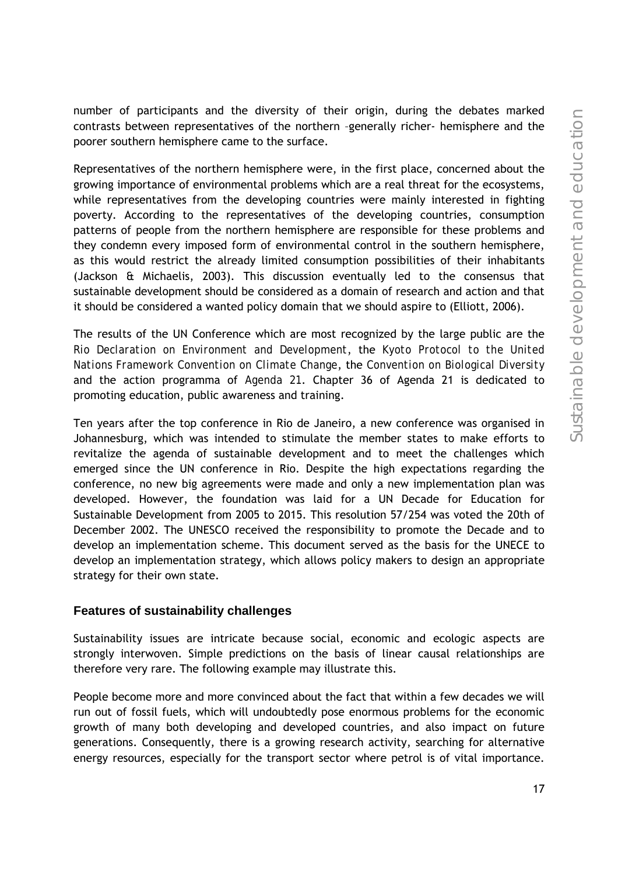number of participants and the diversity of their origin, during the debates marked contrasts between representatives of the northern –generally richer- hemisphere and the poorer southern hemisphere came to the surface.

Representatives of the northern hemisphere were, in the first place, concerned about the growing importance of environmental problems which are a real threat for the ecosystems, while representatives from the developing countries were mainly interested in fighting poverty. According to the representatives of the developing countries, consumption patterns of people from the northern hemisphere are responsible for these problems and they condemn every imposed form of environmental control in the southern hemisphere, as this would restrict the already limited consumption possibilities of their inhabitants (Jackson & Michaelis, 2003). This discussion eventually led to the consensus that sustainable development should be considered as a domain of research and action and that it should be considered a wanted policy domain that we should aspire to (Elliott, 2006).

The results of the UN Conference which are most recognized by the large public are the *Rio Declaration on Environment and Development*, the *Kyoto Protocol to the United Nations Framework Convention on Climate Change*, the *Convention on Biological Diversity* and the action programma of *Agenda 21*. Chapter 36 of Agenda 21 is dedicated to promoting education, public awareness and training.

Ten years after the top conference in Rio de Janeiro, a new conference was organised in Johannesburg, which was intended to stimulate the member states to make efforts to revitalize the agenda of sustainable development and to meet the challenges which emerged since the UN conference in Rio. Despite the high expectations regarding the conference, no new big agreements were made and only a new implementation plan was developed. However, the foundation was laid for a UN Decade for Education for Sustainable Development from 2005 to 2015. This resolution 57/254 was voted the 20th of December 2002. The UNESCO received the responsibility to promote the Decade and to develop an implementation scheme. This document served as the basis for the UNECE to develop an implementation strategy, which allows policy makers to design an appropriate strategy for their own state.

#### **Features of sustainability challenges**

Sustainability issues are intricate because social, economic and ecologic aspects are strongly interwoven. Simple predictions on the basis of linear causal relationships are therefore very rare. The following example may illustrate this.

People become more and more convinced about the fact that within a few decades we will run out of fossil fuels, which will undoubtedly pose enormous problems for the economic growth of many both developing and developed countries, and also impact on future generations. Consequently, there is a growing research activity, searching for alternative energy resources, especially for the transport sector where petrol is of vital importance.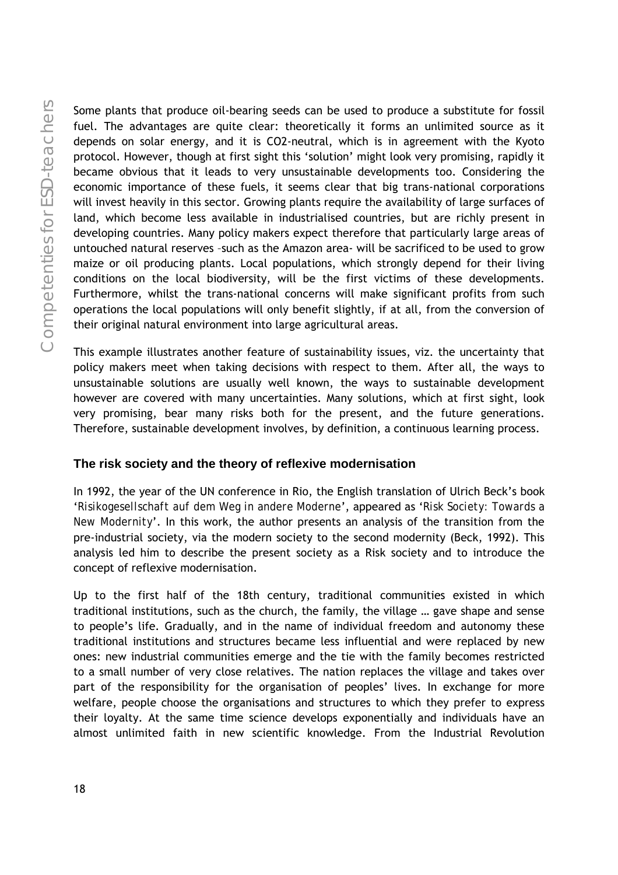Some plants that produce oil-bearing seeds can be used to produce a substitute for fossil fuel. The advantages are quite clear: theoretically it forms an unlimited source as it depends on solar energy, and it is CO2-neutral, which is in agreement with the Kyoto protocol. However, though at first sight this 'solution' might look very promising, rapidly it became obvious that it leads to very unsustainable developments too. Considering the economic importance of these fuels, it seems clear that big trans-national corporations will invest heavily in this sector. Growing plants require the availability of large surfaces of land, which become less available in industrialised countries, but are richly present in developing countries. Many policy makers expect therefore that particularly large areas of untouched natural reserves –such as the Amazon area- will be sacrificed to be used to grow maize or oil producing plants. Local populations, which strongly depend for their living conditions on the local biodiversity, will be the first victims of these developments. Furthermore, whilst the trans-national concerns will make significant profits from such operations the local populations will only benefit slightly, if at all, from the conversion of their original natural environment into large agricultural areas.

This example illustrates another feature of sustainability issues, viz. the uncertainty that policy makers meet when taking decisions with respect to them. After all, the ways to unsustainable solutions are usually well known, the ways to sustainable development however are covered with many uncertainties. Many solutions, which at first sight, look very promising, bear many risks both for the present, and the future generations. Therefore, sustainable development involves, by definition, a continuous learning process.

#### **The risk society and the theory of reflexive modernisation**

In 1992, the year of the UN conference in Rio, the English translation of Ulrich Beck's book '*Risikogesellschaft auf dem Weg in andere Moderne*', appeared as '*Risk Society: Towards a New Modernity*'. In this work, the author presents an analysis of the transition from the pre-industrial society, via the modern society to the second modernity (Beck, 1992). This analysis led him to describe the present society as a Risk society and to introduce the concept of reflexive modernisation.

Up to the first half of the 18th century, traditional communities existed in which traditional institutions, such as the church, the family, the village … gave shape and sense to people's life. Gradually, and in the name of individual freedom and autonomy these traditional institutions and structures became less influential and were replaced by new ones: new industrial communities emerge and the tie with the family becomes restricted to a small number of very close relatives. The nation replaces the village and takes over part of the responsibility for the organisation of peoples' lives. In exchange for more welfare, people choose the organisations and structures to which they prefer to express their loyalty. At the same time science develops exponentially and individuals have an almost unlimited faith in new scientific knowledge. From the Industrial Revolution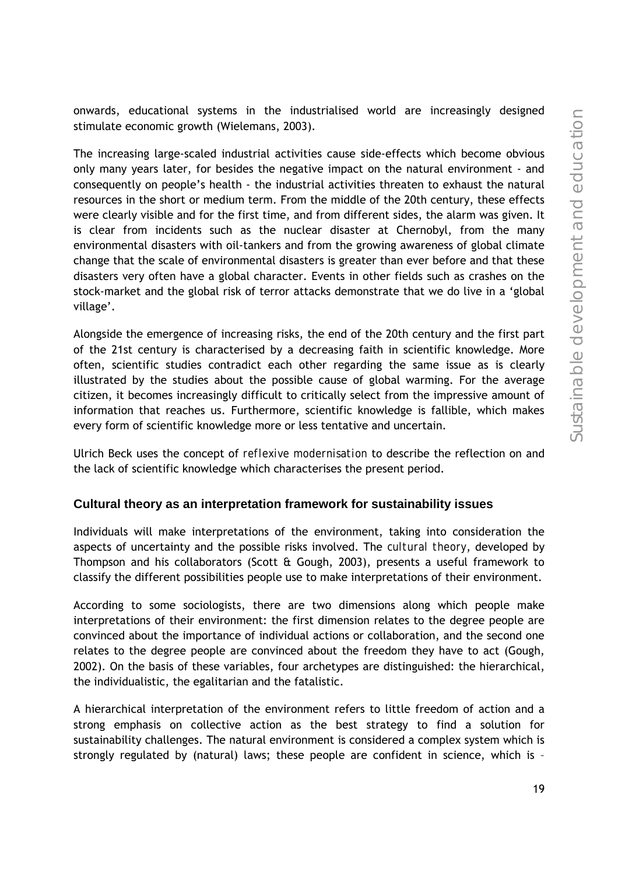onwards, educational systems in the industrialised world are increasingly designed stimulate economic growth (Wielemans, 2003).

The increasing large-scaled industrial activities cause side-effects which become obvious only many years later, for besides the negative impact on the natural environment - and consequently on people's health - the industrial activities threaten to exhaust the natural resources in the short or medium term. From the middle of the 20th century, these effects were clearly visible and for the first time, and from different sides, the alarm was given. It is clear from incidents such as the nuclear disaster at Chernobyl, from the many environmental disasters with oil-tankers and from the growing awareness of global climate change that the scale of environmental disasters is greater than ever before and that these disasters very often have a global character. Events in other fields such as crashes on the stock-market and the global risk of terror attacks demonstrate that we do live in a 'global village'.

Alongside the emergence of increasing risks, the end of the 20th century and the first part of the 21st century is characterised by a decreasing faith in scientific knowledge. More often, scientific studies contradict each other regarding the same issue as is clearly illustrated by the studies about the possible cause of global warming. For the average citizen, it becomes increasingly difficult to critically select from the impressive amount of information that reaches us. Furthermore, scientific knowledge is fallible, which makes every form of scientific knowledge more or less tentative and uncertain.

Ulrich Beck uses the concept of *reflexive modernisation* to describe the reflection on and the lack of scientific knowledge which characterises the present period.

#### **Cultural theory as an interpretation framework for sustainability issues**

Individuals will make interpretations of the environment, taking into consideration the aspects of uncertainty and the possible risks involved. The *cultural theory*, developed by Thompson and his collaborators (Scott & Gough, 2003), presents a useful framework to classify the different possibilities people use to make interpretations of their environment.

According to some sociologists, there are two dimensions along which people make interpretations of their environment: the first dimension relates to the degree people are convinced about the importance of individual actions or collaboration, and the second one relates to the degree people are convinced about the freedom they have to act (Gough, 2002). On the basis of these variables, four archetypes are distinguished: the hierarchical, the individualistic, the egalitarian and the fatalistic.

A hierarchical interpretation of the environment refers to little freedom of action and a strong emphasis on collective action as the best strategy to find a solution for sustainability challenges. The natural environment is considered a complex system which is strongly regulated by (natural) laws; these people are confident in science, which is –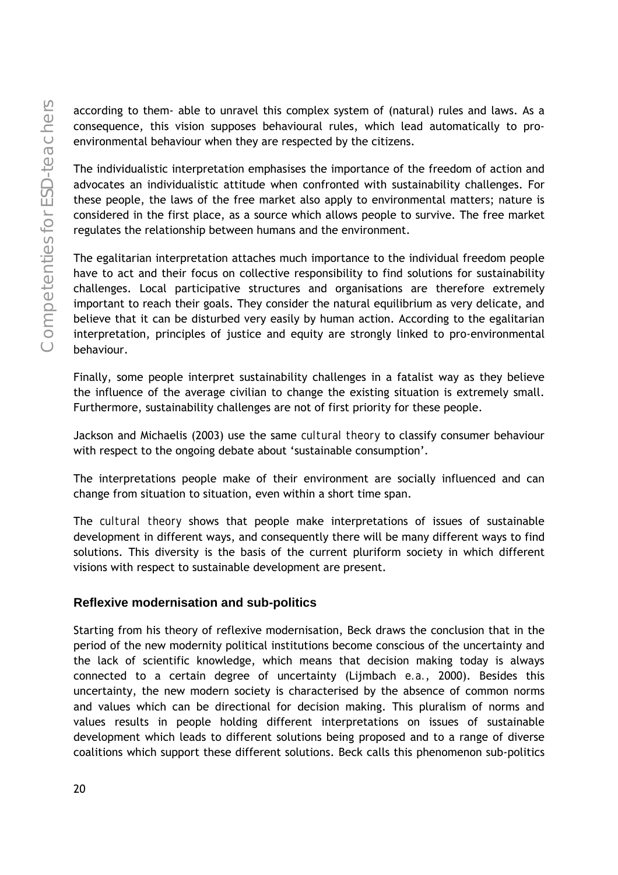according to them- able to unravel this complex system of (natural) rules and laws. As a consequence, this vision supposes behavioural rules, which lead automatically to proenvironmental behaviour when they are respected by the citizens.

The individualistic interpretation emphasises the importance of the freedom of action and advocates an individualistic attitude when confronted with sustainability challenges. For these people, the laws of the free market also apply to environmental matters; nature is considered in the first place, as a source which allows people to survive. The free market regulates the relationship between humans and the environment.

The egalitarian interpretation attaches much importance to the individual freedom people have to act and their focus on collective responsibility to find solutions for sustainability challenges. Local participative structures and organisations are therefore extremely important to reach their goals. They consider the natural equilibrium as very delicate, and believe that it can be disturbed very easily by human action. According to the egalitarian interpretation, principles of justice and equity are strongly linked to pro-environmental behaviour.

Finally, some people interpret sustainability challenges in a fatalist way as they believe the influence of the average civilian to change the existing situation is extremely small. Furthermore, sustainability challenges are not of first priority for these people.

Jackson and Michaelis (2003) use the same *cultural theory* to classify consumer behaviour with respect to the ongoing debate about 'sustainable consumption'.

The interpretations people make of their environment are socially influenced and can change from situation to situation, even within a short time span.

The *cultural theory* shows that people make interpretations of issues of sustainable development in different ways, and consequently there will be many different ways to find solutions. This diversity is the basis of the current pluriform society in which different visions with respect to sustainable development are present.

#### **Reflexive modernisation and sub-politics**

Starting from his theory of reflexive modernisation, Beck draws the conclusion that in the period of the new modernity political institutions become conscious of the uncertainty and the lack of scientific knowledge, which means that decision making today is always connected to a certain degree of uncertainty (Lijmbach *e.a.*, 2000). Besides this uncertainty, the new modern society is characterised by the absence of common norms and values which can be directional for decision making. This pluralism of norms and values results in people holding different interpretations on issues of sustainable development which leads to different solutions being proposed and to a range of diverse coalitions which support these different solutions. Beck calls this phenomenon sub-politics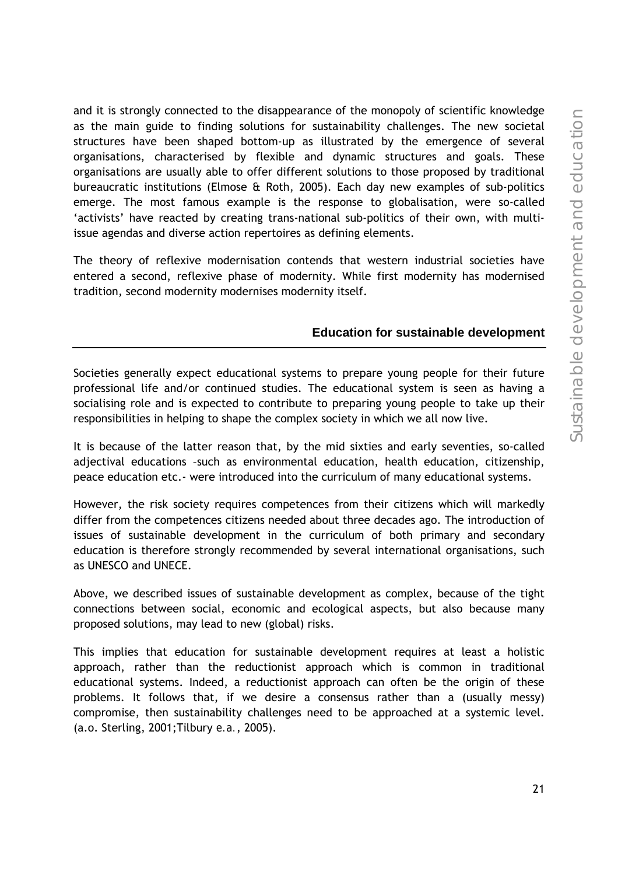and it is strongly connected to the disappearance of the monopoly of scientific knowledge as the main guide to finding solutions for sustainability challenges. The new societal structures have been shaped bottom-up as illustrated by the emergence of several organisations, characterised by flexible and dynamic structures and goals. These organisations are usually able to offer different solutions to those proposed by traditional bureaucratic institutions (Elmose & Roth, 2005). Each day new examples of sub-politics emerge. The most famous example is the response to globalisation, were so-called 'activists' have reacted by creating trans-national sub-politics of their own, with multiissue agendas and diverse action repertoires as defining elements.

The theory of reflexive modernisation contends that western industrial societies have entered a second, reflexive phase of modernity. While first modernity has modernised tradition, second modernity modernises modernity itself.

#### **Education for sustainable development**

Societies generally expect educational systems to prepare young people for their future professional life and/or continued studies. The educational system is seen as having a socialising role and is expected to contribute to preparing young people to take up their responsibilities in helping to shape the complex society in which we all now live.

It is because of the latter reason that, by the mid sixties and early seventies, so-called adjectival educations –such as environmental education, health education, citizenship, peace education etc.- were introduced into the curriculum of many educational systems.

However, the risk society requires competences from their citizens which will markedly differ from the competences citizens needed about three decades ago. The introduction of issues of sustainable development in the curriculum of both primary and secondary education is therefore strongly recommended by several international organisations, such as UNESCO and UNECE.

Above, we described issues of sustainable development as complex, because of the tight connections between social, economic and ecological aspects, but also because many proposed solutions, may lead to new (global) risks.

This implies that education for sustainable development requires at least a holistic approach, rather than the reductionist approach which is common in traditional educational systems. Indeed, a reductionist approach can often be the origin of these problems. It follows that, if we desire a consensus rather than a (usually messy) compromise, then sustainability challenges need to be approached at a systemic level. (a.o. Sterling, 2001;Tilbury *e.a.*, 2005).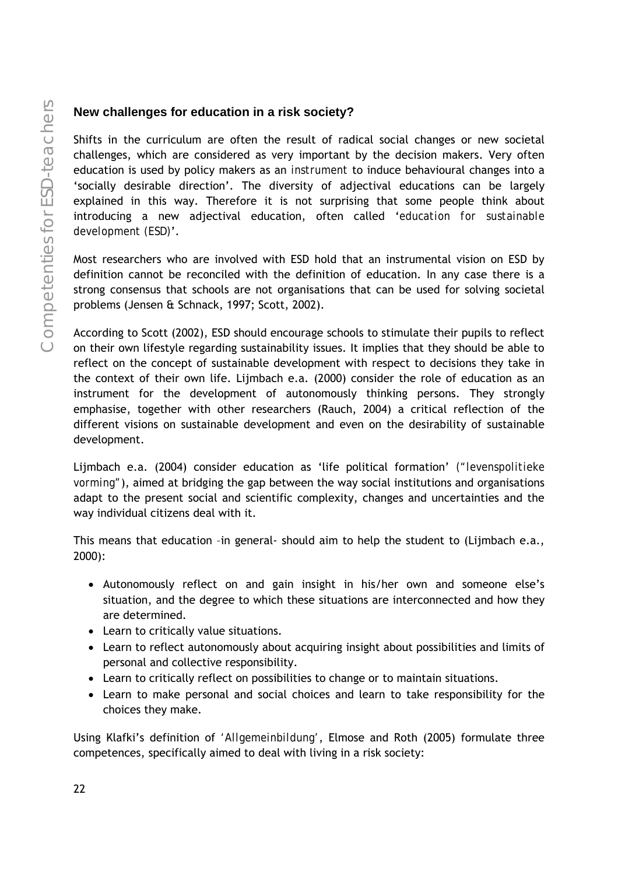#### **New challenges for education in a risk society?**

Shifts in the curriculum are often the result of radical social changes or new societal challenges, which are considered as very important by the decision makers. Very often education is used by policy makers as an *instrument* to induce behavioural changes into a 'socially desirable direction'. The diversity of adjectival educations can be largely explained in this way. Therefore it is not surprising that some people think about introducing a new adjectival education, often called '*education for sustainable development (ESD)*'.

Most researchers who are involved with ESD hold that an instrumental vision on ESD by definition cannot be reconciled with the definition of education. In any case there is a strong consensus that schools are not organisations that can be used for solving societal problems (Jensen & Schnack, 1997; Scott, 2002).

According to Scott (2002), ESD should encourage schools to stimulate their pupils to reflect on their own lifestyle regarding sustainability issues. It implies that they should be able to reflect on the concept of sustainable development with respect to decisions they take in the context of their own life. Lijmbach e.a. (2000) consider the role of education as an instrument for the development of autonomously thinking persons. They strongly emphasise, together with other researchers (Rauch, 2004) a critical reflection of the different visions on sustainable development and even on the desirability of sustainable development.

Lijmbach e.a. (2004) consider education as 'life political formation' *("levenspolitieke vorming"*), aimed at bridging the gap between the way social institutions and organisations adapt to the present social and scientific complexity, changes and uncertainties and the way individual citizens deal with it.

This means that education –in general- should aim to help the student to (Lijmbach e.a., 2000):

- Autonomously reflect on and gain insight in his/her own and someone else's situation, and the degree to which these situations are interconnected and how they are determined.
- Learn to critically value situations.
- Learn to reflect autonomously about acquiring insight about possibilities and limits of personal and collective responsibility.
- Learn to critically reflect on possibilities to change or to maintain situations.
- Learn to make personal and social choices and learn to take responsibility for the choices they make.

Using Klafki's definition of *'Allgemeinbildung'*, Elmose and Roth (2005) formulate three competences, specifically aimed to deal with living in a risk society: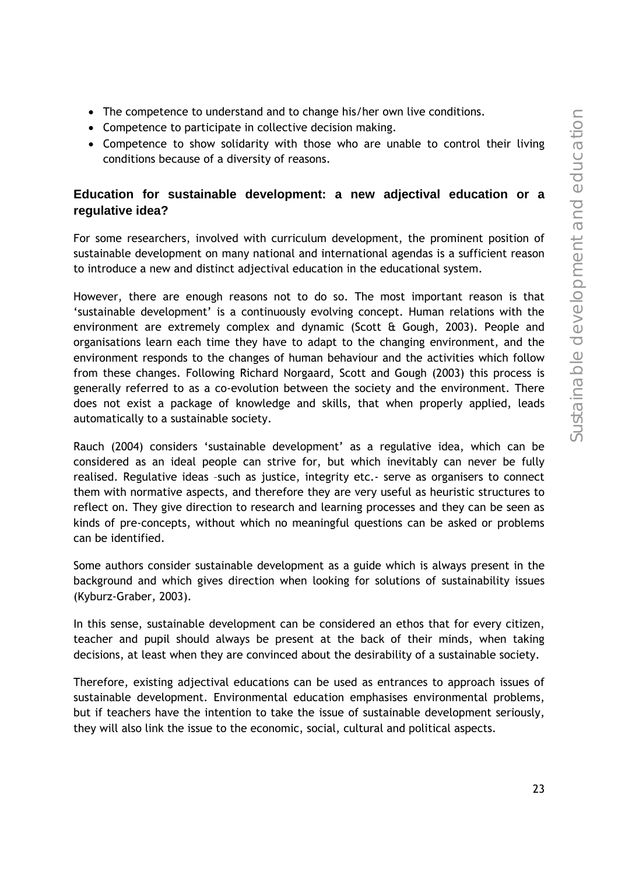- The competence to understand and to change his/her own live conditions.
- Competence to participate in collective decision making.
- Competence to show solidarity with those who are unable to control their living conditions because of a diversity of reasons.

#### **Education for sustainable development: a new adjectival education or a regulative idea?**

For some researchers, involved with curriculum development, the prominent position of sustainable development on many national and international agendas is a sufficient reason to introduce a new and distinct adjectival education in the educational system.

However, there are enough reasons not to do so. The most important reason is that 'sustainable development' is a continuously evolving concept. Human relations with the environment are extremely complex and dynamic (Scott & Gough, 2003). People and organisations learn each time they have to adapt to the changing environment, and the environment responds to the changes of human behaviour and the activities which follow from these changes. Following Richard Norgaard, Scott and Gough (2003) this process is generally referred to as a co-evolution between the society and the environment. There does not exist a package of knowledge and skills, that when properly applied, leads automatically to a sustainable society.

Rauch (2004) considers 'sustainable development' as a regulative idea, which can be considered as an ideal people can strive for, but which inevitably can never be fully realised. Regulative ideas –such as justice, integrity etc.- serve as organisers to connect them with normative aspects, and therefore they are very useful as heuristic structures to reflect on. They give direction to research and learning processes and they can be seen as kinds of pre-concepts, without which no meaningful questions can be asked or problems can be identified.

Some authors consider sustainable development as a guide which is always present in the background and which gives direction when looking for solutions of sustainability issues (Kyburz-Graber, 2003).

In this sense, sustainable development can be considered an ethos that for every citizen, teacher and pupil should always be present at the back of their minds, when taking decisions, at least when they are convinced about the desirability of a sustainable society.

Therefore, existing adjectival educations can be used as entrances to approach issues of sustainable development. Environmental education emphasises environmental problems, but if teachers have the intention to take the issue of sustainable development seriously, they will also link the issue to the economic, social, cultural and political aspects.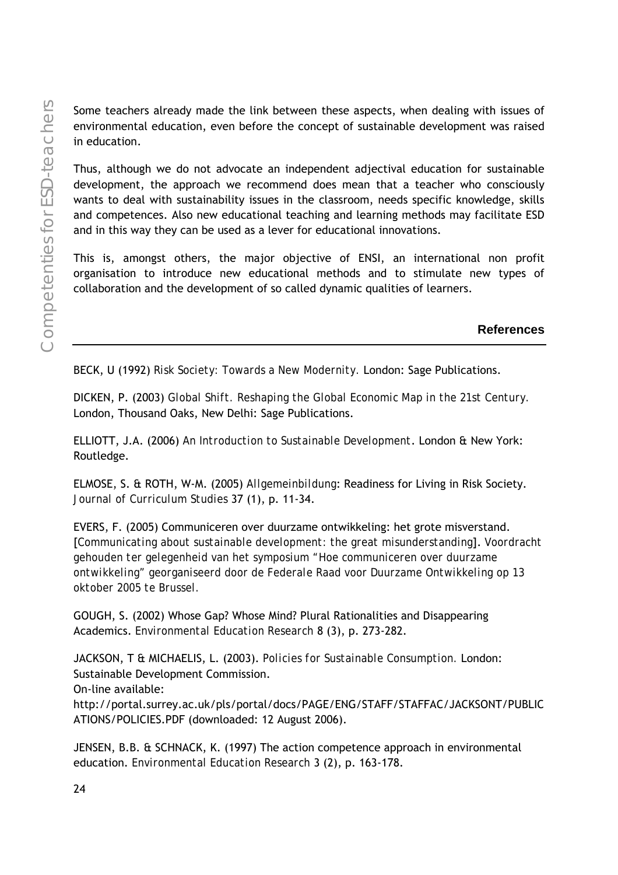Some teachers already made the link between these aspects, when dealing with issues of environmental education, even before the concept of sustainable development was raised in education.

Thus, although we do not advocate an independent adjectival education for sustainable development, the approach we recommend does mean that a teacher who consciously wants to deal with sustainability issues in the classroom, needs specific knowledge, skills and competences. Also new educational teaching and learning methods may facilitate ESD and in this way they can be used as a lever for educational innovations.

This is, amongst others, the major objective of ENSI, an international non profit organisation to introduce new educational methods and to stimulate new types of collaboration and the development of so called dynamic qualities of learners.

**References** 

BECK, U (1992) *Risk Society: Towards a New Modernity.* London: Sage Publications.

DICKEN, P. (2003) *Global Shift. Reshaping the Global Economic Map in the 21st Century.* London, Thousand Oaks, New Delhi: Sage Publications.

ELLIOTT, J.A. (2006) *An Introduction to Sustainable Development*. London & New York: Routledge.

ELMOSE, S. & ROTH, W-M. (2005) *Allgemeinbildung*: Readiness for Living in Risk Society. *Journal of Curriculum Studies* 37 (1), p. 11-34.

EVERS, F. (2005) Communiceren over duurzame ontwikkeling: het grote misverstand. [*Communicating about sustainable development: the great misunderstanding*]. *Voordracht gehouden ter gelegenheid van het symposium "Hoe communiceren over duurzame ontwikkeling" georganiseerd door de Federale Raad voor Duurzame Ontwikkeling op 13 oktober 2005 te Brussel.* 

GOUGH, S. (2002) Whose Gap? Whose Mind? Plural Rationalities and Disappearing Academics. *Environmental Education Research* 8 (3), p. 273-282.

JACKSON, T & MICHAELIS, L. (2003). *Policies for Sustainable Consumption.* London: Sustainable Development Commission. On-line available: http://portal.surrey.ac.uk/pls/portal/docs/PAGE/ENG/STAFF/STAFFAC/JACKSONT/PUBLIC ATIONS/POLICIES.PDF (downloaded: 12 August 2006).

JENSEN, B.B. & SCHNACK, K. (1997) The action competence approach in environmental education. *Environmental Education Research* 3 (2), p. 163-178.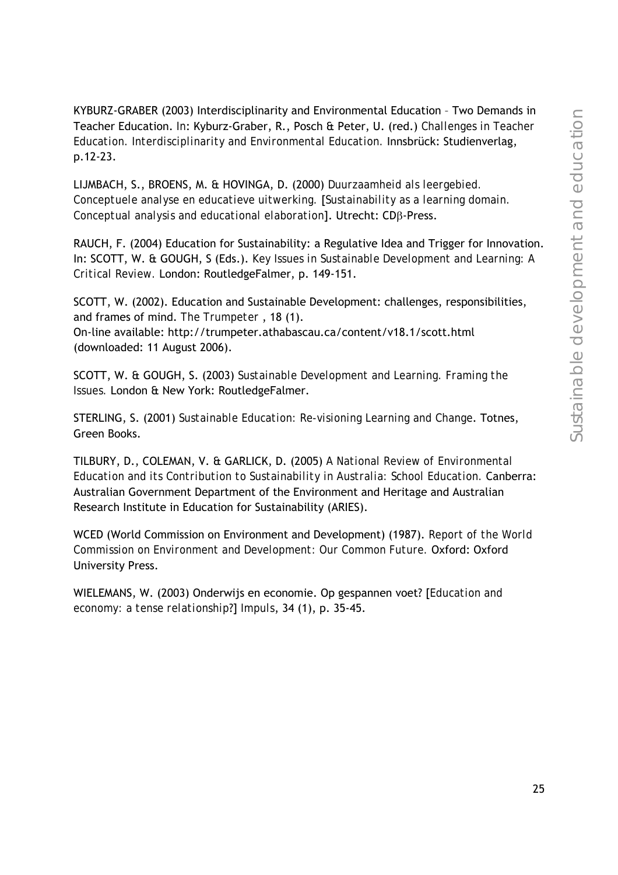KYBURZ-GRABER (2003) Interdisciplinarity and Environmental Education – Two Demands in Teacher Education. *In*: Kyburz-Graber, R., Posch & Peter, U. (red.) *Challenges in Teacher Education. Interdisciplinarity and Environmental Education.* Innsbrück: Studienverlag, p.12-23.

LIJMBACH, S., BROENS, M. & HOVINGA, D. (2000) *Duurzaamheid als leergebied. Conceptuele analyse en educatieve uitwerking.* [*Sustainability as a learning domain. Conceptual analysis and educational elaboration*]. Utrecht: CDβ-Press.

RAUCH, F. (2004) Education for Sustainability: a Regulative Idea and Trigger for Innovation. In: SCOTT, W. & GOUGH, S (Eds.). *Key Issues in Sustainable Development and Learning: A Critical Review.* London: RoutledgeFalmer, p. 149-151.

SCOTT, W. (2002). Education and Sustainable Development: challenges, responsibilities, and frames of mind. *The Trumpeter* , 18 (1). On-line available: http://trumpeter.athabascau.ca/content/v18.1/scott.html (downloaded: 11 August 2006).

SCOTT, W. & GOUGH, S. (2003) *Sustainable Development and Learning. Framing the Issues.* London & New York: RoutledgeFalmer.

STERLING, S. (2001) *Sustainable Education: Re-visioning Learning and Change*. Totnes, Green Books.

TILBURY, D., COLEMAN, V. & GARLICK, D. (2005) *A National Review of Environmental Education and its Contribution to Sustainability in Australia: School Education.* Canberra: Australian Government Department of the Environment and Heritage and Australian Research Institute in Education for Sustainability (ARIES).

WCED (World Commission on Environment and Development) (1987). *Report of the World Commission on Environment and Development: Our Common Future.* Oxford: Oxford University Press.

WIELEMANS, W. (2003) Onderwijs en economie. Op gespannen voet? [*Education and economy: a tense relationship*?] *Impuls*, 34 (1), p. 35-45.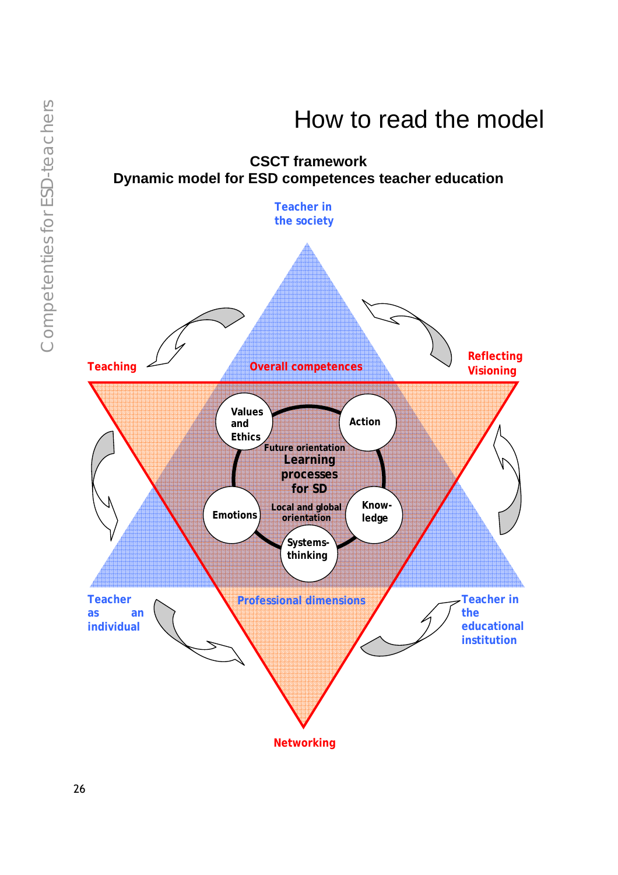

### How to read the model

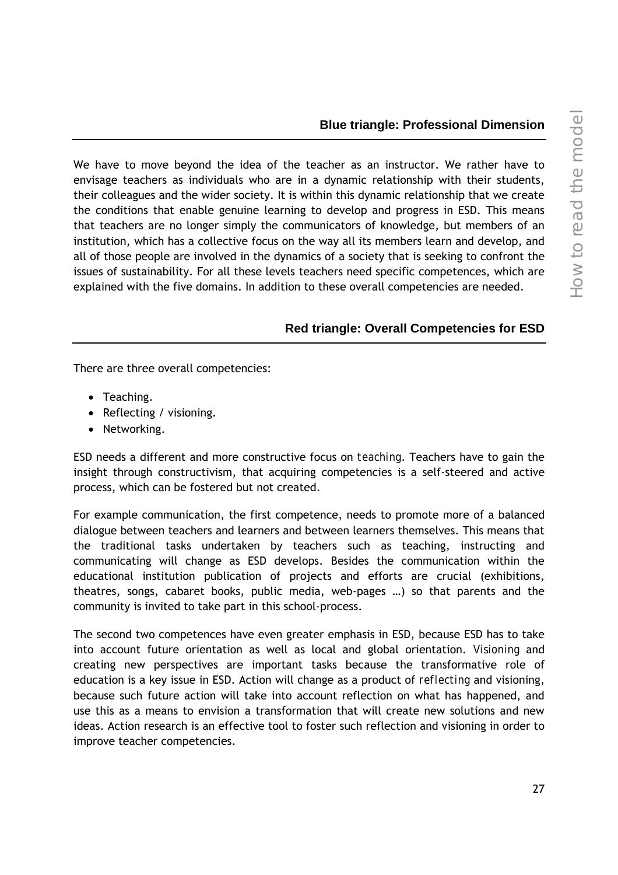#### **Blue triangle: Professional Dimension**

We have to move beyond the idea of the teacher as an instructor. We rather have to envisage teachers as individuals who are in a dynamic relationship with their students, their colleagues and the wider society. It is within this dynamic relationship that we create the conditions that enable genuine learning to develop and progress in ESD. This means that teachers are no longer simply the communicators of knowledge, but members of an institution, which has a collective focus on the way all its members learn and develop, and all of those people are involved in the dynamics of a society that is seeking to confront the issues of sustainability. For all these levels teachers need specific competences, which are explained with the five domains. In addition to these overall competencies are needed.

#### **Red triangle: Overall Competencies for ESD**

There are three overall competencies:

- Teaching.
- Reflecting / visioning.
- Networking.

ESD needs a different and more constructive focus on *teaching*. Teachers have to gain the insight through constructivism, that acquiring competencies is a self-steered and active process, which can be fostered but not created.

For example communication, the first competence, needs to promote more of a balanced dialogue between teachers and learners and between learners themselves. This means that the traditional tasks undertaken by teachers such as teaching, instructing and communicating will change as ESD develops. Besides the communication within the educational institution publication of projects and efforts are crucial (exhibitions, theatres, songs, cabaret books, public media, web-pages …) so that parents and the community is invited to take part in this school-process.

The second two competences have even greater emphasis in ESD, because ESD has to take into account future orientation as well as local and global orientation. *Visioning* and creating new perspectives are important tasks because the transformative role of education is a key issue in ESD. Action will change as a product of *reflecting* and visioning, because such future action will take into account reflection on what has happened, and use this as a means to envision a transformation that will create new solutions and new ideas. Action research is an effective tool to foster such reflection and visioning in order to improve teacher competencies.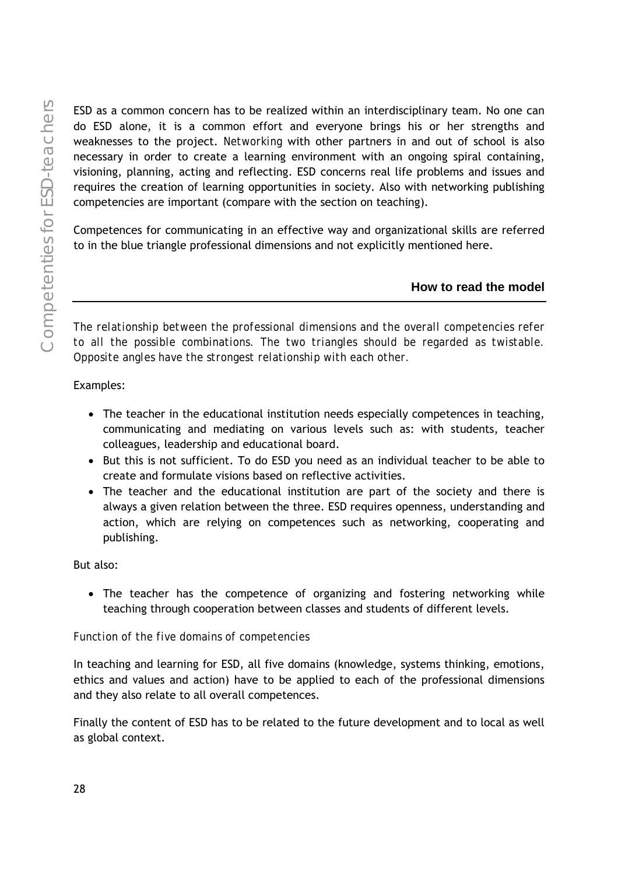ESD as a common concern has to be realized within an interdisciplinary team. No one can do ESD alone, it is a common effort and everyone brings his or her strengths and weaknesses to the project. *Networking* with other partners in and out of school is also necessary in order to create a learning environment with an ongoing spiral containing, visioning, planning, acting and reflecting. ESD concerns real life problems and issues and requires the creation of learning opportunities in society. Also with networking publishing competencies are important (compare with the section on teaching).

Competences for communicating in an effective way and organizational skills are referred to in the blue triangle professional dimensions and not explicitly mentioned here.

#### **How to read the model**

*The relationship between the professional dimensions and the overall competencies refer to all the possible combinations. The two triangles should be regarded as twistable. Opposite angles have the strongest relationship with each other.* 

#### Examples:

- The teacher in the educational institution needs especially competences in teaching, communicating and mediating on various levels such as: with students, teacher colleagues, leadership and educational board.
- But this is not sufficient. To do ESD you need as an individual teacher to be able to create and formulate visions based on reflective activities.
- The teacher and the educational institution are part of the society and there is always a given relation between the three. ESD requires openness, understanding and action, which are relying on competences such as networking, cooperating and publishing.

#### But also:

• The teacher has the competence of organizing and fostering networking while teaching through cooperation between classes and students of different levels.

#### *Function of the five domains of competencies*

In teaching and learning for ESD, all five domains (knowledge, systems thinking, emotions, ethics and values and action) have to be applied to each of the professional dimensions and they also relate to all overall competences.

Finally the content of ESD has to be related to the future development and to local as well as global context.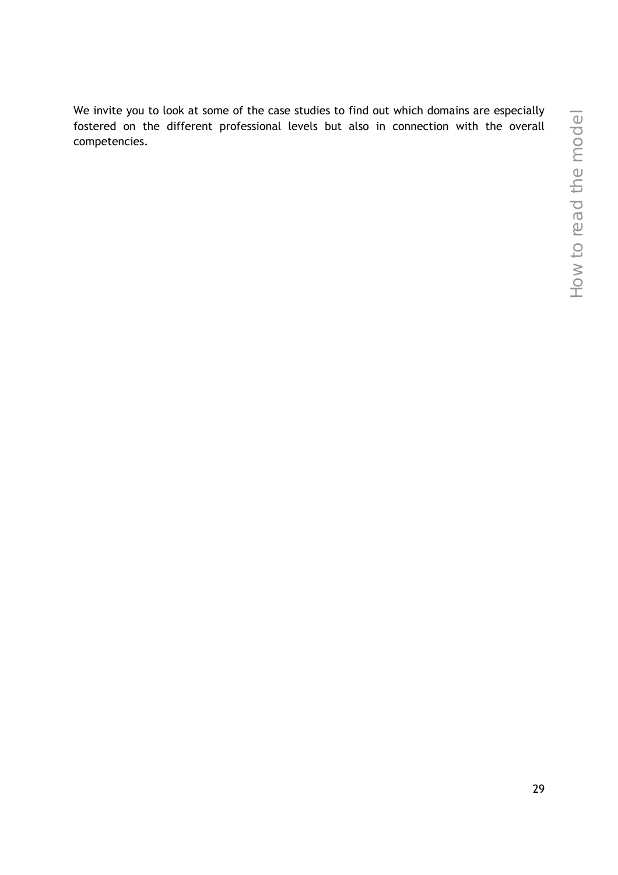We invite you to look at some of the case studies to find out which domains are especially fostered on the different professional levels but also in connection with the overall competencies.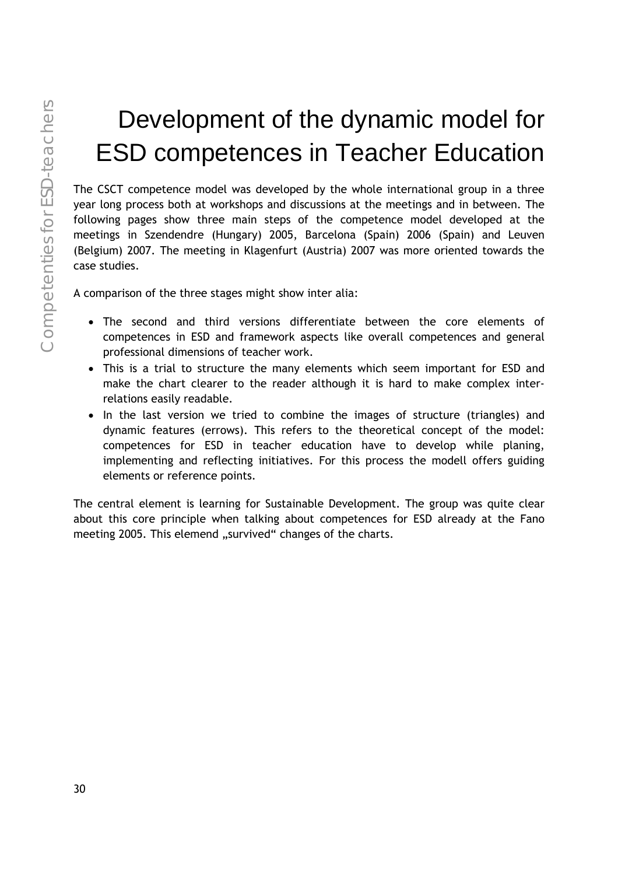# Development of the dynamic model for ESD competences in Teacher Education

The CSCT competence model was developed by the whole international group in a three year long process both at workshops and discussions at the meetings and in between. The following pages show three main steps of the competence model developed at the meetings in Szendendre (Hungary) 2005, Barcelona (Spain) 2006 (Spain) and Leuven (Belgium) 2007. The meeting in Klagenfurt (Austria) 2007 was more oriented towards the case studies.

A comparison of the three stages might show inter alia:

- The second and third versions differentiate between the core elements of competences in ESD and framework aspects like overall competences and general professional dimensions of teacher work.
- This is a trial to structure the many elements which seem important for ESD and make the chart clearer to the reader although it is hard to make complex interrelations easily readable.
- In the last version we tried to combine the images of structure (triangles) and dynamic features (errows). This refers to the theoretical concept of the model: competences for ESD in teacher education have to develop while planing, implementing and reflecting initiatives. For this process the modell offers guiding elements or reference points.

The central element is learning for Sustainable Development. The group was quite clear about this core principle when talking about competences for ESD already at the Fano meeting 2005. This elemend "survived" changes of the charts.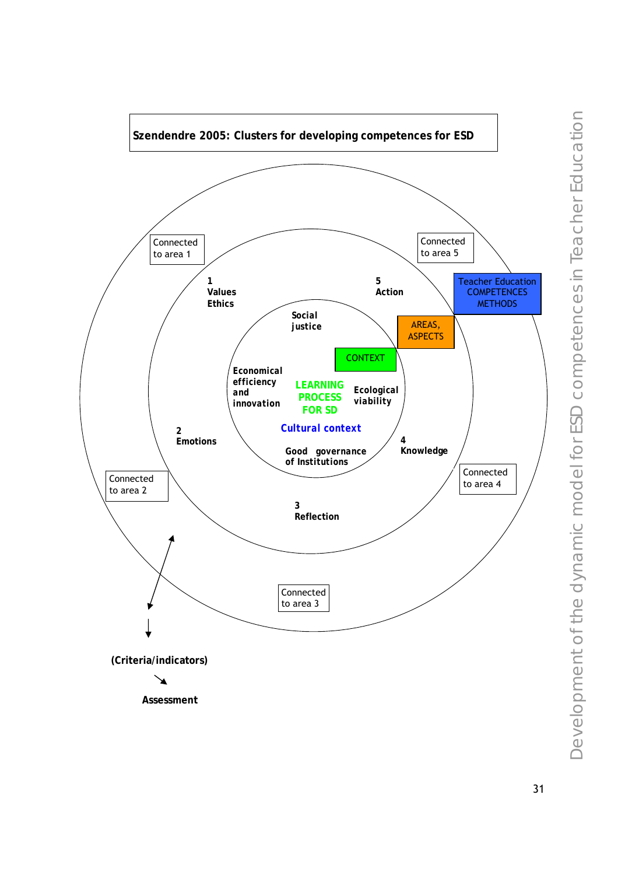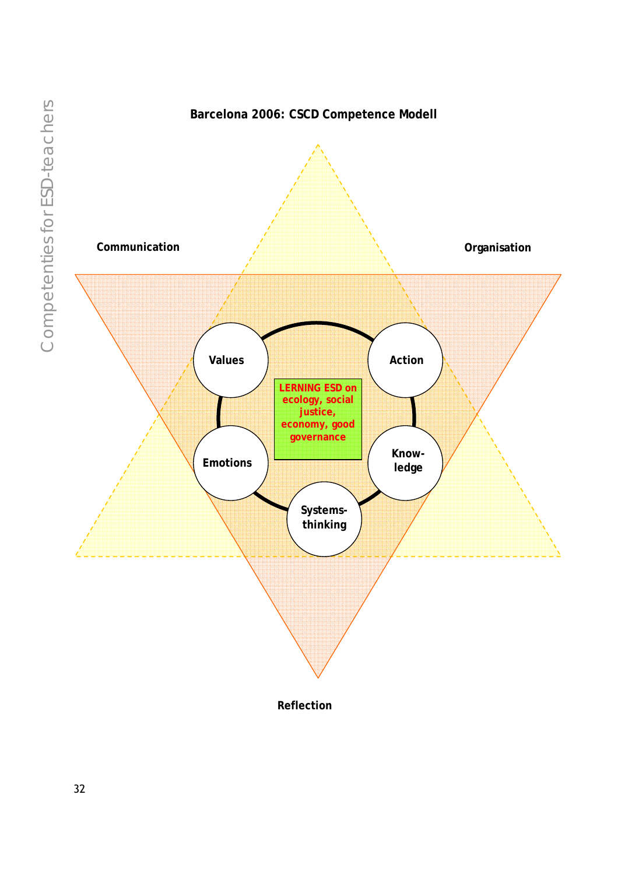



**Reflection**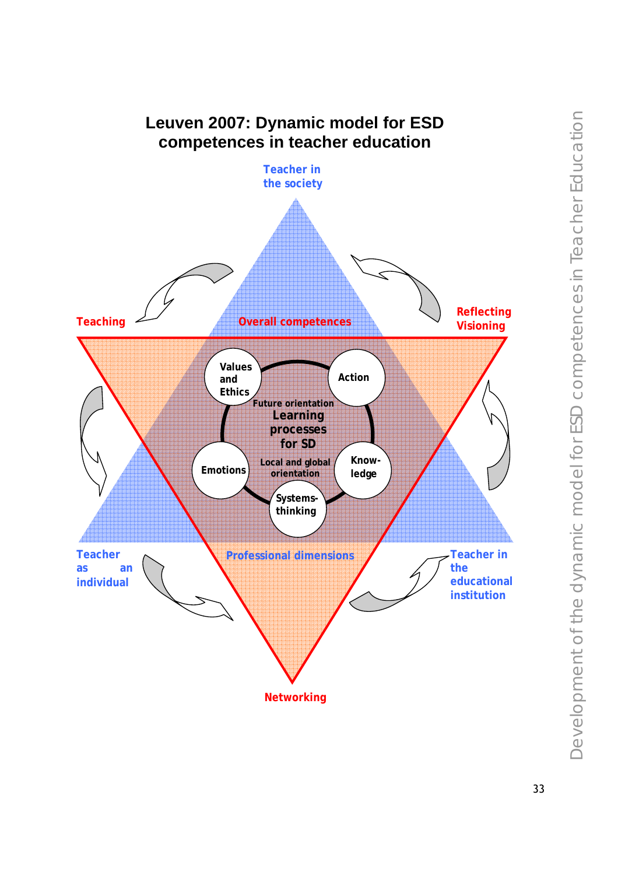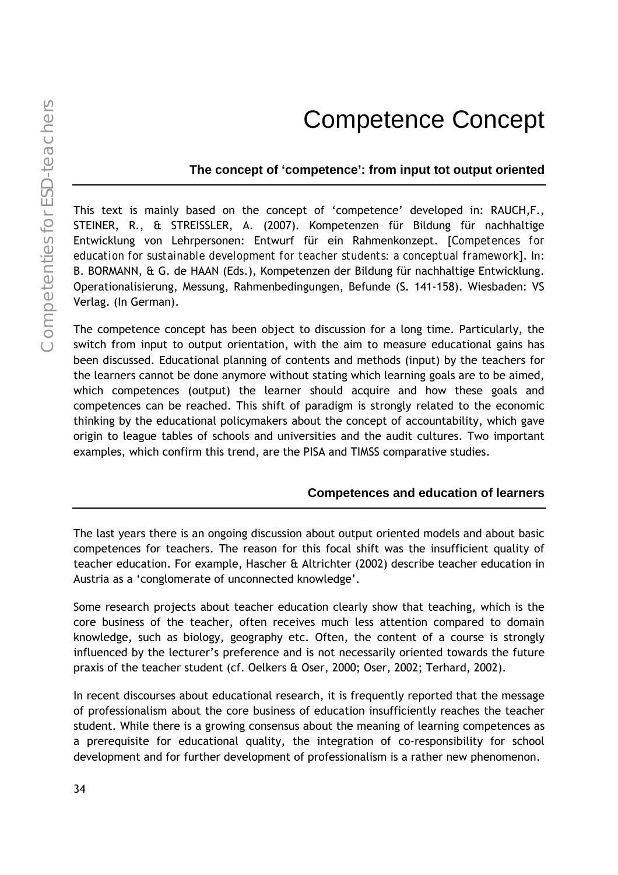### Competence Concept

#### **The concept of 'competence': from input tot output oriented**

This text is mainly based on the concept of 'competence' developed in: RAUCH,F., STEINER, R., & STREISSLER, A. (2007). Kompetenzen für Bildung für nachhaltige Entwicklung von Lehrpersonen: Entwurf für ein Rahmenkonzept. [*Competences for education for sustainable development for teacher students: a conceptual framework*]. In: B. BORMANN, & G. de HAAN (Eds.), Kompetenzen der Bildung für nachhaltige Entwicklung. Operationalisierung, Messung, Rahmenbedingungen, Befunde (S. 141-158). Wiesbaden: VS Verlag. (In German).

The competence concept has been object to discussion for a long time. Particularly, the switch from input to output orientation, with the aim to measure educational gains has been discussed. Educational planning of contents and methods (input) by the teachers for the learners cannot be done anymore without stating which learning goals are to be aimed, which competences (output) the learner should acquire and how these goals and competences can be reached. This shift of paradigm is strongly related to the economic thinking by the educational policymakers about the concept of accountability, which gave origin to league tables of schools and universities and the audit cultures. Two important examples, which confirm this trend, are the PISA and TIMSS comparative studies.

#### **Competences and education of learners**

The last years there is an ongoing discussion about output oriented models and about basic competences for teachers. The reason for this focal shift was the insufficient quality of teacher education. For example, Hascher & Altrichter (2002) describe teacher education in Austria as a 'conglomerate of unconnected knowledge'.

Some research projects about teacher education clearly show that teaching, which is the core business of the teacher, often receives much less attention compared to domain knowledge, such as biology, geography etc. Often, the content of a course is strongly influenced by the lecturer's preference and is not necessarily oriented towards the future praxis of the teacher student (cf. Oelkers & Oser, 2000; Oser, 2002; Terhard, 2002).

In recent discourses about educational research, it is frequently reported that the message of professionalism about the core business of education insufficiently reaches the teacher student. While there is a growing consensus about the meaning of learning competences as a prerequisite for educational quality, the integration of co-responsibility for school development and for further development of professionalism is a rather new phenomenon.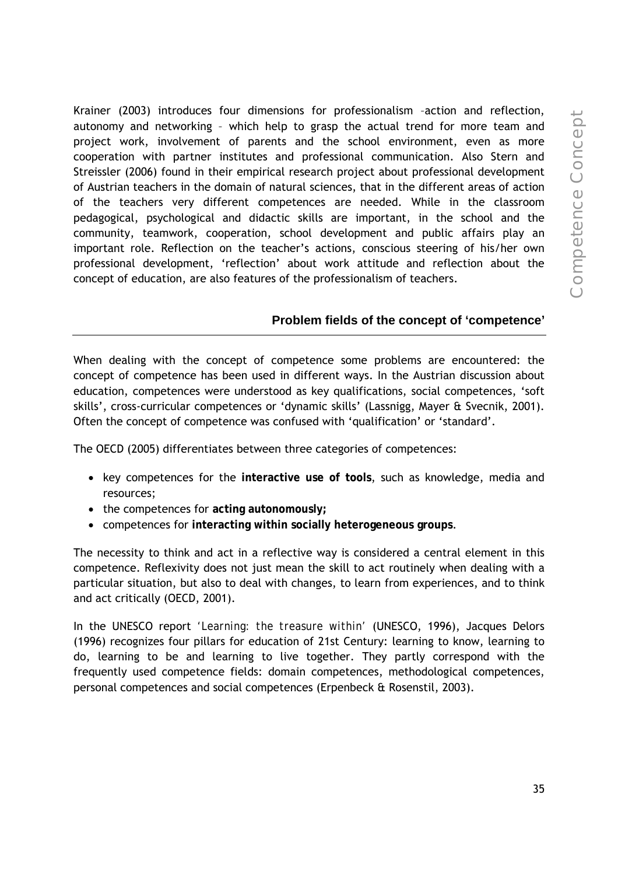Krainer (2003) introduces four dimensions for professionalism –action and reflection, autonomy and networking – which help to grasp the actual trend for more team and project work, involvement of parents and the school environment, even as more cooperation with partner institutes and professional communication. Also Stern and Streissler (2006) found in their empirical research project about professional development of Austrian teachers in the domain of natural sciences, that in the different areas of action of the teachers very different competences are needed. While in the classroom pedagogical, psychological and didactic skills are important, in the school and the community, teamwork, cooperation, school development and public affairs play an important role. Reflection on the teacher's actions, conscious steering of his/her own professional development, 'reflection' about work attitude and reflection about the concept of education, are also features of the professionalism of teachers.

## **Problem fields of the concept of 'competence'**

When dealing with the concept of competence some problems are encountered: the concept of competence has been used in different ways. In the Austrian discussion about education, competences were understood as key qualifications, social competences, 'soft skills', cross-curricular competences or 'dynamic skills' (Lassnigg, Mayer & Svecnik, 2001). Often the concept of competence was confused with 'qualification' or 'standard'.

The OECD (2005) differentiates between three categories of competences:

- key competences for the **interactive use of tools**, such as knowledge, media and resources;
- the competences for **acting autonomously;**
- competences for **interacting within socially heterogeneous groups**.

The necessity to think and act in a reflective way is considered a central element in this competence. Reflexivity does not just mean the skill to act routinely when dealing with a particular situation, but also to deal with changes, to learn from experiences, and to think and act critically (OECD, 2001).

In the UNESCO report *'Learning: the treasure within'* (UNESCO, 1996), Jacques Delors (1996) recognizes four pillars for education of 21st Century: learning to know, learning to do, learning to be and learning to live together. They partly correspond with the frequently used competence fields: domain competences, methodological competences, personal competences and social competences (Erpenbeck & Rosenstil, 2003).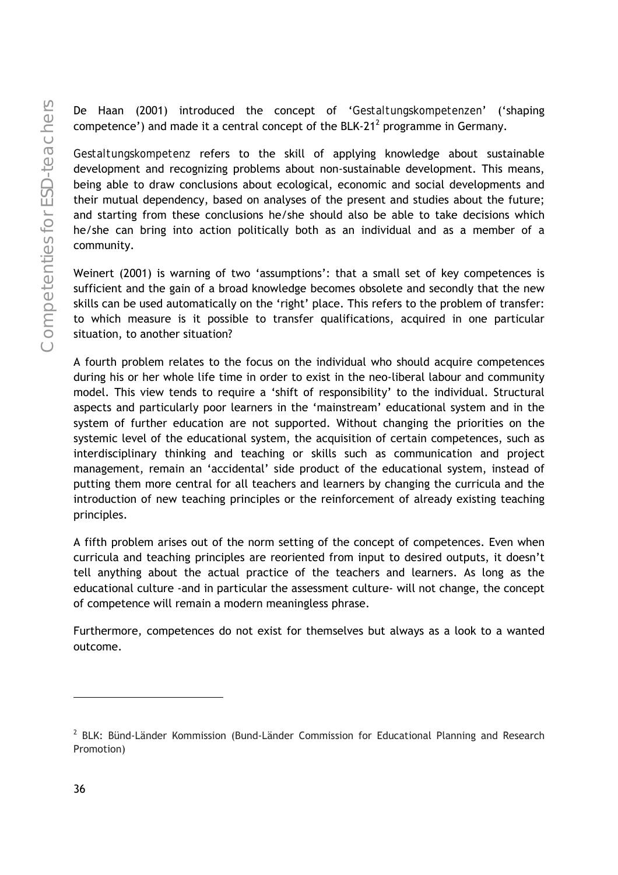De Haan (2001) introduced the concept of '*Gestaltungskompetenzen*' ('shaping competence') and made it a central concept of the BLK-21<sup>2</sup> programme in Germany.

*Gestaltungskompetenz* refers to the skill of applying knowledge about sustainable development and recognizing problems about non-sustainable development. This means, being able to draw conclusions about ecological, economic and social developments and their mutual dependency, based on analyses of the present and studies about the future; and starting from these conclusions he/she should also be able to take decisions which he/she can bring into action politically both as an individual and as a member of a community.

Weinert (2001) is warning of two 'assumptions': that a small set of key competences is sufficient and the gain of a broad knowledge becomes obsolete and secondly that the new skills can be used automatically on the 'right' place. This refers to the problem of transfer: to which measure is it possible to transfer qualifications, acquired in one particular situation, to another situation?

A fourth problem relates to the focus on the individual who should acquire competences during his or her whole life time in order to exist in the neo-liberal labour and community model. This view tends to require a 'shift of responsibility' to the individual. Structural aspects and particularly poor learners in the 'mainstream' educational system and in the system of further education are not supported. Without changing the priorities on the systemic level of the educational system, the acquisition of certain competences, such as interdisciplinary thinking and teaching or skills such as communication and project management, remain an 'accidental' side product of the educational system, instead of putting them more central for all teachers and learners by changing the curricula and the introduction of new teaching principles or the reinforcement of already existing teaching principles.

A fifth problem arises out of the norm setting of the concept of competences. Even when curricula and teaching principles are reoriented from input to desired outputs, it doesn't tell anything about the actual practice of the teachers and learners. As long as the educational culture -and in particular the assessment culture- will not change, the concept of competence will remain a modern meaningless phrase.

Furthermore, competences do not exist for themselves but always as a look to a wanted outcome.

-

<sup>&</sup>lt;sup>2</sup> BLK: Bünd-Länder Kommission (Bund-Länder Commission for Educational Planning and Research Promotion)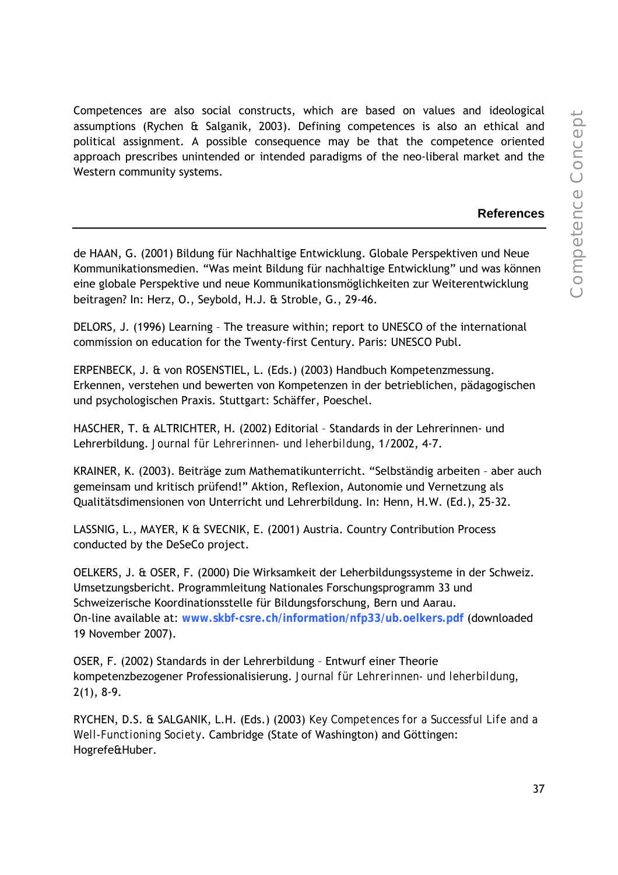Competences are also social constructs, which are based on values and ideological assumptions (Rychen & Salganik, 2003). Defining competences is also an ethical and political assignment. A possible consequence may be that the competence oriented approach prescribes unintended or intended paradigms of the neo-liberal market and the Western community systems.

#### **References**

de HAAN, G. (2001) Bildung für Nachhaltige Entwicklung. Globale Perspektiven und Neue Kommunikationsmedien. "Was meint Bildung für nachhaltige Entwicklung" und was können eine globale Perspektive und neue Kommunikationsmöglichkeiten zur Weiterentwicklung beitragen? In: Herz, O., Seybold, H.J. & Stroble, G., 29-46.

DELORS, J. (1996) Learning – The treasure within; report to UNESCO of the international commission on education for the Twenty-first Century. Paris: UNESCO Publ.

ERPENBECK, J. & von ROSENSTIEL, L. (Eds.) (2003) Handbuch Kompetenzmessung. Erkennen, verstehen und bewerten von Kompetenzen in der betrieblichen, pädagogischen und psychologischen Praxis. Stuttgart: Schäffer, Poeschel.

HASCHER, T. & ALTRICHTER, H. (2002) Editorial – Standards in der Lehrerinnen- und Lehrerbildung. *Journal für Lehrerinnen- und leherbildung*, 1/2002, 4-7.

KRAINER, K. (2003). Beiträge zum Mathematikunterricht. "Selbständig arbeiten – aber auch gemeinsam und kritisch prüfend!" Aktion, Reflexion, Autonomie und Vernetzung als Qualitätsdimensionen von Unterricht und Lehrerbildung. In: Henn, H.W. (Ed.), 25-32.

LASSNIG, L., MAYER, K & SVECNIK, E. (2001) Austria. Country Contribution Process conducted by the DeSeCo project.

OELKERS, J. & OSER, F. (2000) Die Wirksamkeit der Leherbildungssysteme in der Schweiz. Umsetzungsbericht. Programmleitung Nationales Forschungsprogramm 33 und Schweizerische Koordinationsstelle für Bildungsforschung, Bern und Aarau. On-line available at: **www.skbf-csre.ch/information/nfp33/ub.oelkers.pdf** (downloaded 19 November 2007).

OSER, F. (2002) Standards in der Lehrerbildung – Entwurf einer Theorie kompetenzbezogener Professionalisierung. *Journal für Lehrerinnen- und leherbildung*, 2(1), 8-9.

RYCHEN, D.S. & SALGANIK, L.H. (Eds.) (2003) *Key Competences for a Successful Life and a Well-Functioning Society*. Cambridge (State of Washington) and Göttingen: Hogrefe&Huber.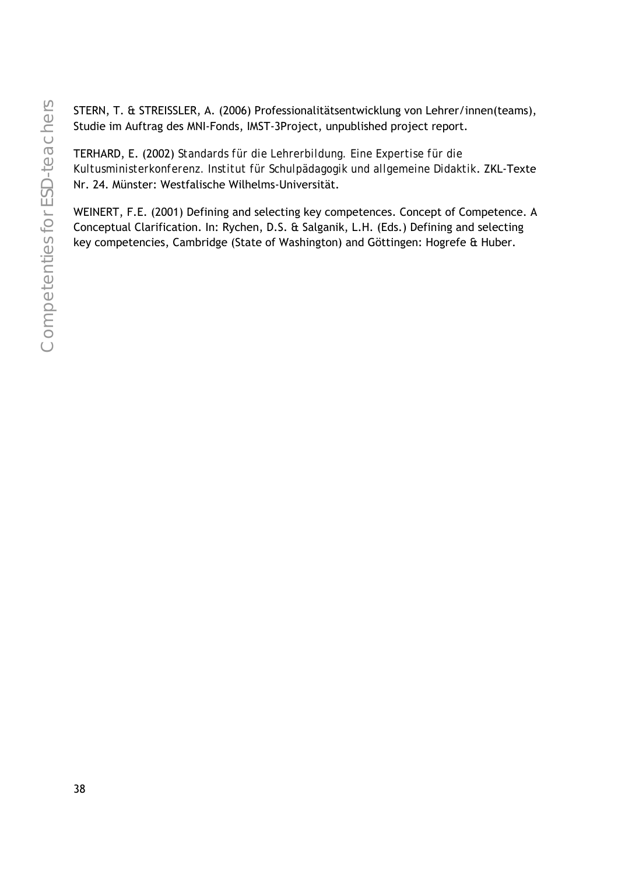STERN, T. & STREISSLER, A. (2006) Professionalitätsentwicklung von Lehrer/innen(teams), Studie im Auftrag des MNI-Fonds, IMST-3Project, unpublished project report.

TERHARD, E. (2002) *Standards für die Lehrerbildung. Eine Expertise für die Kultusministerkonferenz. Institut für Schulpädagogik und allgemeine Didaktik*. ZKL-Texte Nr. 24. Münster: Westfalische Wilhelms-Universität.

WEINERT, F.E. (2001) Defining and selecting key competences. Concept of Competence. A Conceptual Clarification. In: Rychen, D.S. & Salganik, L.H. (Eds.) Defining and selecting key competencies, Cambridge (State of Washington) and Göttingen: Hogrefe & Huber.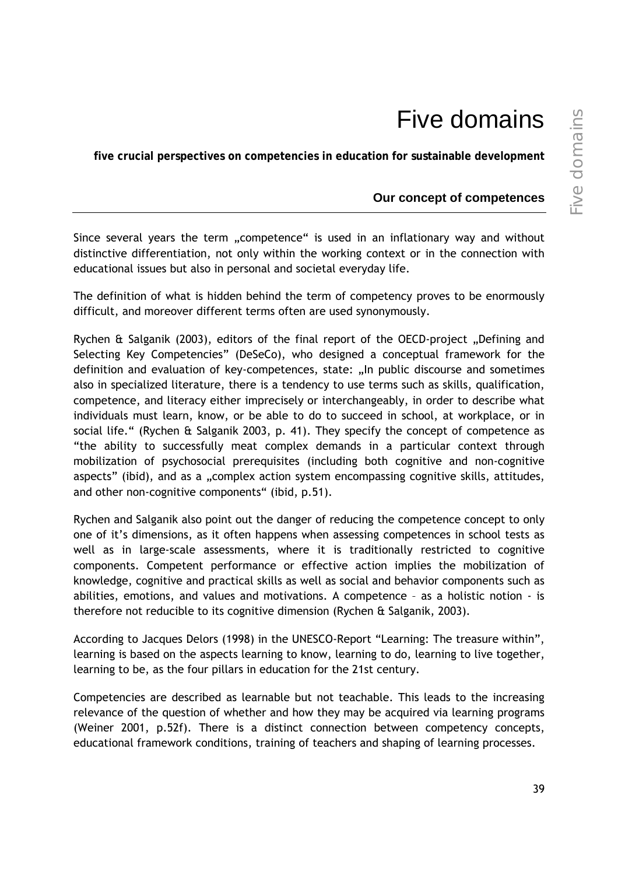# Five domains

**five crucial perspectives on competencies in education for sustainable development** 

### **Our concept of competences**

Since several years the term "competence" is used in an inflationary way and without distinctive differentiation, not only within the working context or in the connection with educational issues but also in personal and societal everyday life.

The definition of what is hidden behind the term of competency proves to be enormously difficult, and moreover different terms often are used synonymously.

Rychen  $\hat{a}$  Salganik (2003), editors of the final report of the OECD-project "Defining and Selecting Key Competencies" (DeSeCo), who designed a conceptual framework for the definition and evaluation of key-competences, state: "In public discourse and sometimes also in specialized literature, there is a tendency to use terms such as skills, qualification, competence, and literacy either imprecisely or interchangeably, in order to describe what individuals must learn, know, or be able to do to succeed in school, at workplace, or in social life." (Rychen & Salganik 2003, p. 41). They specify the concept of competence as "the ability to successfully meat complex demands in a particular context through mobilization of psychosocial prerequisites (including both cognitive and non-cognitive aspects" (ibid), and as a "complex action system encompassing cognitive skills, attitudes, and other non-cognitive components" (ibid, p.51).

Rychen and Salganik also point out the danger of reducing the competence concept to only one of it's dimensions, as it often happens when assessing competences in school tests as well as in large-scale assessments, where it is traditionally restricted to cognitive components. Competent performance or effective action implies the mobilization of knowledge, cognitive and practical skills as well as social and behavior components such as abilities, emotions, and values and motivations. A competence – as a holistic notion - is therefore not reducible to its cognitive dimension (Rychen & Salganik, 2003).

According to Jacques Delors (1998) in the UNESCO-Report "Learning: The treasure within", learning is based on the aspects learning to know, learning to do, learning to live together, learning to be, as the four pillars in education for the 21st century.

Competencies are described as learnable but not teachable. This leads to the increasing relevance of the question of whether and how they may be acquired via learning programs (Weiner 2001, p.52f). There is a distinct connection between competency concepts, educational framework conditions, training of teachers and shaping of learning processes.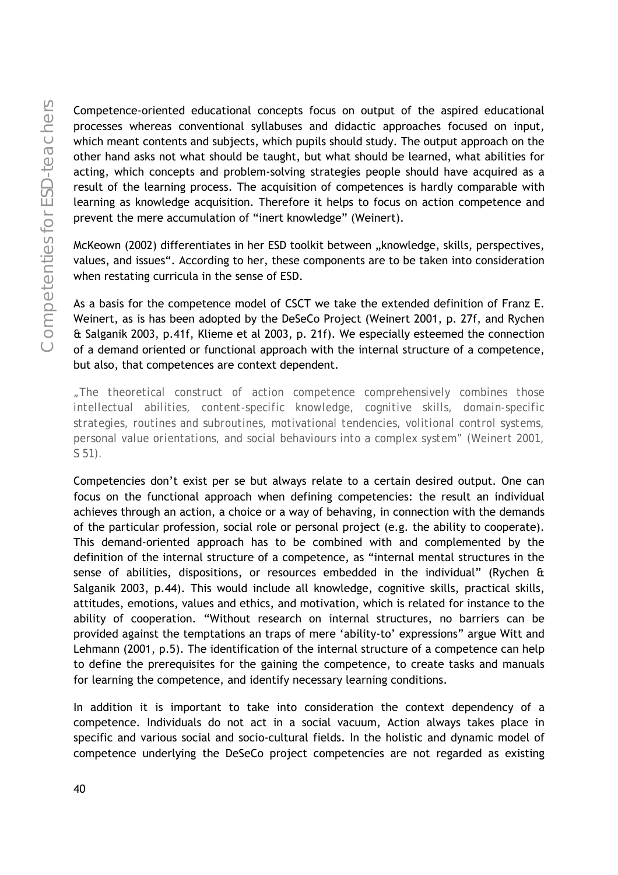Competence-oriented educational concepts focus on output of the aspired educational processes whereas conventional syllabuses and didactic approaches focused on input, which meant contents and subjects, which pupils should study. The output approach on the other hand asks not what should be taught, but what should be learned, what abilities for acting, which concepts and problem-solving strategies people should have acquired as a result of the learning process. The acquisition of competences is hardly comparable with learning as knowledge acquisition. Therefore it helps to focus on action competence and prevent the mere accumulation of "inert knowledge" (Weinert).

McKeown (2002) differentiates in her ESD toolkit between "knowledge, skills, perspectives, values, and issues". According to her, these components are to be taken into consideration when restating curricula in the sense of ESD.

As a basis for the competence model of CSCT we take the extended definition of Franz E. Weinert, as is has been adopted by the DeSeCo Project (Weinert 2001, p. 27f, and Rychen & Salganik 2003, p.41f, Klieme et al 2003, p. 21f). We especially esteemed the connection of a demand oriented or functional approach with the internal structure of a competence, but also, that competences are context dependent.

*"The theoretical construct of action competence comprehensively combines those intellectual abilities, content-specific knowledge, cognitive skills, domain-specific strategies, routines and subroutines, motivational tendencies, volitional control systems, personal value orientations, and social behaviours into a complex system" (Weinert 2001, S 51).* 

Competencies don't exist per se but always relate to a certain desired output. One can focus on the functional approach when defining competencies: the result an individual achieves through an action, a choice or a way of behaving, in connection with the demands of the particular profession, social role or personal project (e.g. the ability to cooperate). This demand-oriented approach has to be combined with and complemented by the definition of the internal structure of a competence, as "internal mental structures in the sense of abilities, dispositions, or resources embedded in the individual" (Rychen & Salganik 2003, p.44). This would include all knowledge, cognitive skills, practical skills, attitudes, emotions, values and ethics, and motivation, which is related for instance to the ability of cooperation. "Without research on internal structures, no barriers can be provided against the temptations an traps of mere 'ability-to' expressions" argue Witt and Lehmann (2001, p.5). The identification of the internal structure of a competence can help to define the prerequisites for the gaining the competence, to create tasks and manuals for learning the competence, and identify necessary learning conditions.

In addition it is important to take into consideration the context dependency of a competence. Individuals do not act in a social vacuum, Action always takes place in specific and various social and socio-cultural fields. In the holistic and dynamic model of competence underlying the DeSeCo project competencies are not regarded as existing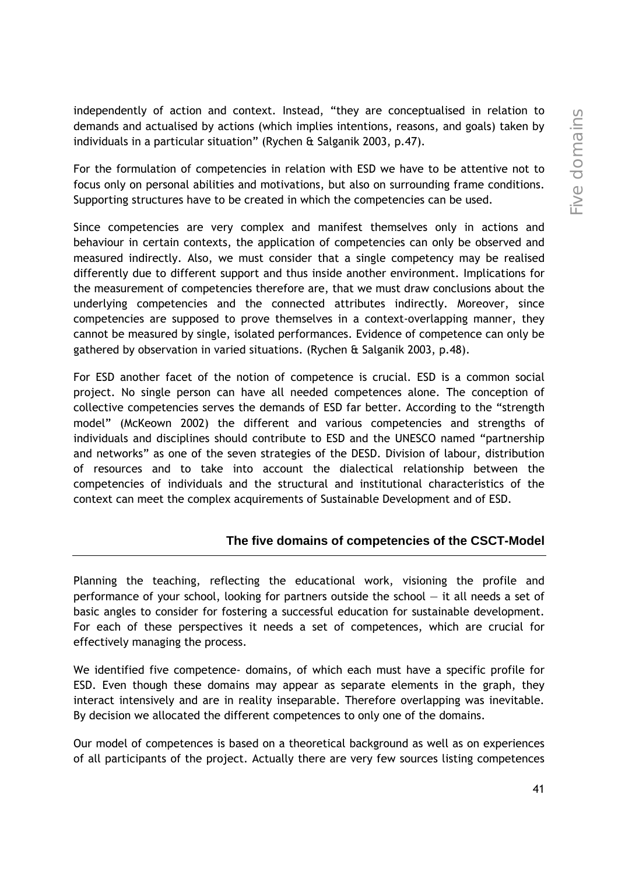independently of action and context. Instead, "they are conceptualised in relation to demands and actualised by actions (which implies intentions, reasons, and goals) taken by individuals in a particular situation" (Rychen & Salganik 2003, p.47).

For the formulation of competencies in relation with ESD we have to be attentive not to focus only on personal abilities and motivations, but also on surrounding frame conditions. Supporting structures have to be created in which the competencies can be used.

Since competencies are very complex and manifest themselves only in actions and behaviour in certain contexts, the application of competencies can only be observed and measured indirectly. Also, we must consider that a single competency may be realised differently due to different support and thus inside another environment. Implications for the measurement of competencies therefore are, that we must draw conclusions about the underlying competencies and the connected attributes indirectly. Moreover, since competencies are supposed to prove themselves in a context-overlapping manner, they cannot be measured by single, isolated performances. Evidence of competence can only be gathered by observation in varied situations. (Rychen & Salganik 2003, p.48).

For ESD another facet of the notion of competence is crucial. ESD is a common social project. No single person can have all needed competences alone. The conception of collective competencies serves the demands of ESD far better. According to the "strength model" (McKeown 2002) the different and various competencies and strengths of individuals and disciplines should contribute to ESD and the UNESCO named "partnership and networks" as one of the seven strategies of the DESD. Division of labour, distribution of resources and to take into account the dialectical relationship between the competencies of individuals and the structural and institutional characteristics of the context can meet the complex acquirements of Sustainable Development and of ESD.

## **The five domains of competencies of the CSCT-Model**

Planning the teaching, reflecting the educational work, visioning the profile and performance of your school, looking for partners outside the school — it all needs a set of basic angles to consider for fostering a successful education for sustainable development. For each of these perspectives it needs a set of competences, which are crucial for effectively managing the process.

We identified five competence- domains, of which each must have a specific profile for ESD. Even though these domains may appear as separate elements in the graph, they interact intensively and are in reality inseparable. Therefore overlapping was inevitable. By decision we allocated the different competences to only one of the domains.

Our model of competences is based on a theoretical background as well as on experiences of all participants of the project. Actually there are very few sources listing competences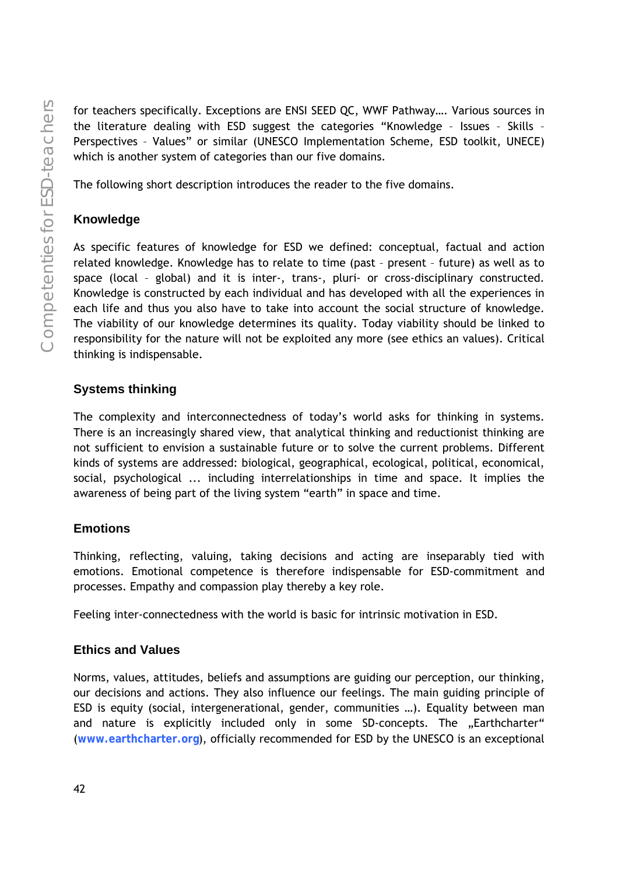for teachers specifically. Exceptions are ENSI SEED QC, WWF Pathway…. Various sources in the literature dealing with ESD suggest the categories "Knowledge – Issues – Skills – Perspectives – Values" or similar (UNESCO Implementation Scheme, ESD toolkit, UNECE) which is another system of categories than our five domains.

The following short description introduces the reader to the five domains.

## **Knowledge**

As specific features of knowledge for ESD we defined: conceptual, factual and action related knowledge. Knowledge has to relate to time (past – present – future) as well as to space (local – global) and it is inter-, trans-, pluri- or cross-disciplinary constructed. Knowledge is constructed by each individual and has developed with all the experiences in each life and thus you also have to take into account the social structure of knowledge. The viability of our knowledge determines its quality. Today viability should be linked to responsibility for the nature will not be exploited any more (see ethics an values). Critical thinking is indispensable.

## **Systems thinking**

The complexity and interconnectedness of today's world asks for thinking in systems. There is an increasingly shared view, that analytical thinking and reductionist thinking are not sufficient to envision a sustainable future or to solve the current problems. Different kinds of systems are addressed: biological, geographical, ecological, political, economical, social, psychological ... including interrelationships in time and space. It implies the awareness of being part of the living system "earth" in space and time.

# **Emotions**

Thinking, reflecting, valuing, taking decisions and acting are inseparably tied with emotions. Emotional competence is therefore indispensable for ESD-commitment and processes. Empathy and compassion play thereby a key role.

Feeling inter-connectedness with the world is basic for intrinsic motivation in ESD.

## **Ethics and Values**

Norms, values, attitudes, beliefs and assumptions are guiding our perception, our thinking, our decisions and actions. They also influence our feelings. The main guiding principle of ESD is equity (social, intergenerational, gender, communities …). Equality between man and nature is explicitly included only in some SD-concepts. The "Earthcharter" (**www.earthcharter.org**), officially recommended for ESD by the UNESCO is an exceptional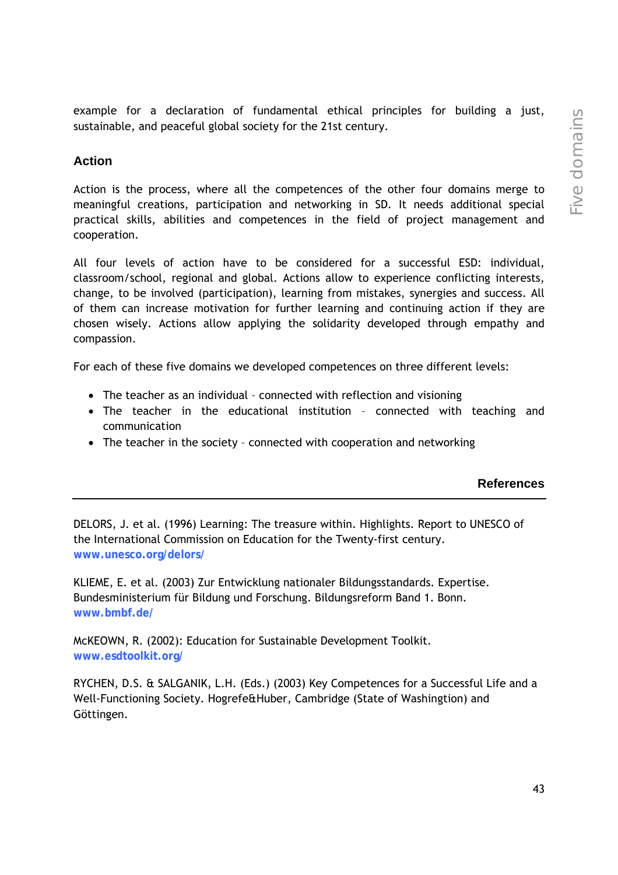example for a declaration of fundamental ethical principles for building a just, sustainable, and peaceful global society for the 21st century.

## **Action**

Action is the process, where all the competences of the other four domains merge to meaningful creations, participation and networking in SD. It needs additional special practical skills, abilities and competences in the field of project management and cooperation.

All four levels of action have to be considered for a successful ESD: individual, classroom/school, regional and global. Actions allow to experience conflicting interests, change, to be involved (participation), learning from mistakes, synergies and success. All of them can increase motivation for further learning and continuing action if they are chosen wisely. Actions allow applying the solidarity developed through empathy and compassion.

For each of these five domains we developed competences on three different levels:

- The teacher as an individual connected with reflection and visioning
- The teacher in the educational institution connected with teaching and communication
- The teacher in the society connected with cooperation and networking

#### **References**

DELORS, J. et al. (1996) Learning: The treasure within. Highlights. Report to UNESCO of the International Commission on Education for the Twenty-first century. **www.unesco.org/delors/**

KLIEME, E. et al. (2003) Zur Entwicklung nationaler Bildungsstandards. Expertise. Bundesministerium für Bildung und Forschung. Bildungsreform Band 1. Bonn. **www.bmbf.de/**

McKEOWN, R. (2002): Education for Sustainable Development Toolkit. **www.esdtoolkit.org/**

RYCHEN, D.S. & SALGANIK, L.H. (Eds.) (2003) Key Competences for a Successful Life and a Well-Functioning Society. Hogrefe&Huber, Cambridge (State of Washingtion) and Göttingen.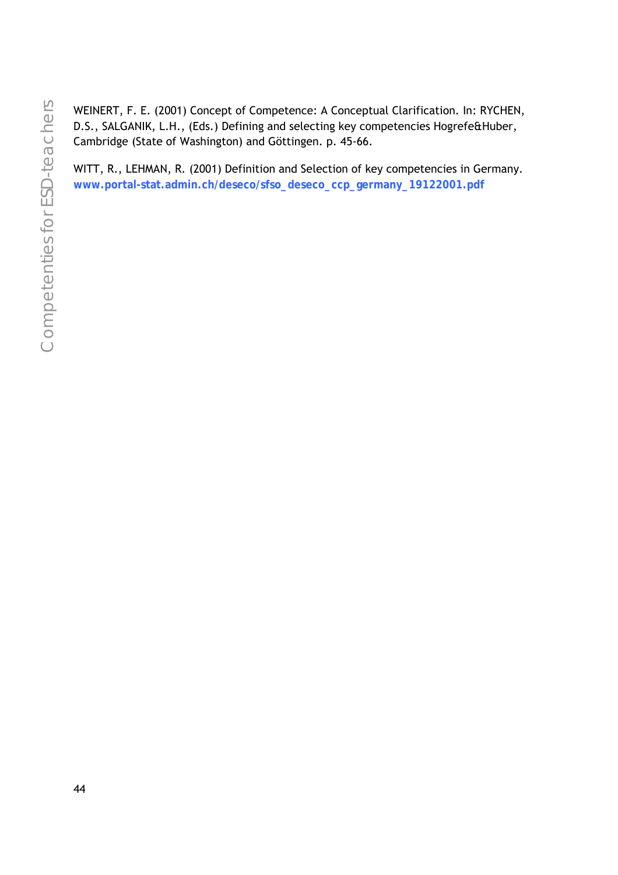WEINERT, F. E. (2001) Concept of Competence: A Conceptual Clarification. In: RYCHEN, D.S., SALGANIK, L.H., (Eds.) Defining and selecting key competencies Hogrefe&Huber, Cambridge (State of Washington) and Göttingen. p. 45-66.

WITT, R., LEHMAN, R. (2001) Definition and Selection of key competencies in Germany. **www.portal-stat.admin.ch/deseco/sfso\_deseco\_ccp\_germany\_19122001.pdf**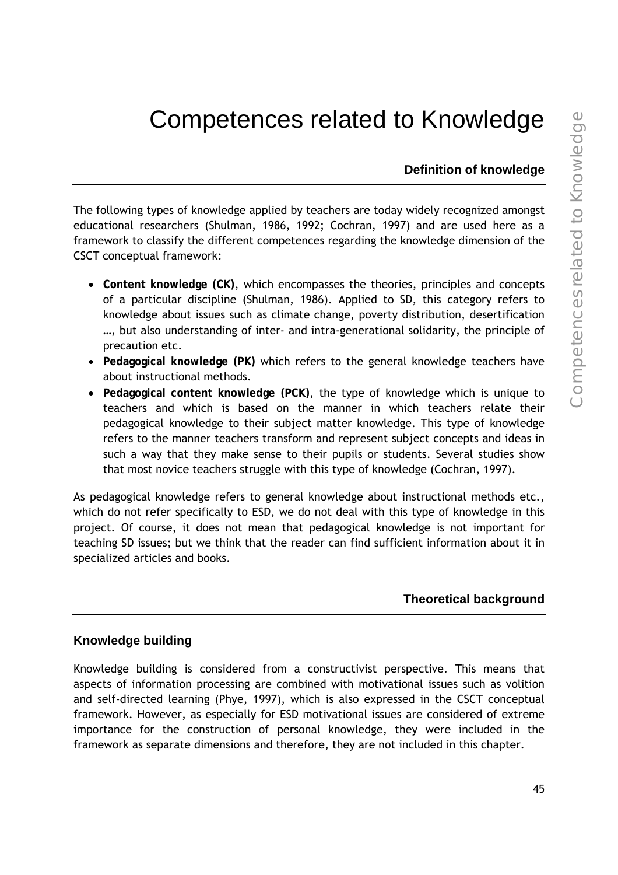# Competences related to Knowledge

**Definition of knowledge** 

The following types of knowledge applied by teachers are today widely recognized amongst educational researchers (Shulman, 1986, 1992; Cochran, 1997) and are used here as a framework to classify the different competences regarding the knowledge dimension of the CSCT conceptual framework:

- **Content knowledge (CK)**, which encompasses the theories, principles and concepts of a particular discipline (Shulman, 1986). Applied to SD, this category refers to knowledge about issues such as climate change, poverty distribution, desertification …, but also understanding of inter- and intra-generational solidarity, the principle of precaution etc.
- **Pedagogical knowledge (PK)** which refers to the general knowledge teachers have about instructional methods.
- **Pedagogical content knowledge (PCK)**, the type of knowledge which is unique to teachers and which is based on the manner in which teachers relate their pedagogical knowledge to their subject matter knowledge. This type of knowledge refers to the manner teachers transform and represent subject concepts and ideas in such a way that they make sense to their pupils or students. Several studies show that most novice teachers struggle with this type of knowledge (Cochran, 1997).

As pedagogical knowledge refers to general knowledge about instructional methods etc., which do not refer specifically to ESD, we do not deal with this type of knowledge in this project. Of course, it does not mean that pedagogical knowledge is not important for teaching SD issues; but we think that the reader can find sufficient information about it in specialized articles and books.

#### **Theoretical background**

#### **Knowledge building**

Knowledge building is considered from a constructivist perspective. This means that aspects of information processing are combined with motivational issues such as volition and self-directed learning (Phye, 1997), which is also expressed in the CSCT conceptual framework. However, as especially for ESD motivational issues are considered of extreme importance for the construction of personal knowledge, they were included in the framework as separate dimensions and therefore, they are not included in this chapter.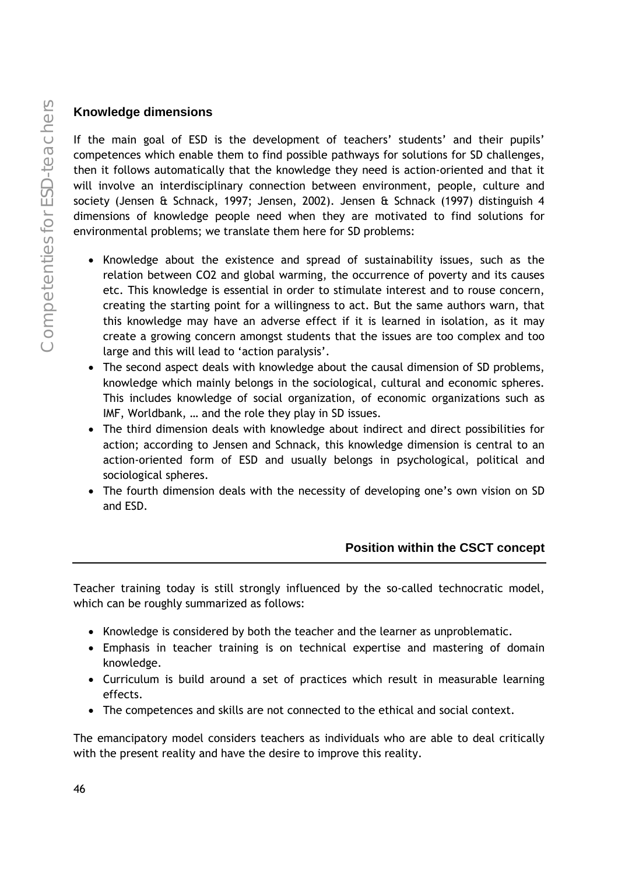## **Knowledge dimensions**

If the main goal of ESD is the development of teachers' students' and their pupils' competences which enable them to find possible pathways for solutions for SD challenges, then it follows automatically that the knowledge they need is action-oriented and that it will involve an interdisciplinary connection between environment, people, culture and society (Jensen & Schnack, 1997; Jensen, 2002). Jensen & Schnack (1997) distinguish 4 dimensions of knowledge people need when they are motivated to find solutions for environmental problems; we translate them here for SD problems:

- Knowledge about the existence and spread of sustainability issues, such as the relation between CO2 and global warming, the occurrence of poverty and its causes etc. This knowledge is essential in order to stimulate interest and to rouse concern, creating the starting point for a willingness to act. But the same authors warn, that this knowledge may have an adverse effect if it is learned in isolation, as it may create a growing concern amongst students that the issues are too complex and too large and this will lead to 'action paralysis'.
- The second aspect deals with knowledge about the causal dimension of SD problems, knowledge which mainly belongs in the sociological, cultural and economic spheres. This includes knowledge of social organization, of economic organizations such as IMF, Worldbank, … and the role they play in SD issues.
- The third dimension deals with knowledge about indirect and direct possibilities for action; according to Jensen and Schnack, this knowledge dimension is central to an action-oriented form of ESD and usually belongs in psychological, political and sociological spheres.
- The fourth dimension deals with the necessity of developing one's own vision on SD and ESD.

## **Position within the CSCT concept**

Teacher training today is still strongly influenced by the so-called technocratic model, which can be roughly summarized as follows:

- Knowledge is considered by both the teacher and the learner as unproblematic.
- Emphasis in teacher training is on technical expertise and mastering of domain knowledge.
- Curriculum is build around a set of practices which result in measurable learning effects.
- The competences and skills are not connected to the ethical and social context.

The emancipatory model considers teachers as individuals who are able to deal critically with the present reality and have the desire to improve this reality.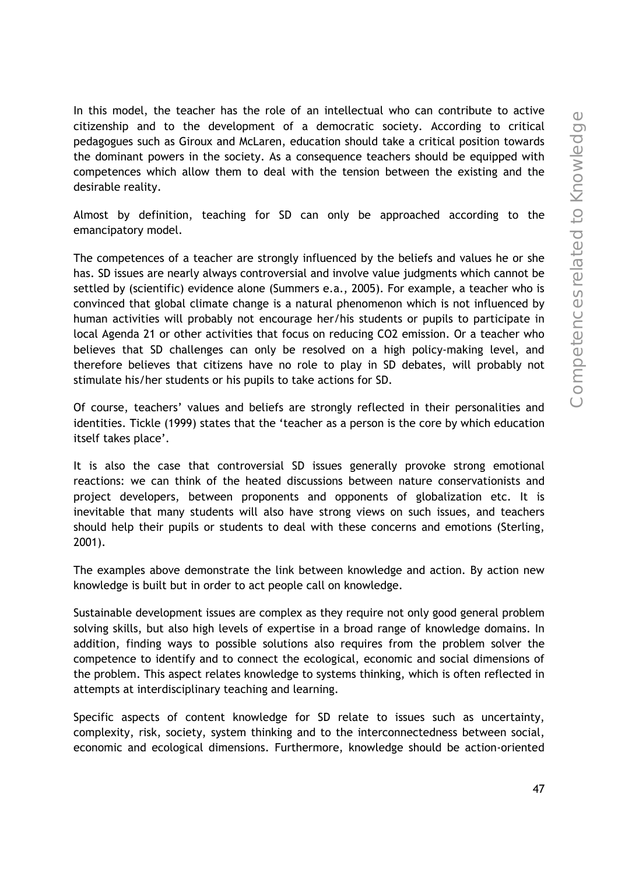In this model, the teacher has the role of an intellectual who can contribute to active citizenship and to the development of a democratic society. According to critical pedagogues such as Giroux and McLaren, education should take a critical position towards the dominant powers in the society. As a consequence teachers should be equipped with competences which allow them to deal with the tension between the existing and the desirable reality.

Almost by definition, teaching for SD can only be approached according to the emancipatory model.

The competences of a teacher are strongly influenced by the beliefs and values he or she has. SD issues are nearly always controversial and involve value judgments which cannot be settled by (scientific) evidence alone (Summers e.a., 2005). For example, a teacher who is convinced that global climate change is a natural phenomenon which is not influenced by human activities will probably not encourage her/his students or pupils to participate in local Agenda 21 or other activities that focus on reducing CO2 emission. Or a teacher who believes that SD challenges can only be resolved on a high policy-making level, and therefore believes that citizens have no role to play in SD debates, will probably not stimulate his/her students or his pupils to take actions for SD.

Of course, teachers' values and beliefs are strongly reflected in their personalities and identities. Tickle (1999) states that the 'teacher as a person is the core by which education itself takes place'.

It is also the case that controversial SD issues generally provoke strong emotional reactions: we can think of the heated discussions between nature conservationists and project developers, between proponents and opponents of globalization etc. It is inevitable that many students will also have strong views on such issues, and teachers should help their pupils or students to deal with these concerns and emotions (Sterling, 2001).

The examples above demonstrate the link between knowledge and action. By action new knowledge is built but in order to act people call on knowledge.

Sustainable development issues are complex as they require not only good general problem solving skills, but also high levels of expertise in a broad range of knowledge domains. In addition, finding ways to possible solutions also requires from the problem solver the competence to identify and to connect the ecological, economic and social dimensions of the problem. This aspect relates knowledge to systems thinking, which is often reflected in attempts at interdisciplinary teaching and learning.

Specific aspects of content knowledge for SD relate to issues such as uncertainty, complexity, risk, society, system thinking and to the interconnectedness between social, economic and ecological dimensions. Furthermore, knowledge should be action-oriented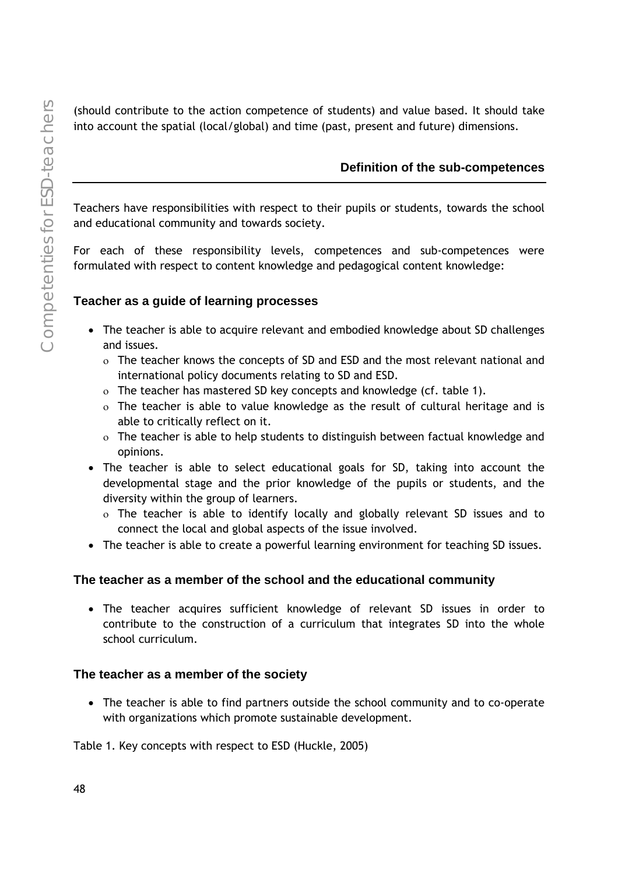(should contribute to the action competence of students) and value based. It should take into account the spatial (local/global) and time (past, present and future) dimensions.

## **Definition of the sub-competences**

Teachers have responsibilities with respect to their pupils or students, towards the school and educational community and towards society.

For each of these responsibility levels, competences and sub-competences were formulated with respect to content knowledge and pedagogical content knowledge:

## **Teacher as a guide of learning processes**

- The teacher is able to acquire relevant and embodied knowledge about SD challenges and issues.
	- ο The teacher knows the concepts of SD and ESD and the most relevant national and international policy documents relating to SD and ESD.
	- ο The teacher has mastered SD key concepts and knowledge (cf. table 1).
	- ο The teacher is able to value knowledge as the result of cultural heritage and is able to critically reflect on it.
	- ο The teacher is able to help students to distinguish between factual knowledge and opinions.
- The teacher is able to select educational goals for SD, taking into account the developmental stage and the prior knowledge of the pupils or students, and the diversity within the group of learners.
	- ο The teacher is able to identify locally and globally relevant SD issues and to connect the local and global aspects of the issue involved.
- The teacher is able to create a powerful learning environment for teaching SD issues.

## **The teacher as a member of the school and the educational community**

• The teacher acquires sufficient knowledge of relevant SD issues in order to contribute to the construction of a curriculum that integrates SD into the whole school curriculum.

#### **The teacher as a member of the society**

• The teacher is able to find partners outside the school community and to co-operate with organizations which promote sustainable development.

#### Table 1. Key concepts with respect to ESD (Huckle, 2005)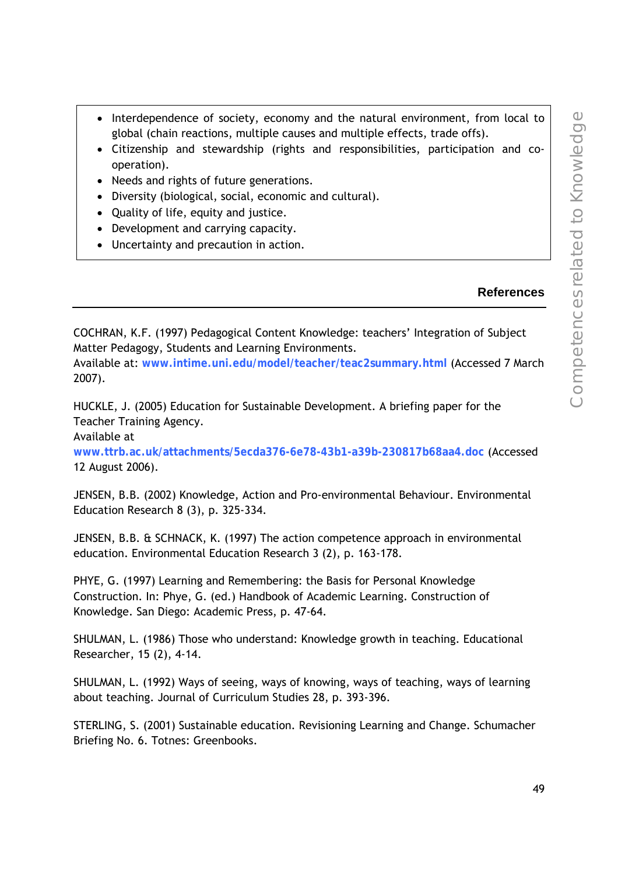- Interdependence of society, economy and the natural environment, from local to global (chain reactions, multiple causes and multiple effects, trade offs).
- Citizenship and stewardship (rights and responsibilities, participation and cooperation).
- Needs and rights of future generations.
- Diversity (biological, social, economic and cultural).
- Quality of life, equity and justice.
- Development and carrying capacity.
- Uncertainty and precaution in action.

## **References**

COCHRAN, K.F. (1997) Pedagogical Content Knowledge: teachers' Integration of Subject Matter Pedagogy, Students and Learning Environments.

Available at: **www.intime.uni.edu/model/teacher/teac2summary.html** (Accessed 7 March 2007).

HUCKLE, J. (2005) Education for Sustainable Development. A briefing paper for the Teacher Training Agency.

Available at

**www.ttrb.ac.uk/attachments/5ecda376-6e78-43b1-a39b-230817b68aa4.doc** (Accessed 12 August 2006).

JENSEN, B.B. (2002) Knowledge, Action and Pro-environmental Behaviour. Environmental Education Research 8 (3), p. 325-334.

JENSEN, B.B. & SCHNACK, K. (1997) The action competence approach in environmental education. Environmental Education Research 3 (2), p. 163-178.

PHYE, G. (1997) Learning and Remembering: the Basis for Personal Knowledge Construction. In: Phye, G. (ed.) Handbook of Academic Learning. Construction of Knowledge. San Diego: Academic Press, p. 47-64.

SHULMAN, L. (1986) Those who understand: Knowledge growth in teaching. Educational Researcher, 15 (2), 4-14.

SHULMAN, L. (1992) Ways of seeing, ways of knowing, ways of teaching, ways of learning about teaching. Journal of Curriculum Studies 28, p. 393-396.

STERLING, S. (2001) Sustainable education. Revisioning Learning and Change. Schumacher Briefing No. 6. Totnes: Greenbooks.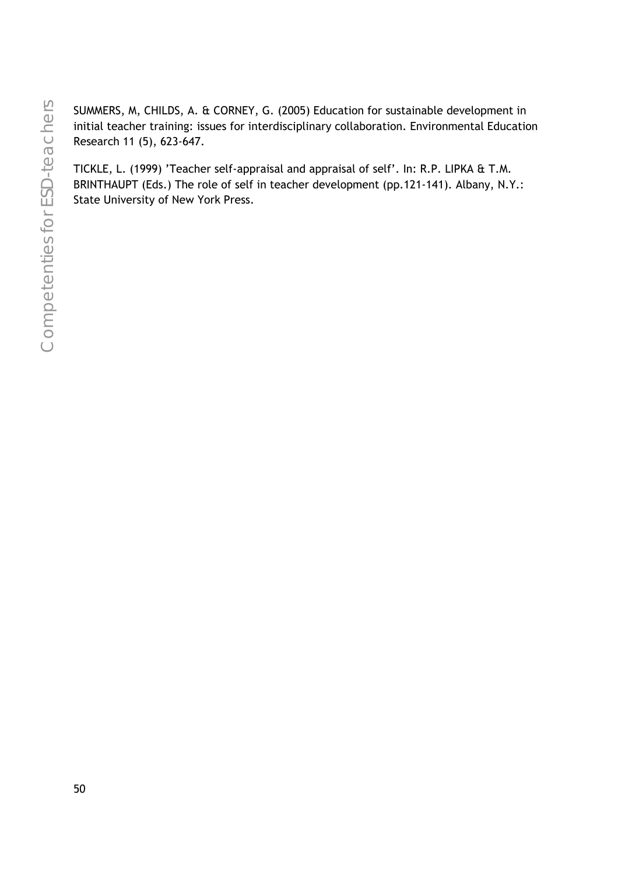SUMMERS, M, CHILDS, A. & CORNEY, G. (2005) Education for sustainable development in initial teacher training: issues for interdisciplinary collaboration. Environmental Education Research 11 (5), 623-647.

TICKLE, L. (1999) 'Teacher self-appraisal and appraisal of self'. In: R.P. LIPKA & T.M. BRINTHAUPT (Eds.) The role of self in teacher development (pp.121-141). Albany, N.Y.: State University of New York Press.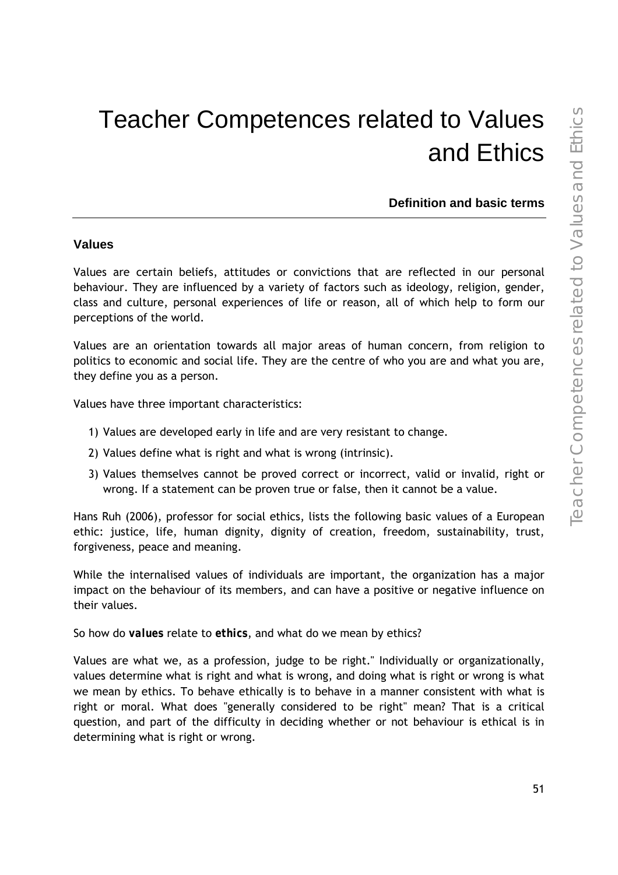# Teacher Competences related to Values and Ethics

**Definition and basic terms** 

#### **Values**

Values are certain beliefs, attitudes or convictions that are reflected in our personal behaviour. They are influenced by a variety of factors such as ideology, religion, gender, class and culture, personal experiences of life or reason, all of which help to form our perceptions of the world.

Values are an orientation towards all major areas of human concern, from religion to politics to economic and social life. They are the centre of who you are and what you are, they define you as a person.

Values have three important characteristics:

- 1) Values are developed early in life and are very resistant to change.
- 2) Values define what is right and what is wrong (intrinsic).
- 3) Values themselves cannot be proved correct or incorrect, valid or invalid, right or wrong. If a statement can be proven true or false, then it cannot be a value.

Hans Ruh (2006), professor for social ethics, lists the following basic values of a European ethic: justice, life, human dignity, dignity of creation, freedom, sustainability, trust, forgiveness, peace and meaning.

While the internalised values of individuals are important, the organization has a major impact on the behaviour of its members, and can have a positive or negative influence on their values.

So how do *values* relate to *ethics*, and what do we mean by ethics?

Values are what we, as a profession, judge to be right." Individually or organizationally, values determine what is right and what is wrong, and doing what is right or wrong is what we mean by ethics. To behave ethically is to behave in a manner consistent with what is right or moral. What does "generally considered to be right" mean? That is a critical question, and part of the difficulty in deciding whether or not behaviour is ethical is in determining what is right or wrong.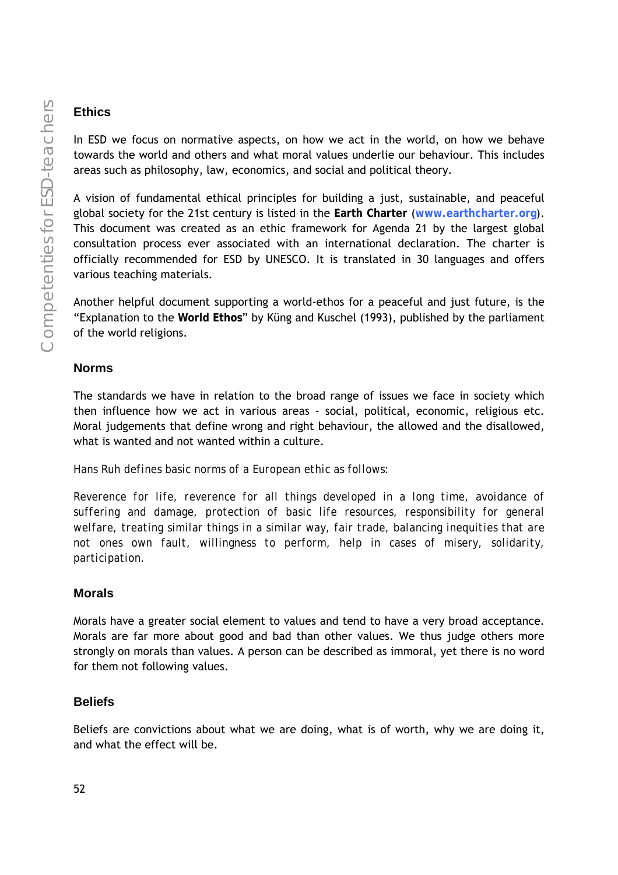## **Ethics**

In ESD we focus on normative aspects, on how we act in the world, on how we behave towards the world and others and what moral values underlie our behaviour. This includes areas such as philosophy, law, economics, and social and political theory.

A vision of fundamental ethical principles for building a just, sustainable, and peaceful global society for the 21st century is listed in the **Earth Charter** (**www.earthcharter.org**). This document was created as an ethic framework for Agenda 21 by the largest global consultation process ever associated with an international declaration. The charter is officially recommended for ESD by UNESCO. It is translated in 30 languages and offers various teaching materials.

Another helpful document supporting a world-ethos for a peaceful and just future, is the "Explanation to the **World Ethos**" by Küng and Kuschel (1993), published by the parliament of the world religions.

## **Norms**

The standards we have in relation to the broad range of issues we face in society which then influence how we act in various areas - social, political, economic, religious etc. Moral judgements that define wrong and right behaviour, the allowed and the disallowed, what is wanted and not wanted within a culture.

*Hans Ruh defines basic norms of a European ethic as follows:* 

*Reverence for life, reverence for all things developed in a long time, avoidance of suffering and damage, protection of basic life resources, responsibility for general welfare, treating similar things in a similar way, fair trade, balancing inequities that are not ones own fault, willingness to perform, help in cases of misery, solidarity, participation.* 

## **Morals**

Morals have a greater social element to values and tend to have a very broad acceptance. Morals are far more about good and bad than other values. We thus judge others more strongly on morals than values. A person can be described as immoral, yet there is no word for them not following values.

# **Beliefs**

Beliefs are convictions about what we are doing, what is of worth, why we are doing it, and what the effect will be.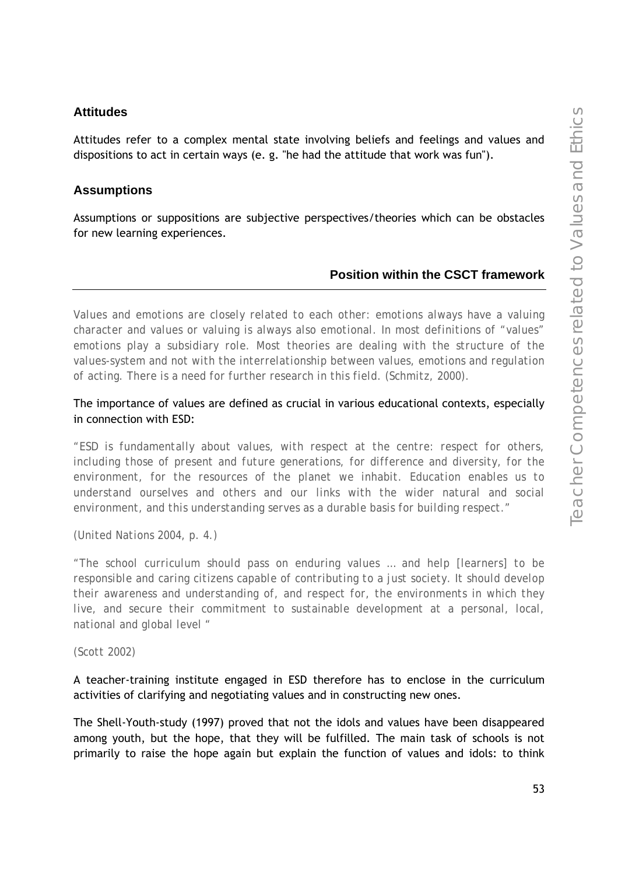#### **Attitudes**

Attitudes refer to a complex mental state involving beliefs and feelings and values and dispositions to act in certain ways (e. g. "he had the attitude that work was fun").

### **Assumptions**

Assumptions or suppositions are subjective perspectives/theories which can be obstacles for new learning experiences.

### **Position within the CSCT framework**

*Values and emotions are closely related to each other: emotions always have a valuing character and values or valuing is always also emotional. In most definitions of "values" emotions play a subsidiary role. Most theories are dealing with the structure of the values-system and not with the interrelationship between values, emotions and regulation of acting. There is a need for further research in this field. (Schmitz, 2000).* 

The importance of values are defined as crucial in various educational contexts, especially in connection with ESD:

*"ESD is fundamentally about values, with respect at the centre: respect for others, including those of present and future generations, for difference and diversity, for the environment, for the resources of the planet we inhabit. Education enables us to understand ourselves and others and our links with the wider natural and social environment, and this understanding serves as a durable basis for building respect."* 

*(United Nations 2004, p. 4.)* 

*"The school curriculum should pass on enduring values … and help [learners] to be responsible and caring citizens capable of contributing to a just society. It should develop their awareness and understanding of, and respect for, the environments in which they live, and secure their commitment to sustainable development at a personal, local, national and global level "* 

*(Scott 2002)* 

A teacher-training institute engaged in ESD therefore has to enclose in the curriculum activities of clarifying and negotiating values and in constructing new ones.

The Shell-Youth-study (1997) proved that not the idols and values have been disappeared among youth, but the hope, that they will be fulfilled. The main task of schools is not primarily to raise the hope again but explain the function of values and idols: to think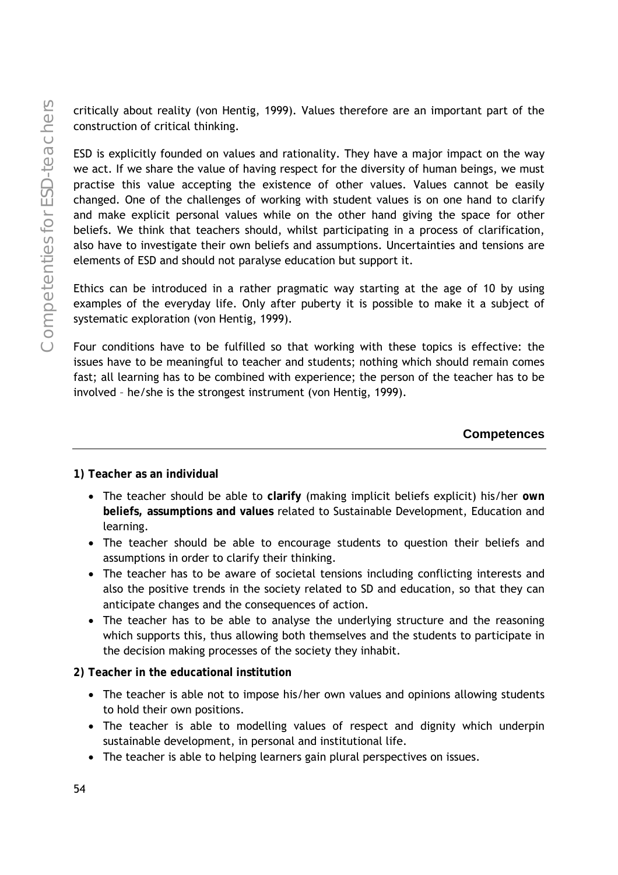critically about reality (von Hentig, 1999). Values therefore are an important part of the construction of critical thinking.

ESD is explicitly founded on values and rationality. They have a major impact on the way we act. If we share the value of having respect for the diversity of human beings, we must practise this value accepting the existence of other values. Values cannot be easily changed. One of the challenges of working with student values is on one hand to clarify and make explicit personal values while on the other hand giving the space for other beliefs. We think that teachers should, whilst participating in a process of clarification, also have to investigate their own beliefs and assumptions. Uncertainties and tensions are elements of ESD and should not paralyse education but support it.

Ethics can be introduced in a rather pragmatic way starting at the age of 10 by using examples of the everyday life. Only after puberty it is possible to make it a subject of systematic exploration (von Hentig, 1999).

Four conditions have to be fulfilled so that working with these topics is effective: the issues have to be meaningful to teacher and students; nothing which should remain comes fast; all learning has to be combined with experience; the person of the teacher has to be involved – he/she is the strongest instrument (von Hentig, 1999).

## **Competences**

**1) Teacher as an individual** 

- The teacher should be able to **clarify** (making implicit beliefs explicit) his/her **own beliefs, assumptions and values** related to Sustainable Development, Education and learning.
- The teacher should be able to encourage students to question their beliefs and assumptions in order to clarify their thinking.
- The teacher has to be aware of societal tensions including conflicting interests and also the positive trends in the society related to SD and education, so that they can anticipate changes and the consequences of action.
- The teacher has to be able to analyse the underlying structure and the reasoning which supports this, thus allowing both themselves and the students to participate in the decision making processes of the society they inhabit.

## **2) Teacher in the educational institution**

- The teacher is able not to impose his/her own values and opinions allowing students to hold their own positions.
- The teacher is able to modelling values of respect and dignity which underpin sustainable development, in personal and institutional life.
- The teacher is able to helping learners gain plural perspectives on issues.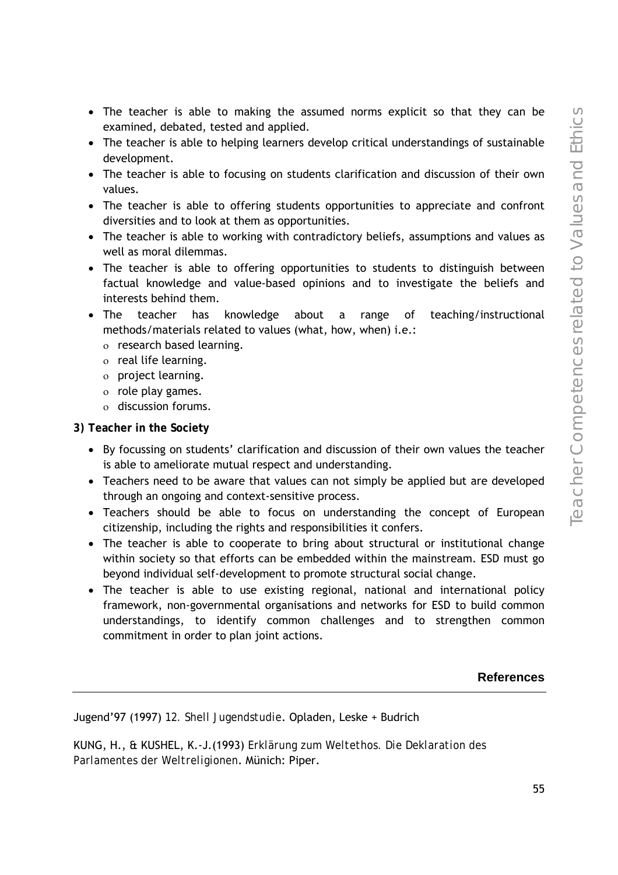- The teacher is able to making the assumed norms explicit so that they can be examined, debated, tested and applied.
- The teacher is able to helping learners develop critical understandings of sustainable development.
- The teacher is able to focusing on students clarification and discussion of their own values.
- The teacher is able to offering students opportunities to appreciate and confront diversities and to look at them as opportunities.
- The teacher is able to working with contradictory beliefs, assumptions and values as well as moral dilemmas.
- The teacher is able to offering opportunities to students to distinguish between factual knowledge and value-based opinions and to investigate the beliefs and interests behind them.
- The teacher has knowledge about a range of teaching/instructional methods/materials related to values (what, how, when) i.e.:
	- ο research based learning.
	- ο real life learning.
	- ο project learning.
	- ο role play games.
	- ο discussion forums.

**3) Teacher in the Society** 

- By focussing on students' clarification and discussion of their own values the teacher is able to ameliorate mutual respect and understanding.
- Teachers need to be aware that values can not simply be applied but are developed through an ongoing and context-sensitive process.
- Teachers should be able to focus on understanding the concept of European citizenship, including the rights and responsibilities it confers.
- The teacher is able to cooperate to bring about structural or institutional change within society so that efforts can be embedded within the mainstream. ESD must go beyond individual self-development to promote structural social change.
- The teacher is able to use existing regional, national and international policy framework, non-governmental organisations and networks for ESD to build common understandings, to identify common challenges and to strengthen common commitment in order to plan joint actions.

**References** 

Jugend'97 (1997) *12. Shell Jugendstudie*. Opladen, Leske + Budrich

KUNG, H., & KUSHEL, K.-J.(1993) *Erklärung zum Weltethos. Die Deklaration des Parlamentes der Weltreligionen*. Münich: Piper.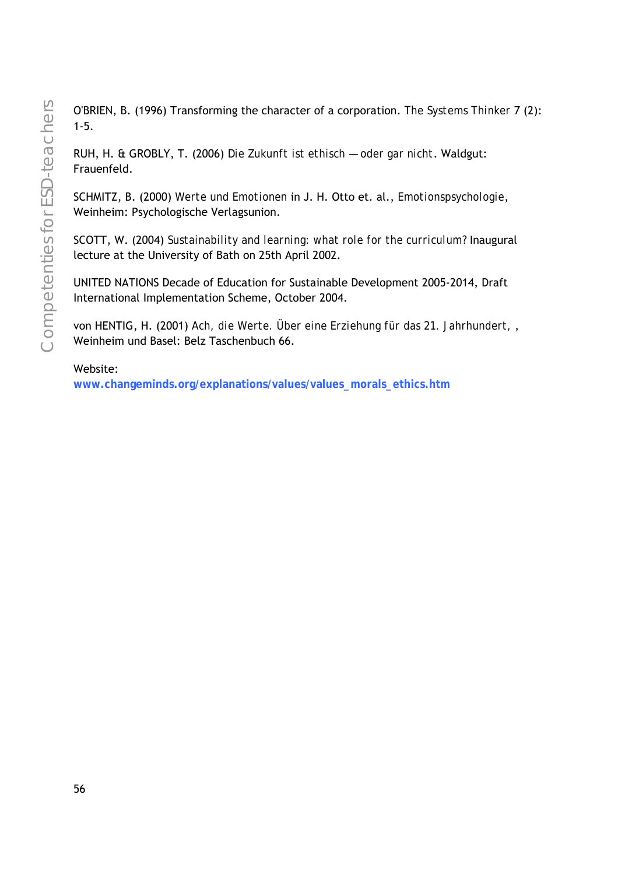O'BRIEN, B. (1996) Transforming the character of a corporation. *The Systems Thinker* 7 (2): 1-5.

RUH, H. & GROBLY, T. (2006) *Die Zukunft ist ethisch — oder gar nicht*. Waldgut: Frauenfeld.

SCHMITZ, B. (2000) *Werte und Emotionen* in J. H. Otto et. al., *Emotionspsychologie*, Weinheim: Psychologische Verlagsunion.

SCOTT, W. (2004) *Sustainability and learning: what role for the curriculum?* Inaugural lecture at the University of Bath on 25th April 2002.

UNITED NATIONS Decade of Education for Sustainable Development 2005-2014, Draft International Implementation Scheme, October 2004.

von HENTIG, H. (2001) *Ach, die Werte. Über eine Erziehung für das 21. Jahrhundert,* , Weinheim und Basel: Belz Taschenbuch 66.

Website:

**www.changeminds.org/explanations/values/values\_morals\_ethics.htm**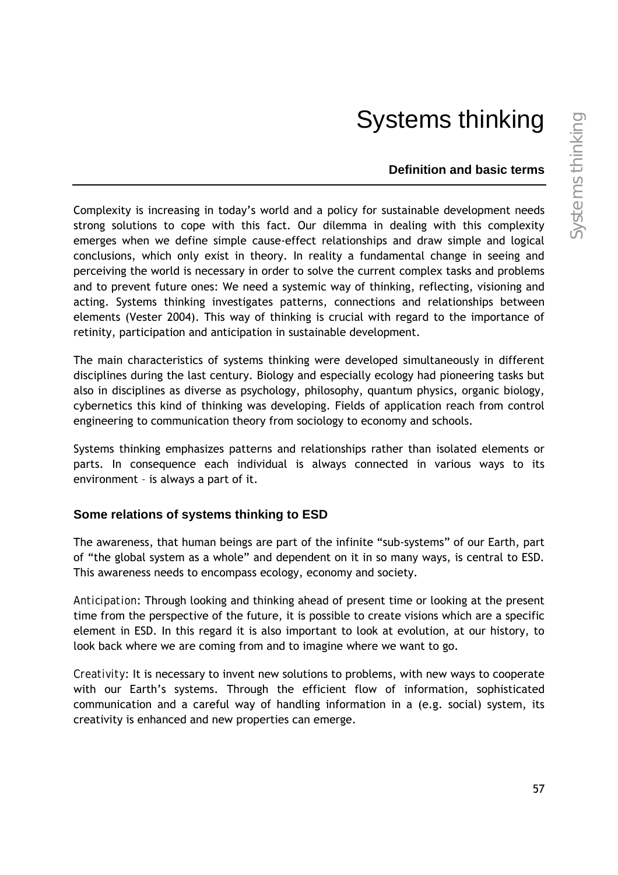# Systems thinking

### **Definition and basic terms**

Complexity is increasing in today's world and a policy for sustainable development needs strong solutions to cope with this fact. Our dilemma in dealing with this complexity emerges when we define simple cause-effect relationships and draw simple and logical conclusions, which only exist in theory. In reality a fundamental change in seeing and perceiving the world is necessary in order to solve the current complex tasks and problems and to prevent future ones: We need a systemic way of thinking, reflecting, visioning and acting. Systems thinking investigates patterns, connections and relationships between elements (Vester 2004). This way of thinking is crucial with regard to the importance of retinity, participation and anticipation in sustainable development.

The main characteristics of systems thinking were developed simultaneously in different disciplines during the last century. Biology and especially ecology had pioneering tasks but also in disciplines as diverse as psychology, philosophy, quantum physics, organic biology, cybernetics this kind of thinking was developing. Fields of application reach from control engineering to communication theory from sociology to economy and schools.

Systems thinking emphasizes patterns and relationships rather than isolated elements or parts. In consequence each individual is always connected in various ways to its environment – is always a part of it.

## **Some relations of systems thinking to ESD**

The awareness, that human beings are part of the infinite "sub-systems" of our Earth, part of "the global system as a whole" and dependent on it in so many ways, is central to ESD. This awareness needs to encompass ecology, economy and society.

*Anticipation*: Through looking and thinking ahead of present time or looking at the present time from the perspective of the future, it is possible to create visions which are a specific element in ESD. In this regard it is also important to look at evolution, at our history, to look back where we are coming from and to imagine where we want to go.

*Creativity*: It is necessary to invent new solutions to problems, with new ways to cooperate with our Earth's systems. Through the efficient flow of information, sophisticated communication and a careful way of handling information in a (e.g. social) system, its creativity is enhanced and new properties can emerge.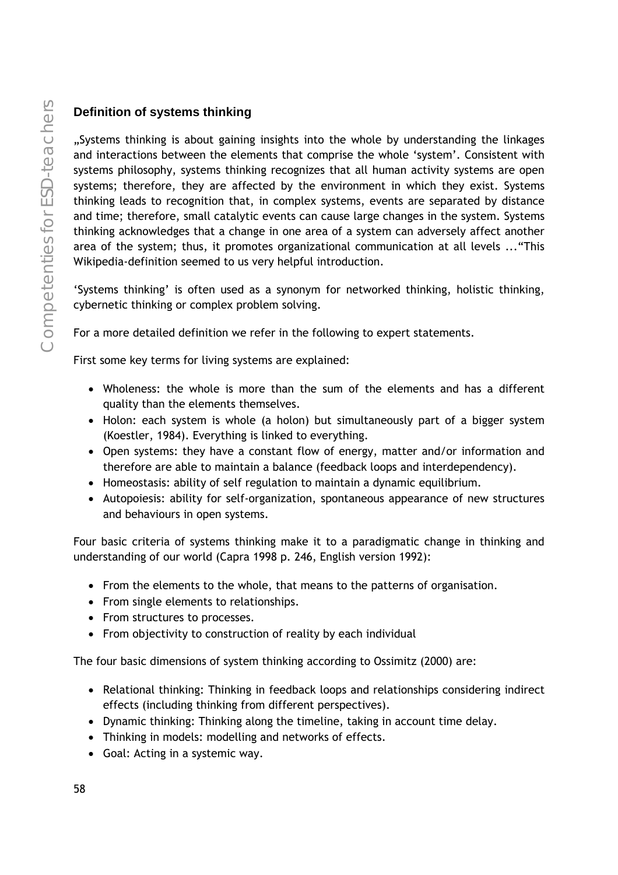## **Definition of systems thinking**

"Systems thinking is about gaining insights into the whole by understanding the linkages and interactions between the elements that comprise the whole 'system'. Consistent with systems philosophy, systems thinking recognizes that all human activity systems are open systems; therefore, they are affected by the environment in which they exist. Systems thinking leads to recognition that, in complex systems, events are separated by distance and time; therefore, small catalytic events can cause large changes in the system. Systems thinking acknowledges that a change in one area of a system can adversely affect another area of the system; thus, it promotes organizational communication at all levels ..."This Wikipedia-definition seemed to us very helpful introduction.

'Systems thinking' is often used as a synonym for networked thinking, holistic thinking, cybernetic thinking or complex problem solving.

For a more detailed definition we refer in the following to expert statements.

First some key terms for living systems are explained:

- Wholeness: the whole is more than the sum of the elements and has a different quality than the elements themselves.
- Holon: each system is whole (a holon) but simultaneously part of a bigger system (Koestler, 1984). Everything is linked to everything.
- Open systems: they have a constant flow of energy, matter and/or information and therefore are able to maintain a balance (feedback loops and interdependency).
- Homeostasis: ability of self regulation to maintain a dynamic equilibrium.
- Autopoiesis: ability for self-organization, spontaneous appearance of new structures and behaviours in open systems.

Four basic criteria of systems thinking make it to a paradigmatic change in thinking and understanding of our world (Capra 1998 p. 246, English version 1992):

- From the elements to the whole, that means to the patterns of organisation.
- From single elements to relationships.
- From structures to processes.
- From objectivity to construction of reality by each individual

The four basic dimensions of system thinking according to Ossimitz (2000) are:

- Relational thinking: Thinking in feedback loops and relationships considering indirect effects (including thinking from different perspectives).
- Dynamic thinking: Thinking along the timeline, taking in account time delay.
- Thinking in models: modelling and networks of effects.
- Goal: Acting in a systemic way.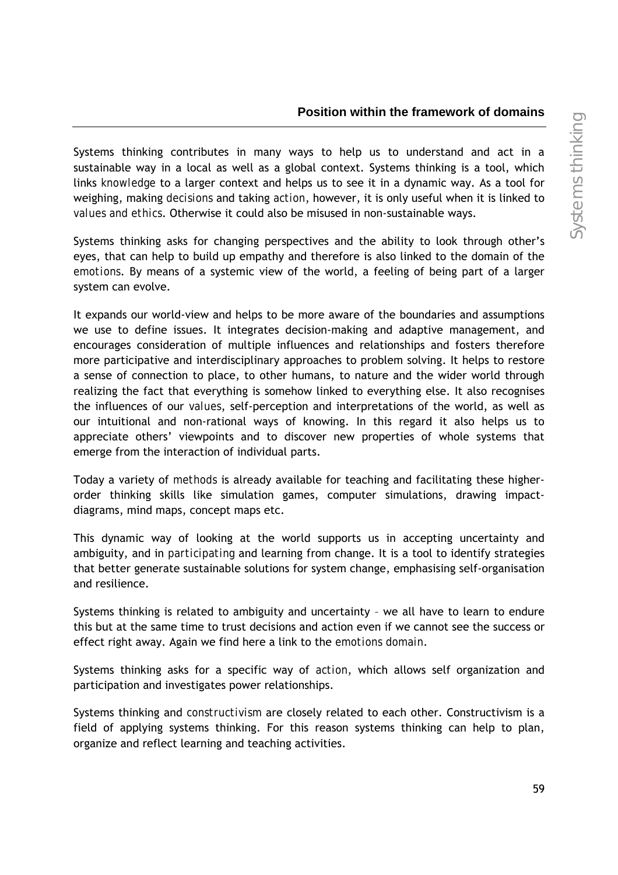### **Position within the framework of domains**

Systems thinking contributes in many ways to help us to understand and act in a sustainable way in a local as well as a global context. Systems thinking is a tool, which links *knowledge* to a larger context and helps us to see it in a dynamic way. As a tool for weighing, making *decisions* and taking *action*, however, it is only useful when it is linked to *values and ethics*. Otherwise it could also be misused in non-sustainable ways.

Systems thinking asks for changing perspectives and the ability to look through other's eyes, that can help to build up empathy and therefore is also linked to the domain of the *emotions*. By means of a systemic view of the world, a feeling of being part of a larger system can evolve.

It expands our world-view and helps to be more aware of the boundaries and assumptions we use to define issues. It integrates decision-making and adaptive management, and encourages consideration of multiple influences and relationships and fosters therefore more participative and interdisciplinary approaches to problem solving. It helps to restore a sense of connection to place, to other humans, to nature and the wider world through realizing the fact that everything is somehow linked to everything else. It also recognises the influences of our *values*, self-perception and interpretations of the world, as well as our intuitional and non-rational ways of knowing. In this regard it also helps us to appreciate others' viewpoints and to discover new properties of whole systems that emerge from the interaction of individual parts.

Today a variety of *methods* is already available for teaching and facilitating these higherorder thinking skills like simulation games, computer simulations, drawing impactdiagrams, mind maps, concept maps etc.

This dynamic way of looking at the world supports us in accepting uncertainty and ambiguity, and in *participating* and learning from change. It is a tool to identify strategies that better generate sustainable solutions for system change, emphasising self-organisation and resilience.

Systems thinking is related to ambiguity and uncertainty – we all have to learn to endure this but at the same time to trust decisions and action even if we cannot see the success or effect right away. Again we find here a link to the *emotions domain*.

Systems thinking asks for a specific way of *action*, which allows self organization and participation and investigates power relationships.

Systems thinking and *constructivism* are closely related to each other. Constructivism is a field of applying systems thinking. For this reason systems thinking can help to plan, organize and reflect learning and teaching activities.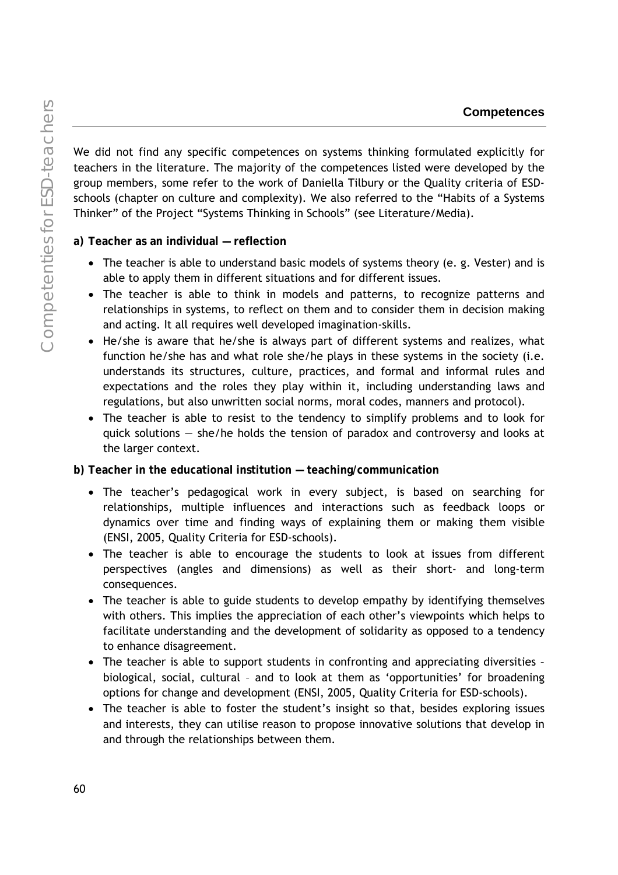Competenties for ESD-teachers Competenties for ESD-teachers

We did not find any specific competences on systems thinking formulated explicitly for teachers in the literature. The majority of the competences listed were developed by the group members, some refer to the work of Daniella Tilbury or the Quality criteria of ESDschools (chapter on culture and complexity). We also referred to the "Habits of a Systems Thinker" of the Project "Systems Thinking in Schools" (see Literature/Media).

**a) Teacher as an individual — reflection** 

- The teacher is able to understand basic models of systems theory (e. g. Vester) and is able to apply them in different situations and for different issues.
- The teacher is able to think in models and patterns, to recognize patterns and relationships in systems, to reflect on them and to consider them in decision making and acting. It all requires well developed imagination-skills.
- He/she is aware that he/she is always part of different systems and realizes, what function he/she has and what role she/he plays in these systems in the society (i.e. understands its structures, culture, practices, and formal and informal rules and expectations and the roles they play within it, including understanding laws and regulations, but also unwritten social norms, moral codes, manners and protocol).
- The teacher is able to resist to the tendency to simplify problems and to look for quick solutions — she/he holds the tension of paradox and controversy and looks at the larger context.

**b) Teacher in the educational institution — teaching/communication** 

- The teacher's pedagogical work in every subject, is based on searching for relationships, multiple influences and interactions such as feedback loops or dynamics over time and finding ways of explaining them or making them visible (ENSI, 2005, Quality Criteria for ESD-schools).
- The teacher is able to encourage the students to look at issues from different perspectives (angles and dimensions) as well as their short- and long-term consequences.
- The teacher is able to guide students to develop empathy by identifying themselves with others. This implies the appreciation of each other's viewpoints which helps to facilitate understanding and the development of solidarity as opposed to a tendency to enhance disagreement.
- The teacher is able to support students in confronting and appreciating diversities biological, social, cultural – and to look at them as 'opportunities' for broadening options for change and development (ENSI, 2005, Quality Criteria for ESD-schools).
- The teacher is able to foster the student's insight so that, besides exploring issues and interests, they can utilise reason to propose innovative solutions that develop in and through the relationships between them.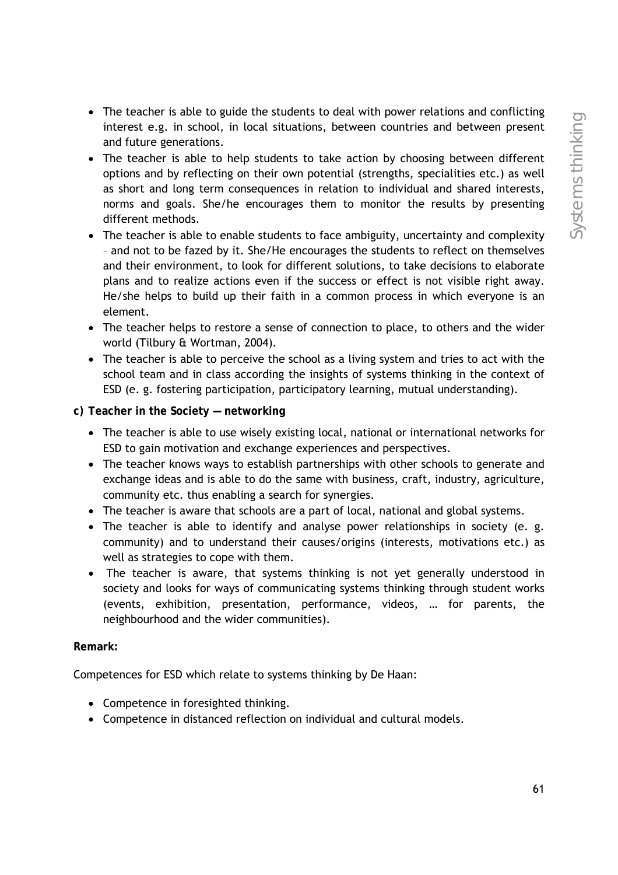- The teacher is able to guide the students to deal with power relations and conflicting interest e.g. in school, in local situations, between countries and between present and future generations.
- The teacher is able to help students to take action by choosing between different options and by reflecting on their own potential (strengths, specialities etc.) as well as short and long term consequences in relation to individual and shared interests, norms and goals. She/he encourages them to monitor the results by presenting different methods.
- The teacher is able to enable students to face ambiguity, uncertainty and complexity – and not to be fazed by it. She/He encourages the students to reflect on themselves and their environment, to look for different solutions, to take decisions to elaborate plans and to realize actions even if the success or effect is not visible right away. He/she helps to build up their faith in a common process in which everyone is an element.
- The teacher helps to restore a sense of connection to place, to others and the wider world (Tilbury & Wortman, 2004).
- The teacher is able to perceive the school as a living system and tries to act with the school team and in class according the insights of systems thinking in the context of ESD (e. g. fostering participation, participatory learning, mutual understanding).
- **c) Teacher in the Society networking** 
	- The teacher is able to use wisely existing local, national or international networks for ESD to gain motivation and exchange experiences and perspectives.
	- The teacher knows ways to establish partnerships with other schools to generate and exchange ideas and is able to do the same with business, craft, industry, agriculture, community etc. thus enabling a search for synergies.
	- The teacher is aware that schools are a part of local, national and global systems.
	- The teacher is able to identify and analyse power relationships in society (e. g. community) and to understand their causes/origins (interests, motivations etc.) as well as strategies to cope with them.
	- The teacher is aware, that systems thinking is not yet generally understood in society and looks for ways of communicating systems thinking through student works (events, exhibition, presentation, performance, videos, … for parents, the neighbourhood and the wider communities).

## **Remark:**

Competences for ESD which relate to systems thinking by De Haan:

- Competence in foresighted thinking.
- Competence in distanced reflection on individual and cultural models.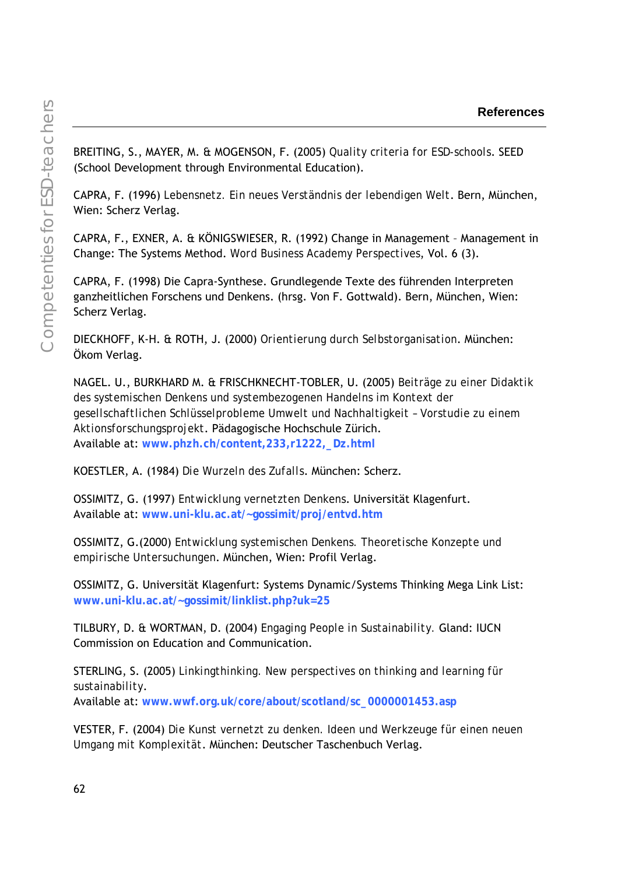BREITING, S., MAYER, M. & MOGENSON, F. (2005) *Quality criteria for ESD-schools*. SEED (School Development through Environmental Education).

CAPRA, F. (1996) *Lebensnetz. Ein neues Verständnis der lebendigen Welt*. Bern, München, Wien: Scherz Verlag.

CAPRA, F., EXNER, A. & KÖNIGSWIESER, R. (1992) Change in Management – Management in Change: The Systems Method. *Word Business Academy Perspectives*, Vol. 6 (3).

CAPRA, F. (1998) Die Capra-Synthese. Grundlegende Texte des führenden Interpreten ganzheitlichen Forschens und Denkens. (hrsg. Von F. Gottwald). Bern, München, Wien: Scherz Verlag.

DIECKHOFF, K-H. & ROTH, J. (2000) *Orientierung durch Selbstorganisation*. München: Ökom Verlag.

NAGEL. U., BURKHARD M. & FRISCHKNECHT-TOBLER, U. (2005) *Beiträge zu einer Didaktik des systemischen Denkens und systembezogenen Handelns im Kontext der gesellschaftlichen Schlüsselprobleme Umwelt und Nachhaltigkeit – Vorstudie zu einem Aktionsforschungsprojekt*. Pädagogische Hochschule Zürich. Available at: **www.phzh.ch/content,233,r1222,\_Dz.html**

KOESTLER, A. (1984) *Die Wurzeln des Zufalls*. München: Scherz.

OSSIMITZ, G. (1997) *Entwicklung vernetzten Denkens*. Universität Klagenfurt. Available at: **www.uni-klu.ac.at/~gossimit/proj/entvd.htm**

OSSIMITZ, G.(2000) *Entwicklung systemischen Denkens. Theoretische Konzepte und empirische Untersuchungen*. München, Wien: Profil Verlag.

OSSIMITZ, G. Universität Klagenfurt: Systems Dynamic/Systems Thinking Mega Link List: **www.uni-klu.ac.at/~gossimit/linklist.php?uk=25**

TILBURY, D. & WORTMAN, D. (2004) *Engaging People in Sustainability.* Gland: IUCN Commission on Education and Communication.

STERLING, S. (2005) *Linkingthinking. New perspectives on thinking and learning für sustainability*.

Available at: **www.wwf.org.uk/core/about/scotland/sc\_0000001453.asp**

VESTER, F. (2004) *Die Kunst vernetzt zu denken. Ideen und Werkzeuge für einen neuen Umgang mit Komplexität*. München: Deutscher Taschenbuch Verlag.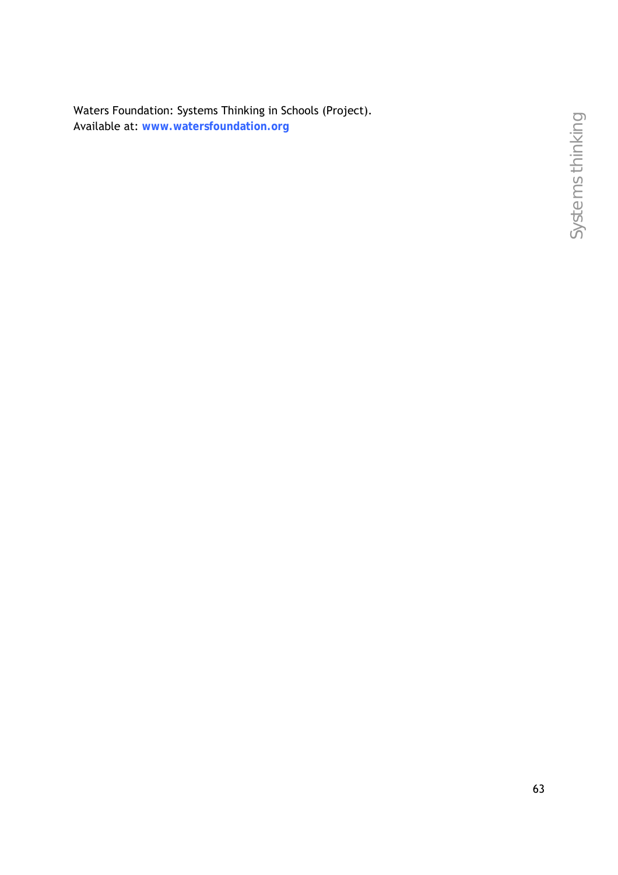Waters Foundation: Systems Thinking in Schools (Project). Available at: **www.watersfoundation.org**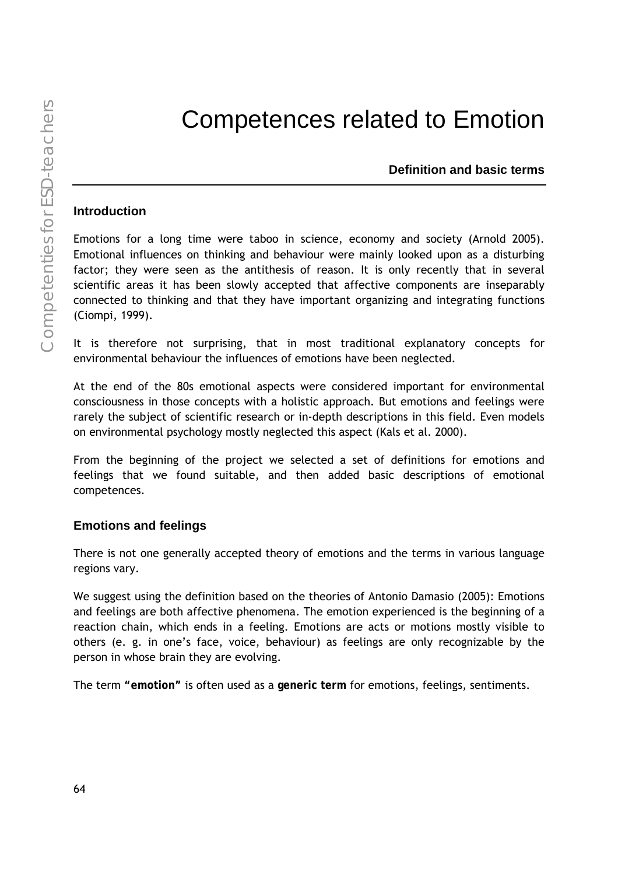# Competences related to Emotion

**Definition and basic terms** 

### **Introduction**

Emotions for a long time were taboo in science, economy and society (Arnold 2005). Emotional influences on thinking and behaviour were mainly looked upon as a disturbing factor; they were seen as the antithesis of reason. It is only recently that in several scientific areas it has been slowly accepted that affective components are inseparably connected to thinking and that they have important organizing and integrating functions (Ciompi, 1999).

It is therefore not surprising, that in most traditional explanatory concepts for environmental behaviour the influences of emotions have been neglected.

At the end of the 80s emotional aspects were considered important for environmental consciousness in those concepts with a holistic approach. But emotions and feelings were rarely the subject of scientific research or in-depth descriptions in this field. Even models on environmental psychology mostly neglected this aspect (Kals et al. 2000).

From the beginning of the project we selected a set of definitions for emotions and feelings that we found suitable, and then added basic descriptions of emotional competences.

## **Emotions and feelings**

There is not one generally accepted theory of emotions and the terms in various language regions vary.

We suggest using the definition based on the theories of Antonio Damasio (2005): Emotions and feelings are both affective phenomena. The emotion experienced is the beginning of a reaction chain, which ends in a feeling. Emotions are acts or motions mostly visible to others (e. g. in one's face, voice, behaviour) as feelings are only recognizable by the person in whose brain they are evolving.

The term **"emotion"** is often used as a **generic term** for emotions, feelings, sentiments.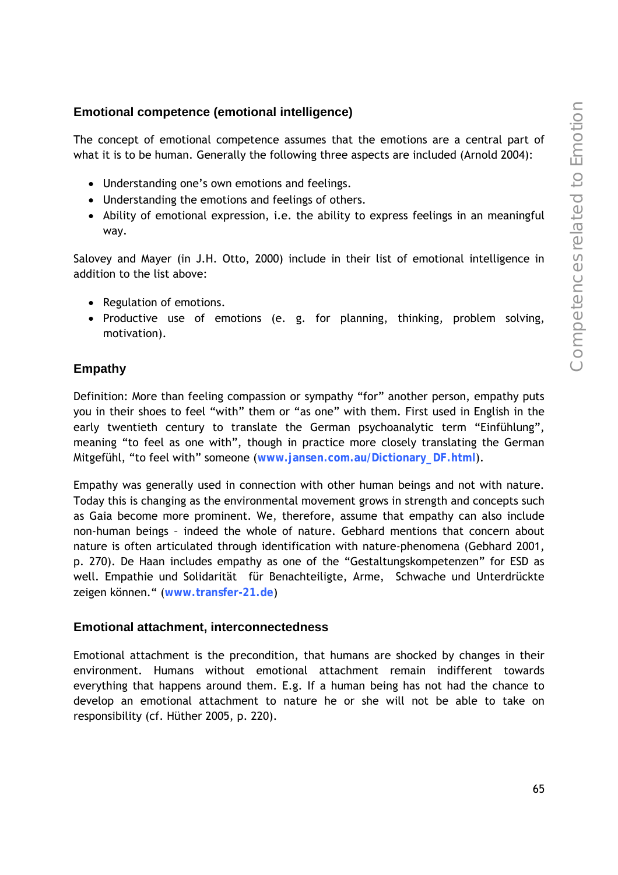## **Emotional competence (emotional intelligence)**

The concept of emotional competence assumes that the emotions are a central part of what it is to be human. Generally the following three aspects are included (Arnold 2004):

- Understanding one's own emotions and feelings.
- Understanding the emotions and feelings of others.
- Ability of emotional expression, i.e. the ability to express feelings in an meaningful way.

Salovey and Mayer (in J.H. Otto, 2000) include in their list of emotional intelligence in addition to the list above:

- Regulation of emotions.
- Productive use of emotions (e. g. for planning, thinking, problem solving, motivation).

#### **Empathy**

Definition: More than feeling compassion or sympathy "for" another person, empathy puts you in their shoes to feel "with" them or "as one" with them. First used in English in the early twentieth century to translate the German psychoanalytic term "Einfühlung", meaning "to feel as one with", though in practice more closely translating the German Mitgefühl, "to feel with" someone (**www.jansen.com.au/Dictionary\_DF.html**).

Empathy was generally used in connection with other human beings and not with nature. Today this is changing as the environmental movement grows in strength and concepts such as Gaia become more prominent. We, therefore, assume that empathy can also include non-human beings – indeed the whole of nature. Gebhard mentions that concern about nature is often articulated through identification with nature-phenomena (Gebhard 2001, p. 270). De Haan includes empathy as one of the "Gestaltungskompetenzen" for ESD as well. Empathie und Solidarität für Benachteiligte, Arme, Schwache und Unterdrückte zeigen können." (**www.transfer-21.de**)

#### **Emotional attachment, interconnectedness**

Emotional attachment is the precondition, that humans are shocked by changes in their environment. Humans without emotional attachment remain indifferent towards everything that happens around them. E.g. If a human being has not had the chance to develop an emotional attachment to nature he or she will not be able to take on responsibility (cf. Hüther 2005, p. 220).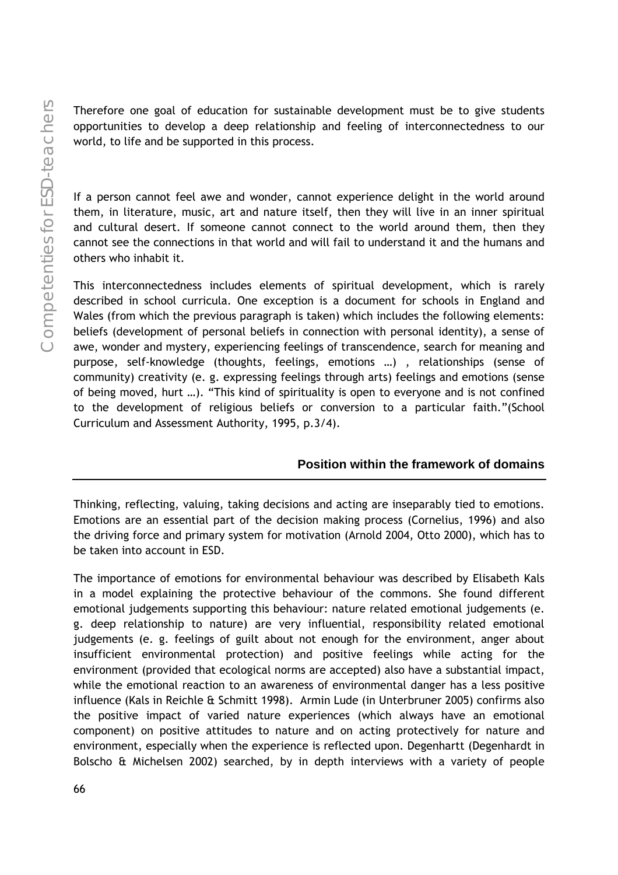Therefore one goal of education for sustainable development must be to give students opportunities to develop a deep relationship and feeling of interconnectedness to our world, to life and be supported in this process.

If a person cannot feel awe and wonder, cannot experience delight in the world around them, in literature, music, art and nature itself, then they will live in an inner spiritual and cultural desert. If someone cannot connect to the world around them, then they cannot see the connections in that world and will fail to understand it and the humans and others who inhabit it.

This interconnectedness includes elements of spiritual development, which is rarely described in school curricula. One exception is a document for schools in England and Wales (from which the previous paragraph is taken) which includes the following elements: beliefs (development of personal beliefs in connection with personal identity), a sense of awe, wonder and mystery, experiencing feelings of transcendence, search for meaning and purpose, self-knowledge (thoughts, feelings, emotions …) , relationships (sense of community) creativity (e. g. expressing feelings through arts) feelings and emotions (sense of being moved, hurt …). "This kind of spirituality is open to everyone and is not confined to the development of religious beliefs or conversion to a particular faith."(School Curriculum and Assessment Authority, 1995, p.3/4).

## **Position within the framework of domains**

Thinking, reflecting, valuing, taking decisions and acting are inseparably tied to emotions. Emotions are an essential part of the decision making process (Cornelius, 1996) and also the driving force and primary system for motivation (Arnold 2004, Otto 2000), which has to be taken into account in ESD.

The importance of emotions for environmental behaviour was described by Elisabeth Kals in a model explaining the protective behaviour of the commons. She found different emotional judgements supporting this behaviour: nature related emotional judgements (e. g. deep relationship to nature) are very influential, responsibility related emotional judgements (e. g. feelings of guilt about not enough for the environment, anger about insufficient environmental protection) and positive feelings while acting for the environment (provided that ecological norms are accepted) also have a substantial impact, while the emotional reaction to an awareness of environmental danger has a less positive influence (Kals in Reichle & Schmitt 1998). Armin Lude (in Unterbruner 2005) confirms also the positive impact of varied nature experiences (which always have an emotional component) on positive attitudes to nature and on acting protectively for nature and environment, especially when the experience is reflected upon. Degenhartt (Degenhardt in Bolscho & Michelsen 2002) searched, by in depth interviews with a variety of people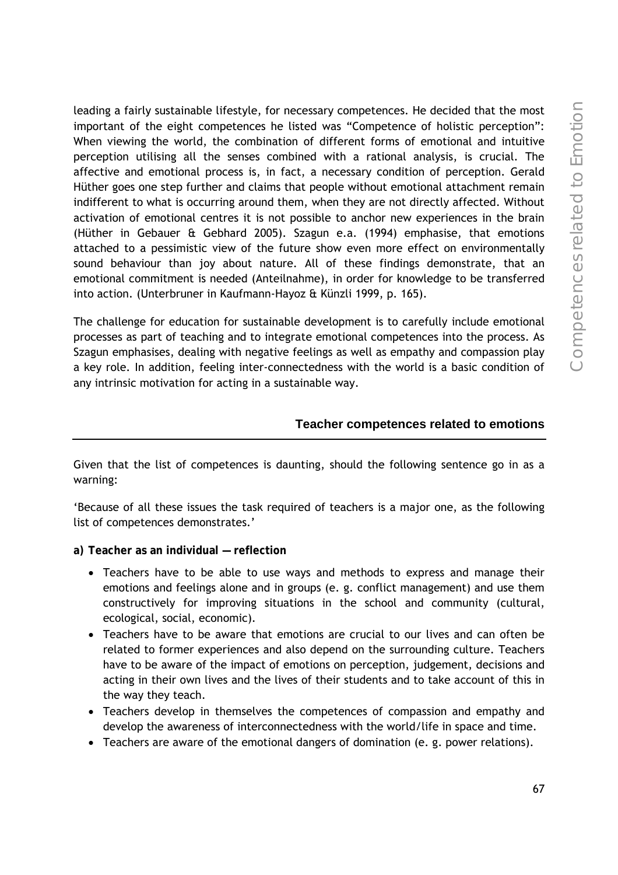leading a fairly sustainable lifestyle, for necessary competences. He decided that the most important of the eight competences he listed was "Competence of holistic perception": When viewing the world, the combination of different forms of emotional and intuitive perception utilising all the senses combined with a rational analysis, is crucial. The affective and emotional process is, in fact, a necessary condition of perception. Gerald Hüther goes one step further and claims that people without emotional attachment remain indifferent to what is occurring around them, when they are not directly affected. Without activation of emotional centres it is not possible to anchor new experiences in the brain (Hüther in Gebauer & Gebhard 2005). Szagun e.a. (1994) emphasise, that emotions attached to a pessimistic view of the future show even more effect on environmentally sound behaviour than joy about nature. All of these findings demonstrate, that an emotional commitment is needed (Anteilnahme), in order for knowledge to be transferred into action. (Unterbruner in Kaufmann-Hayoz & Künzli 1999, p. 165).

The challenge for education for sustainable development is to carefully include emotional processes as part of teaching and to integrate emotional competences into the process. As Szagun emphasises, dealing with negative feelings as well as empathy and compassion play a key role. In addition, feeling inter-connectedness with the world is a basic condition of any intrinsic motivation for acting in a sustainable way.

#### **Teacher competences related to emotions**

Given that the list of competences is daunting, should the following sentence go in as a warning:

'Because of all these issues the task required of teachers is a major one, as the following list of competences demonstrates.'

- **a) Teacher as an individual reflection**
	- Teachers have to be able to use ways and methods to express and manage their emotions and feelings alone and in groups (e. g. conflict management) and use them constructively for improving situations in the school and community (cultural, ecological, social, economic).
	- Teachers have to be aware that emotions are crucial to our lives and can often be related to former experiences and also depend on the surrounding culture. Teachers have to be aware of the impact of emotions on perception, judgement, decisions and acting in their own lives and the lives of their students and to take account of this in the way they teach.
	- Teachers develop in themselves the competences of compassion and empathy and develop the awareness of interconnectedness with the world/life in space and time.
	- Teachers are aware of the emotional dangers of domination (e. g. power relations).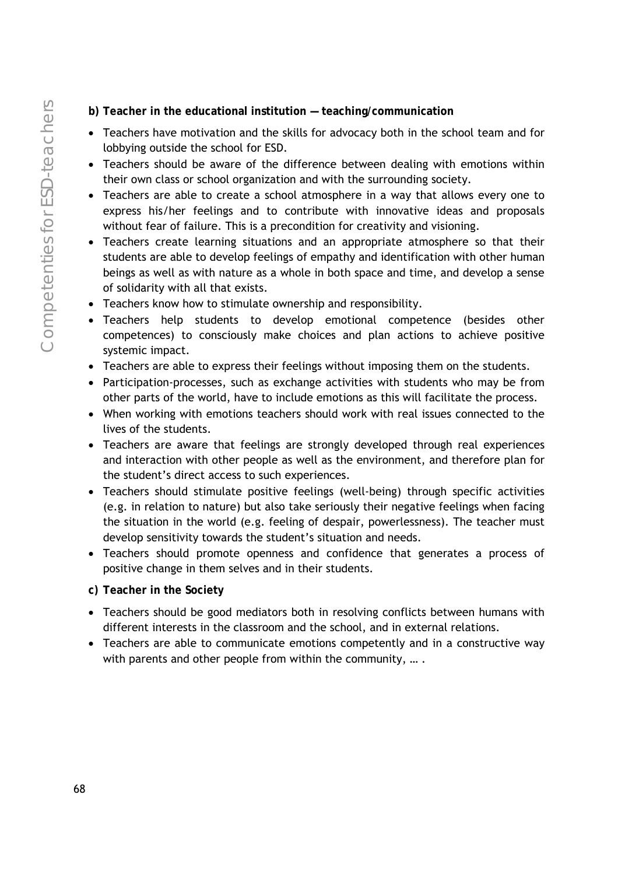- **b) Teacher in the educational institution teaching/communication**
- Teachers have motivation and the skills for advocacy both in the school team and for lobbying outside the school for ESD.
- Teachers should be aware of the difference between dealing with emotions within their own class or school organization and with the surrounding society.
- Teachers are able to create a school atmosphere in a way that allows every one to express his/her feelings and to contribute with innovative ideas and proposals without fear of failure. This is a precondition for creativity and visioning.
- Teachers create learning situations and an appropriate atmosphere so that their students are able to develop feelings of empathy and identification with other human beings as well as with nature as a whole in both space and time, and develop a sense of solidarity with all that exists.
- Teachers know how to stimulate ownership and responsibility.
- Teachers help students to develop emotional competence (besides other competences) to consciously make choices and plan actions to achieve positive systemic impact.
- Teachers are able to express their feelings without imposing them on the students.
- Participation-processes, such as exchange activities with students who may be from other parts of the world, have to include emotions as this will facilitate the process.
- When working with emotions teachers should work with real issues connected to the lives of the students.
- Teachers are aware that feelings are strongly developed through real experiences and interaction with other people as well as the environment, and therefore plan for the student's direct access to such experiences.
- Teachers should stimulate positive feelings (well-being) through specific activities (e.g. in relation to nature) but also take seriously their negative feelings when facing the situation in the world (e.g. feeling of despair, powerlessness). The teacher must develop sensitivity towards the student's situation and needs.
- Teachers should promote openness and confidence that generates a process of positive change in them selves and in their students.
- **c) Teacher in the Society**
- Teachers should be good mediators both in resolving conflicts between humans with different interests in the classroom and the school, and in external relations.
- Teachers are able to communicate emotions competently and in a constructive way with parents and other people from within the community, ....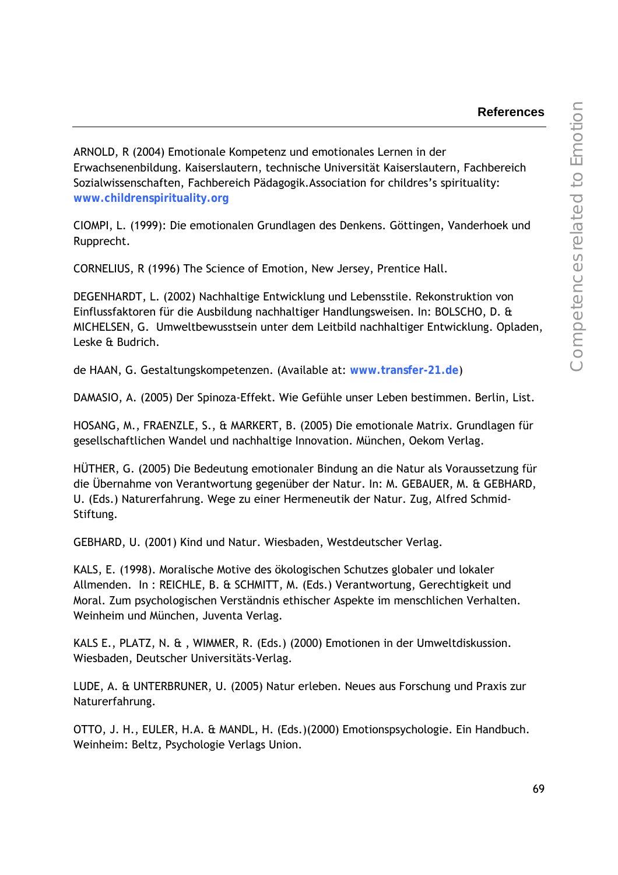#### **References**

ARNOLD, R (2004) Emotionale Kompetenz und emotionales Lernen in der Erwachsenenbildung. Kaiserslautern, technische Universität Kaiserslautern, Fachbereich Sozialwissenschaften, Fachbereich Pädagogik.Association for childres's spirituality: **www.childrenspirituality.org**

CIOMPI, L. (1999): Die emotionalen Grundlagen des Denkens. Göttingen, Vanderhoek und Rupprecht.

CORNELIUS, R (1996) The Science of Emotion, New Jersey, Prentice Hall.

DEGENHARDT, L. (2002) Nachhaltige Entwicklung und Lebensstile. Rekonstruktion von Einflussfaktoren für die Ausbildung nachhaltiger Handlungsweisen. In: BOLSCHO, D. & MICHELSEN, G. Umweltbewusstsein unter dem Leitbild nachhaltiger Entwicklung. Opladen, Leske & Budrich.

de HAAN, G. Gestaltungskompetenzen. (Available at: **www.transfer-21.de**)

DAMASIO, A. (2005) Der Spinoza-Effekt. Wie Gefühle unser Leben bestimmen. Berlin, List.

HOSANG, M., FRAENZLE, S., & MARKERT, B. (2005) Die emotionale Matrix. Grundlagen für gesellschaftlichen Wandel und nachhaltige Innovation. München, Oekom Verlag.

HÜTHER, G. (2005) Die Bedeutung emotionaler Bindung an die Natur als Voraussetzung für die Übernahme von Verantwortung gegenüber der Natur. In: M. GEBAUER, M. & GEBHARD, U. (Eds.) Naturerfahrung. Wege zu einer Hermeneutik der Natur. Zug, Alfred Schmid-Stiftung.

GEBHARD, U. (2001) Kind und Natur. Wiesbaden, Westdeutscher Verlag.

KALS, E. (1998). Moralische Motive des ökologischen Schutzes globaler und lokaler Allmenden. In : REICHLE, B. & SCHMITT, M. (Eds.) Verantwortung, Gerechtigkeit und Moral. Zum psychologischen Verständnis ethischer Aspekte im menschlichen Verhalten. Weinheim und München, Juventa Verlag.

KALS E., PLATZ, N. & , WIMMER, R. (Eds.) (2000) Emotionen in der Umweltdiskussion. Wiesbaden, Deutscher Universitäts-Verlag.

LUDE, A. & UNTERBRUNER, U. (2005) Natur erleben. Neues aus Forschung und Praxis zur Naturerfahrung.

OTTO, J. H., EULER, H.A. & MANDL, H. (Eds.)(2000) Emotionspsychologie. Ein Handbuch. Weinheim: Beltz, Psychologie Verlags Union.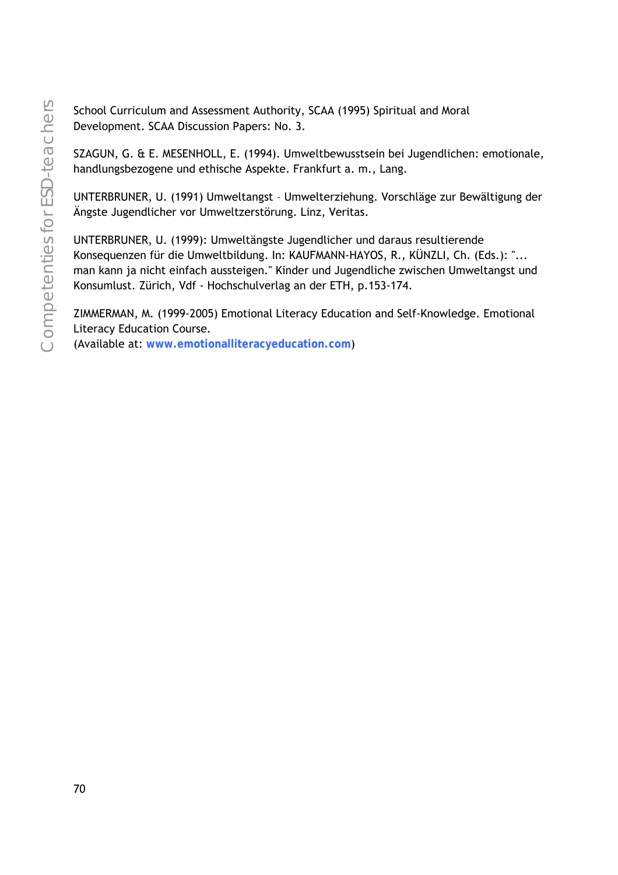School Curriculum and Assessment Authority, SCAA (1995) Spiritual and Moral Development. SCAA Discussion Papers: No. 3.

SZAGUN, G. & E. MESENHOLL, E. (1994). Umweltbewusstsein bei Jugendlichen: emotionale, handlungsbezogene und ethische Aspekte. Frankfurt a. m., Lang.

UNTERBRUNER, U. (1991) Umweltangst – Umwelterziehung. Vorschläge zur Bewältigung der Ängste Jugendlicher vor Umweltzerstörung. Linz, Veritas.

UNTERBRUNER, U. (1999): Umweltängste Jugendlicher und daraus resultierende Konsequenzen für die Umweltbildung. In: KAUFMANN-HAYOS, R., KÜNZLI, Ch. (Eds.): "... man kann ja nicht einfach aussteigen." Kinder und Jugendliche zwischen Umweltangst und Konsumlust. Zürich, Vdf - Hochschulverlag an der ETH, p.153-174.

ZIMMERMAN, M. (1999-2005) Emotional Literacy Education and Self-Knowledge. Emotional Literacy Education Course. (Available at: **www.emotionalliteracyeducation.com**)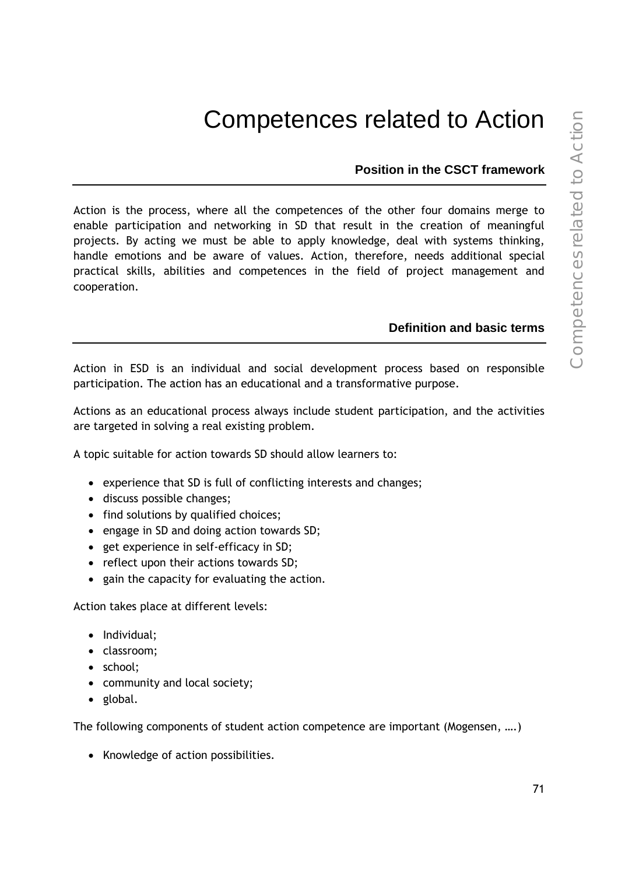# Competences related to Action

## **Position in the CSCT framework**

Action is the process, where all the competences of the other four domains merge to enable participation and networking in SD that result in the creation of meaningful projects. By acting we must be able to apply knowledge, deal with systems thinking, handle emotions and be aware of values. Action, therefore, needs additional special practical skills, abilities and competences in the field of project management and cooperation.

## **Definition and basic terms**

Action in ESD is an individual and social development process based on responsible participation. The action has an educational and a transformative purpose.

Actions as an educational process always include student participation, and the activities are targeted in solving a real existing problem.

A topic suitable for action towards SD should allow learners to:

- experience that SD is full of conflicting interests and changes;
- discuss possible changes;
- find solutions by qualified choices;
- engage in SD and doing action towards SD;
- get experience in self-efficacy in SD;
- reflect upon their actions towards SD;
- gain the capacity for evaluating the action.

Action takes place at different levels:

- Individual;
- classroom;
- school;
- community and local society;
- global.

The following components of student action competence are important (Mogensen, ….)

• Knowledge of action possibilities.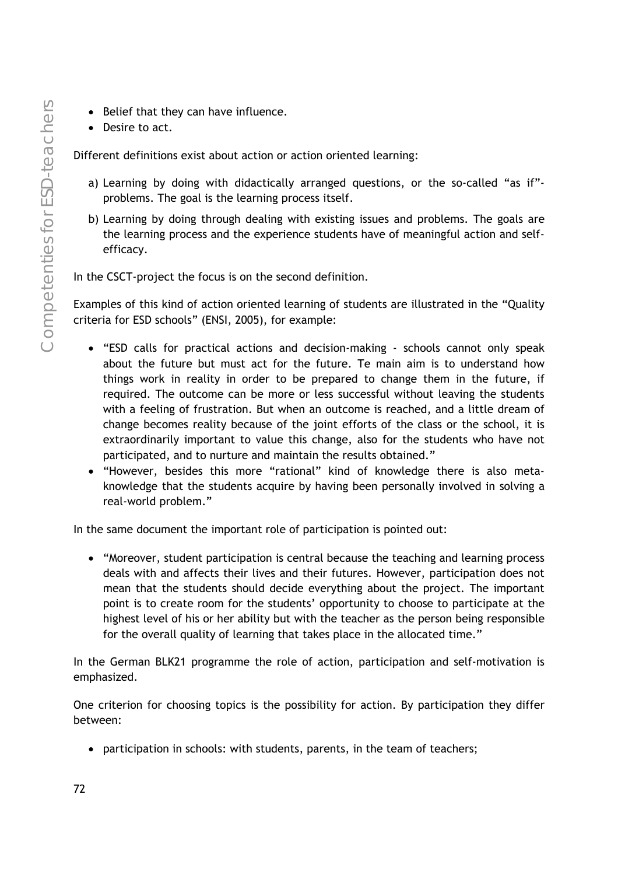- Belief that they can have influence.
- Desire to act.

Different definitions exist about action or action oriented learning:

- a) Learning by doing with didactically arranged questions, or the so-called "as if" problems. The goal is the learning process itself.
- b) Learning by doing through dealing with existing issues and problems. The goals are the learning process and the experience students have of meaningful action and selfefficacy.

In the CSCT-project the focus is on the second definition.

Examples of this kind of action oriented learning of students are illustrated in the "Quality criteria for ESD schools" (ENSI, 2005), for example:

- "ESD calls for practical actions and decision-making schools cannot only speak about the future but must act for the future. Te main aim is to understand how things work in reality in order to be prepared to change them in the future, if required. The outcome can be more or less successful without leaving the students with a feeling of frustration. But when an outcome is reached, and a little dream of change becomes reality because of the joint efforts of the class or the school, it is extraordinarily important to value this change, also for the students who have not participated, and to nurture and maintain the results obtained."
- "However, besides this more "rational" kind of knowledge there is also metaknowledge that the students acquire by having been personally involved in solving a real-world problem."

In the same document the important role of participation is pointed out:

• "Moreover, student participation is central because the teaching and learning process deals with and affects their lives and their futures. However, participation does not mean that the students should decide everything about the project. The important point is to create room for the students' opportunity to choose to participate at the highest level of his or her ability but with the teacher as the person being responsible for the overall quality of learning that takes place in the allocated time."

In the German BLK21 programme the role of action, participation and self-motivation is emphasized.

One criterion for choosing topics is the possibility for action. By participation they differ between:

• participation in schools: with students, parents, in the team of teachers;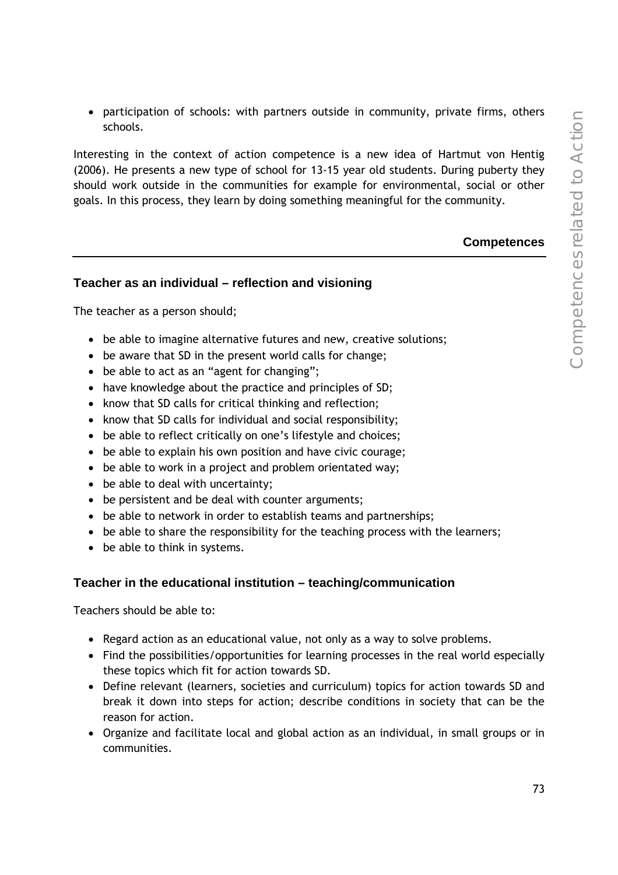• participation of schools: with partners outside in community, private firms, others schools.

Interesting in the context of action competence is a new idea of Hartmut von Hentig (2006). He presents a new type of school for 13-15 year old students. During puberty they should work outside in the communities for example for environmental, social or other goals. In this process, they learn by doing something meaningful for the community.

#### **Competences**

### **Teacher as an individual – reflection and visioning**

The teacher as a person should;

- be able to imagine alternative futures and new, creative solutions;
- be aware that SD in the present world calls for change;
- be able to act as an "agent for changing";
- have knowledge about the practice and principles of SD;
- know that SD calls for critical thinking and reflection;
- know that SD calls for individual and social responsibility;
- be able to reflect critically on one's lifestyle and choices;
- be able to explain his own position and have civic courage;
- be able to work in a project and problem orientated way;
- be able to deal with uncertainty;
- be persistent and be deal with counter arguments;
- be able to network in order to establish teams and partnerships;
- be able to share the responsibility for the teaching process with the learners;
- be able to think in systems.

### **Teacher in the educational institution – teaching/communication**

Teachers should be able to:

- Regard action as an educational value, not only as a way to solve problems.
- Find the possibilities/opportunities for learning processes in the real world especially these topics which fit for action towards SD.
- Define relevant (learners, societies and curriculum) topics for action towards SD and break it down into steps for action; describe conditions in society that can be the reason for action.
- Organize and facilitate local and global action as an individual, in small groups or in communities.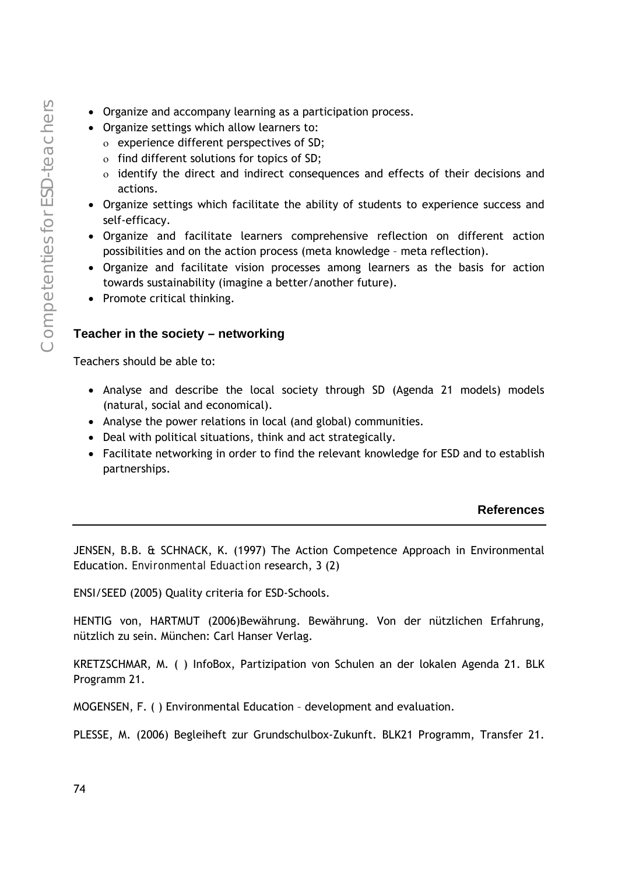- Organize and accompany learning as a participation process.
- Organize settings which allow learners to:
	- ο experience different perspectives of SD;
	- ο find different solutions for topics of SD;
	- ο identify the direct and indirect consequences and effects of their decisions and actions.
- Organize settings which facilitate the ability of students to experience success and self-efficacy.
- Organize and facilitate learners comprehensive reflection on different action possibilities and on the action process (meta knowledge – meta reflection).
- Organize and facilitate vision processes among learners as the basis for action towards sustainability (imagine a better/another future).
- Promote critical thinking.

### **Teacher in the society – networking**

Teachers should be able to:

- Analyse and describe the local society through SD (Agenda 21 models) models (natural, social and economical).
- Analyse the power relations in local (and global) communities.
- Deal with political situations, think and act strategically.
- Facilitate networking in order to find the relevant knowledge for ESD and to establish partnerships.

### **References**

JENSEN, B.B. & SCHNACK, K. (1997) The Action Competence Approach in Environmental Education. *Environmental Eduaction* research, 3 (2)

ENSI/SEED (2005) Quality criteria for ESD-Schools.

HENTIG von, HARTMUT (2006)Bewährung. Bewährung. Von der nützlichen Erfahrung, nützlich zu sein. München: Carl Hanser Verlag.

KRETZSCHMAR, M. ( ) InfoBox, Partizipation von Schulen an der lokalen Agenda 21. BLK Programm 21.

MOGENSEN, F. ( ) Environmental Education – development and evaluation.

PLESSE, M. (2006) Begleiheft zur Grundschulbox-Zukunft. BLK21 Programm, Transfer 21.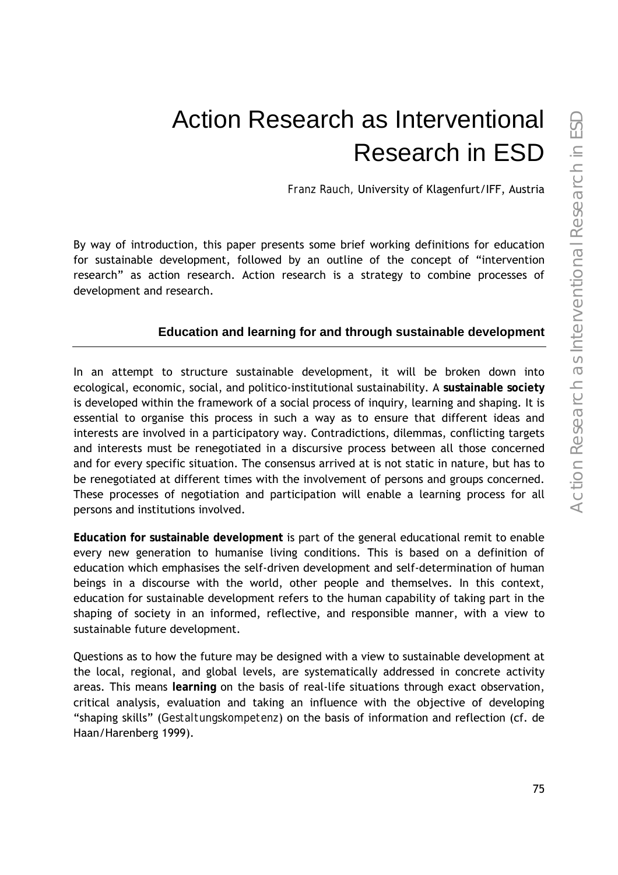# Action Research as Interventional Research in ESD

*Franz Rauch,* University of Klagenfurt/IFF, Austria

By way of introduction, this paper presents some brief working definitions for education for sustainable development, followed by an outline of the concept of "intervention research" as action research. Action research is a strategy to combine processes of development and research.

## **Education and learning for and through sustainable development**

In an attempt to structure sustainable development, it will be broken down into ecological, economic, social, and politico-institutional sustainability. A **sustainable society** is developed within the framework of a social process of inquiry, learning and shaping. It is essential to organise this process in such a way as to ensure that different ideas and interests are involved in a participatory way. Contradictions, dilemmas, conflicting targets and interests must be renegotiated in a discursive process between all those concerned and for every specific situation. The consensus arrived at is not static in nature, but has to be renegotiated at different times with the involvement of persons and groups concerned. These processes of negotiation and participation will enable a learning process for all persons and institutions involved.

**Education for sustainable development** is part of the general educational remit to enable every new generation to humanise living conditions. This is based on a definition of education which emphasises the self-driven development and self-determination of human beings in a discourse with the world, other people and themselves. In this context, education for sustainable development refers to the human capability of taking part in the shaping of society in an informed, reflective, and responsible manner, with a view to sustainable future development.

Questions as to how the future may be designed with a view to sustainable development at the local, regional, and global levels, are systematically addressed in concrete activity areas. This means **learning** on the basis of real-life situations through exact observation, critical analysis, evaluation and taking an influence with the objective of developing "shaping skills" (*Gestaltungskompetenz*) on the basis of information and reflection (cf. de Haan/Harenberg 1999).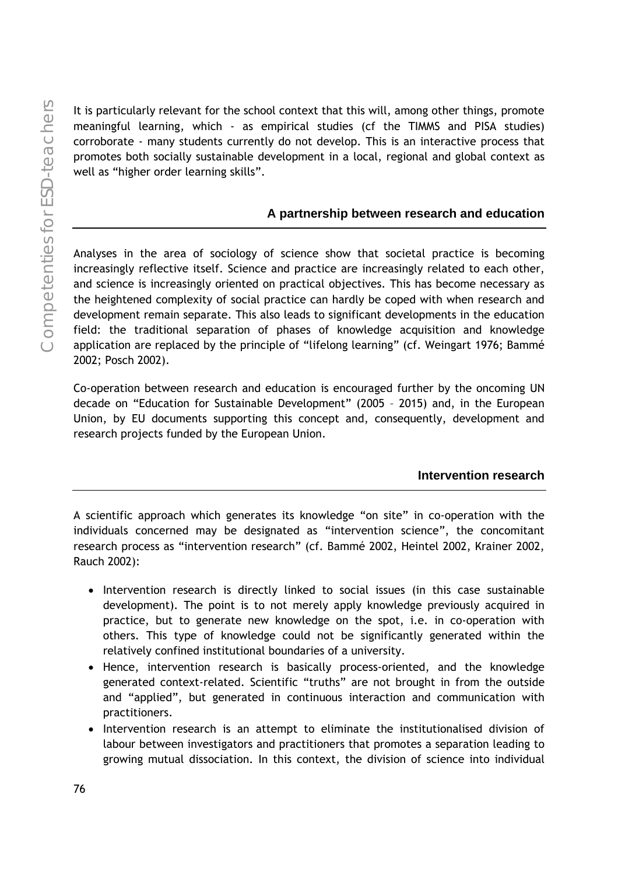It is particularly relevant for the school context that this will, among other things, promote meaningful learning, which - as empirical studies (cf the TIMMS and PISA studies) corroborate - many students currently do not develop. This is an interactive process that promotes both socially sustainable development in a local, regional and global context as well as "higher order learning skills".

### **A partnership between research and education**

Analyses in the area of sociology of science show that societal practice is becoming increasingly reflective itself. Science and practice are increasingly related to each other, and science is increasingly oriented on practical objectives. This has become necessary as the heightened complexity of social practice can hardly be coped with when research and development remain separate. This also leads to significant developments in the education field: the traditional separation of phases of knowledge acquisition and knowledge application are replaced by the principle of "lifelong learning" (cf. Weingart 1976; Bammé 2002; Posch 2002).

Co-operation between research and education is encouraged further by the oncoming UN decade on "Education for Sustainable Development" (2005 – 2015) and, in the European Union, by EU documents supporting this concept and, consequently, development and research projects funded by the European Union.

### **Intervention research**

A scientific approach which generates its knowledge "on site" in co-operation with the individuals concerned may be designated as "intervention science", the concomitant research process as "intervention research" (cf. Bammé 2002, Heintel 2002, Krainer 2002, Rauch 2002):

- Intervention research is directly linked to social issues (in this case sustainable development). The point is to not merely apply knowledge previously acquired in practice, but to generate new knowledge on the spot, i.e. in co-operation with others. This type of knowledge could not be significantly generated within the relatively confined institutional boundaries of a university.
- Hence, intervention research is basically process-oriented, and the knowledge generated context-related. Scientific "truths" are not brought in from the outside and "applied", but generated in continuous interaction and communication with practitioners.
- Intervention research is an attempt to eliminate the institutionalised division of labour between investigators and practitioners that promotes a separation leading to growing mutual dissociation. In this context, the division of science into individual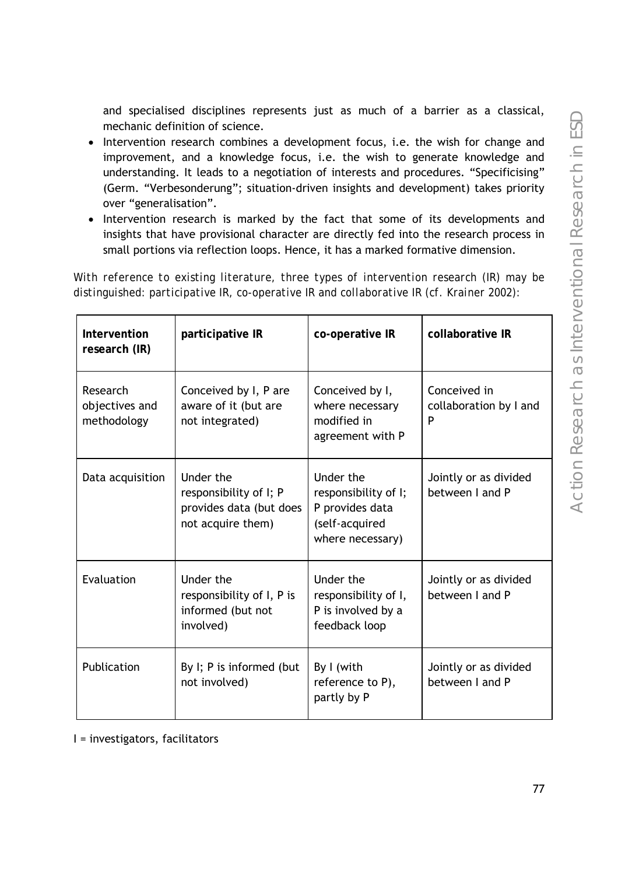and specialised disciplines represents just as much of a barrier as a classical, mechanic definition of science.

- Intervention research combines a development focus, i.e. the wish for change and improvement, and a knowledge focus, i.e. the wish to generate knowledge and understanding. It leads to a negotiation of interests and procedures. "Specificising" (Germ. "Verbesonderung"; situation-driven insights and development) takes priority over "generalisation".
- Intervention research is marked by the fact that some of its developments and insights that have provisional character are directly fed into the research process in small portions via reflection loops. Hence, it has a marked formative dimension.

*With reference to existing literature, three types of intervention research (IR) may be distinguished: participative IR, co-operative IR and collaborative IR (cf. Krainer 2002):* 

| Intervention<br>research (IR)             | participative IR                                                                    | co-operative IR                                                                            | collaborative IR                            |
|-------------------------------------------|-------------------------------------------------------------------------------------|--------------------------------------------------------------------------------------------|---------------------------------------------|
| Research<br>objectives and<br>methodology | Conceived by I, P are<br>aware of it (but are<br>not integrated)                    | Conceived by I,<br>where necessary<br>modified in<br>agreement with P                      | Conceived in<br>collaboration by I and<br>P |
| Data acquisition                          | Under the<br>responsibility of I; P<br>provides data (but does<br>not acquire them) | Under the<br>responsibility of I;<br>P provides data<br>(self-acquired<br>where necessary) | Jointly or as divided<br>between I and P    |
| Evaluation                                | Under the<br>responsibility of I, P is<br>informed (but not<br>involved)            | Under the<br>responsibility of I,<br>P is involved by a<br>feedback loop                   | Jointly or as divided<br>between I and P    |
| Publication                               | By I; P is informed (but<br>not involved)                                           | By I (with<br>reference to P),<br>partly by P                                              | Jointly or as divided<br>between I and P    |

I = investigators, facilitators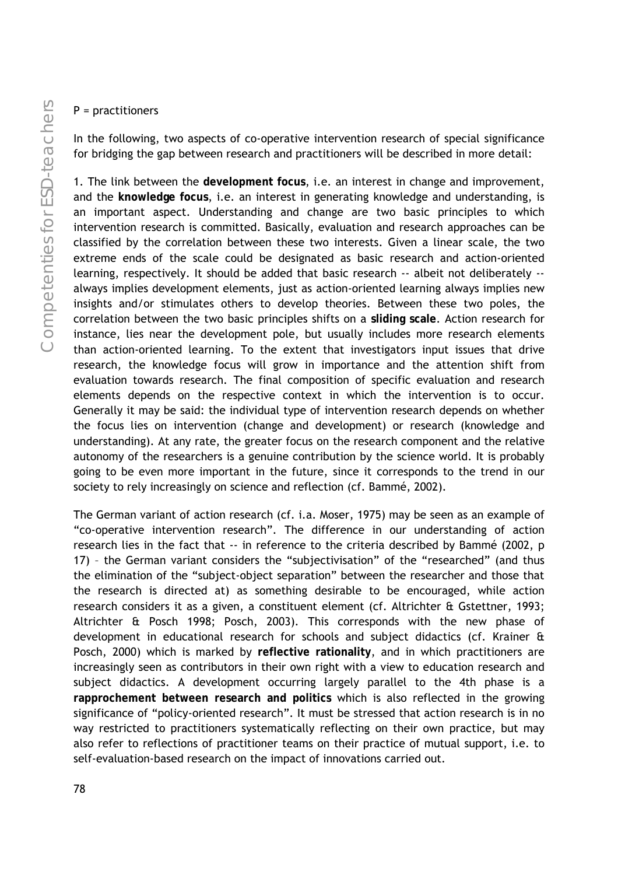### P = practitioners

In the following, two aspects of co-operative intervention research of special significance for bridging the gap between research and practitioners will be described in more detail:

1. The link between the **development focus**, i.e. an interest in change and improvement, and the **knowledge focus**, i.e. an interest in generating knowledge and understanding, is an important aspect. Understanding and change are two basic principles to which intervention research is committed. Basically, evaluation and research approaches can be classified by the correlation between these two interests. Given a linear scale, the two extreme ends of the scale could be designated as basic research and action-oriented learning, respectively. It should be added that basic research -- albeit not deliberately - always implies development elements, just as action-oriented learning always implies new insights and/or stimulates others to develop theories. Between these two poles, the correlation between the two basic principles shifts on a **sliding scale**. Action research for instance, lies near the development pole, but usually includes more research elements than action-oriented learning. To the extent that investigators input issues that drive research, the knowledge focus will grow in importance and the attention shift from evaluation towards research. The final composition of specific evaluation and research elements depends on the respective context in which the intervention is to occur. Generally it may be said: the individual type of intervention research depends on whether the focus lies on intervention (change and development) or research (knowledge and understanding). At any rate, the greater focus on the research component and the relative autonomy of the researchers is a genuine contribution by the science world. It is probably going to be even more important in the future, since it corresponds to the trend in our society to rely increasingly on science and reflection (cf. Bammé, 2002).

The German variant of action research (cf. i.a. Moser, 1975) may be seen as an example of "co-operative intervention research". The difference in our understanding of action research lies in the fact that -- in reference to the criteria described by Bammé (2002, p 17) – the German variant considers the "subjectivisation" of the "researched" (and thus the elimination of the "subject-object separation" between the researcher and those that the research is directed at) as something desirable to be encouraged, while action research considers it as a given, a constituent element (cf. Altrichter & Gstettner, 1993; Altrichter & Posch 1998; Posch, 2003). This corresponds with the new phase of development in educational research for schools and subject didactics (cf. Krainer & Posch, 2000) which is marked by **reflective rationality**, and in which practitioners are increasingly seen as contributors in their own right with a view to education research and subject didactics. A development occurring largely parallel to the 4th phase is a **rapprochement between research and politics** which is also reflected in the growing significance of "policy-oriented research". It must be stressed that action research is in no way restricted to practitioners systematically reflecting on their own practice, but may also refer to reflections of practitioner teams on their practice of mutual support, i.e. to self-evaluation-based research on the impact of innovations carried out.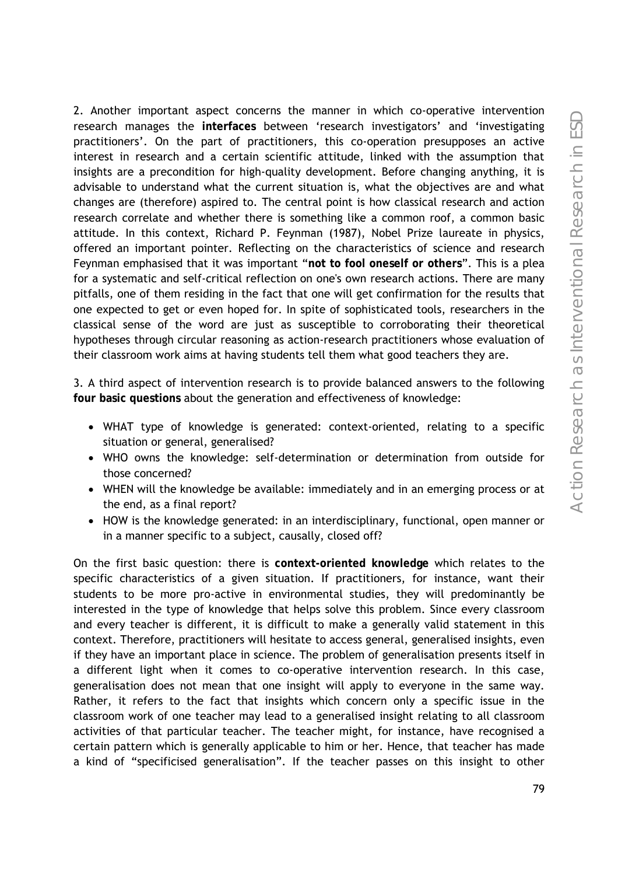2. Another important aspect concerns the manner in which co-operative intervention research manages the **interfaces** between 'research investigators' and 'investigating practitioners'. On the part of practitioners, this co-operation presupposes an active interest in research and a certain scientific attitude, linked with the assumption that insights are a precondition for high-quality development. Before changing anything, it is advisable to understand what the current situation is, what the objectives are and what changes are (therefore) aspired to. The central point is how classical research and action research correlate and whether there is something like a common roof, a common basic attitude. In this context, Richard P. Feynman (1987), Nobel Prize laureate in physics, offered an important pointer. Reflecting on the characteristics of science and research Feynman emphasised that it was important "**not to fool oneself or others**". This is a plea for a systematic and self-critical reflection on one's own research actions. There are many pitfalls, one of them residing in the fact that one will get confirmation for the results that one expected to get or even hoped for. In spite of sophisticated tools, researchers in the classical sense of the word are just as susceptible to corroborating their theoretical hypotheses through circular reasoning as action-research practitioners whose evaluation of their classroom work aims at having students tell them what good teachers they are.

3. A third aspect of intervention research is to provide balanced answers to the following **four basic questions** about the generation and effectiveness of knowledge:

- WHAT type of knowledge is generated: context-oriented, relating to a specific situation or general, generalised?
- WHO owns the knowledge: self-determination or determination from outside for those concerned?
- WHEN will the knowledge be available: immediately and in an emerging process or at the end, as a final report?
- HOW is the knowledge generated: in an interdisciplinary, functional, open manner or in a manner specific to a subject, causally, closed off?

On the first basic question: there is **context-oriented knowledge** which relates to the specific characteristics of a given situation. If practitioners, for instance, want their students to be more pro-active in environmental studies, they will predominantly be interested in the type of knowledge that helps solve this problem. Since every classroom and every teacher is different, it is difficult to make a generally valid statement in this context. Therefore, practitioners will hesitate to access general, generalised insights, even if they have an important place in science. The problem of generalisation presents itself in a different light when it comes to co-operative intervention research. In this case, generalisation does not mean that one insight will apply to everyone in the same way. Rather, it refers to the fact that insights which concern only a specific issue in the classroom work of one teacher may lead to a generalised insight relating to all classroom activities of that particular teacher. The teacher might, for instance, have recognised a certain pattern which is generally applicable to him or her. Hence, that teacher has made a kind of "specificised generalisation". If the teacher passes on this insight to other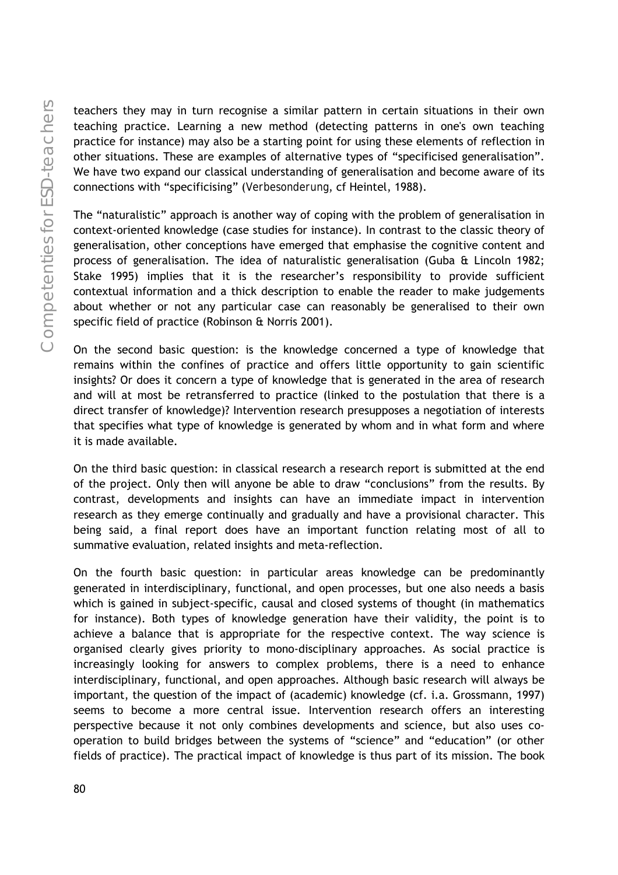teachers they may in turn recognise a similar pattern in certain situations in their own teaching practice. Learning a new method (detecting patterns in one's own teaching practice for instance) may also be a starting point for using these elements of reflection in other situations. These are examples of alternative types of "specificised generalisation". We have two expand our classical understanding of generalisation and become aware of its connections with "specificising" (*Verbesonderung*, cf Heintel, 1988).

The "naturalistic" approach is another way of coping with the problem of generalisation in context-oriented knowledge (case studies for instance). In contrast to the classic theory of generalisation, other conceptions have emerged that emphasise the cognitive content and process of generalisation. The idea of naturalistic generalisation (Guba & Lincoln 1982; Stake 1995) implies that it is the researcher's responsibility to provide sufficient contextual information and a thick description to enable the reader to make judgements about whether or not any particular case can reasonably be generalised to their own specific field of practice (Robinson & Norris 2001).

On the second basic question: is the knowledge concerned a type of knowledge that remains within the confines of practice and offers little opportunity to gain scientific insights? Or does it concern a type of knowledge that is generated in the area of research and will at most be retransferred to practice (linked to the postulation that there is a direct transfer of knowledge)? Intervention research presupposes a negotiation of interests that specifies what type of knowledge is generated by whom and in what form and where it is made available.

On the third basic question: in classical research a research report is submitted at the end of the project. Only then will anyone be able to draw "conclusions" from the results. By contrast, developments and insights can have an immediate impact in intervention research as they emerge continually and gradually and have a provisional character. This being said, a final report does have an important function relating most of all to summative evaluation, related insights and meta-reflection.

On the fourth basic question: in particular areas knowledge can be predominantly generated in interdisciplinary, functional, and open processes, but one also needs a basis which is gained in subject-specific, causal and closed systems of thought (in mathematics for instance). Both types of knowledge generation have their validity, the point is to achieve a balance that is appropriate for the respective context. The way science is organised clearly gives priority to mono-disciplinary approaches. As social practice is increasingly looking for answers to complex problems, there is a need to enhance interdisciplinary, functional, and open approaches. Although basic research will always be important, the question of the impact of (academic) knowledge (cf. i.a. Grossmann, 1997) seems to become a more central issue. Intervention research offers an interesting perspective because it not only combines developments and science, but also uses cooperation to build bridges between the systems of "science" and "education" (or other fields of practice). The practical impact of knowledge is thus part of its mission. The book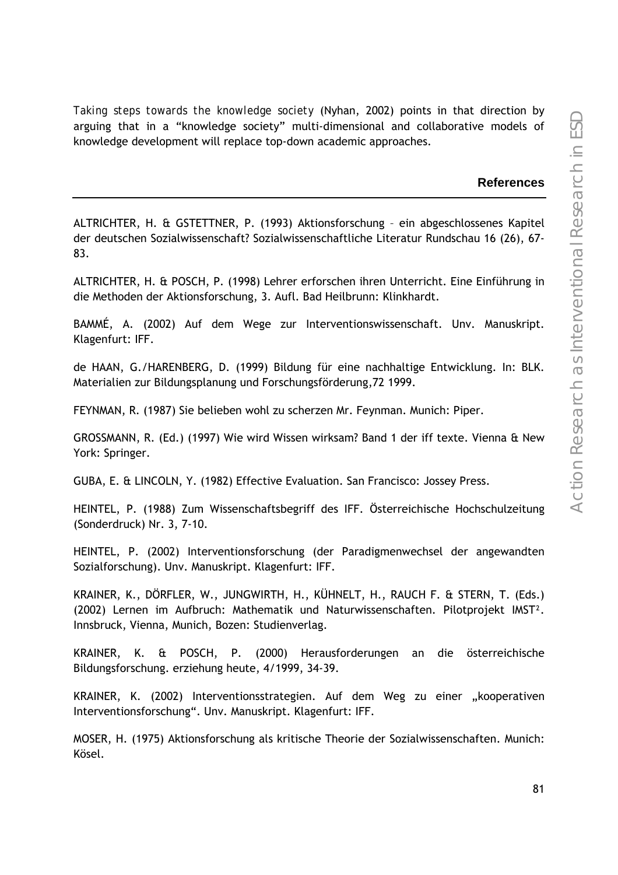*Taking steps towards the knowledge society* (Nyhan, 2002) points in that direction by arguing that in a "knowledge society" multi-dimensional and collaborative models of knowledge development will replace top-down academic approaches.

#### **References**

ALTRICHTER, H. & GSTETTNER, P. (1993) Aktionsforschung – ein abgeschlossenes Kapitel der deutschen Sozialwissenschaft? Sozialwissenschaftliche Literatur Rundschau 16 (26), 67- 83.

ALTRICHTER, H. & POSCH, P. (1998) Lehrer erforschen ihren Unterricht. Eine Einführung in die Methoden der Aktionsforschung, 3. Aufl. Bad Heilbrunn: Klinkhardt.

BAMMÉ, A. (2002) Auf dem Wege zur Interventionswissenschaft. Unv. Manuskript. Klagenfurt: IFF.

de HAAN, G./HARENBERG, D. (1999) Bildung für eine nachhaltige Entwicklung. In: BLK. Materialien zur Bildungsplanung und Forschungsförderung,72 1999.

FEYNMAN, R. (1987) Sie belieben wohl zu scherzen Mr. Feynman. Munich: Piper.

GROSSMANN, R. (Ed.) (1997) Wie wird Wissen wirksam? Band 1 der iff texte. Vienna & New York: Springer.

GUBA, E. & LINCOLN, Y. (1982) Effective Evaluation. San Francisco: Jossey Press.

HEINTEL, P. (1988) Zum Wissenschaftsbegriff des IFF. Österreichische Hochschulzeitung (Sonderdruck) Nr. 3, 7-10.

HEINTEL, P. (2002) Interventionsforschung (der Paradigmenwechsel der angewandten Sozialforschung). Unv. Manuskript. Klagenfurt: IFF.

KRAINER, K., DÖRFLER, W., JUNGWIRTH, H., KÜHNELT, H., RAUCH F. & STERN, T. (Eds.) (2002) Lernen im Aufbruch: Mathematik und Naturwissenschaften. Pilotprojekt IMST². Innsbruck, Vienna, Munich, Bozen: Studienverlag.

KRAINER, K. & POSCH, P. (2000) Herausforderungen an die österreichische Bildungsforschung. erziehung heute, 4/1999, 34-39.

KRAINER, K. (2002) Interventionsstrategien. Auf dem Weg zu einer "kooperativen Interventionsforschung". Unv. Manuskript. Klagenfurt: IFF.

MOSER, H. (1975) Aktionsforschung als kritische Theorie der Sozialwissenschaften. Munich: Kösel.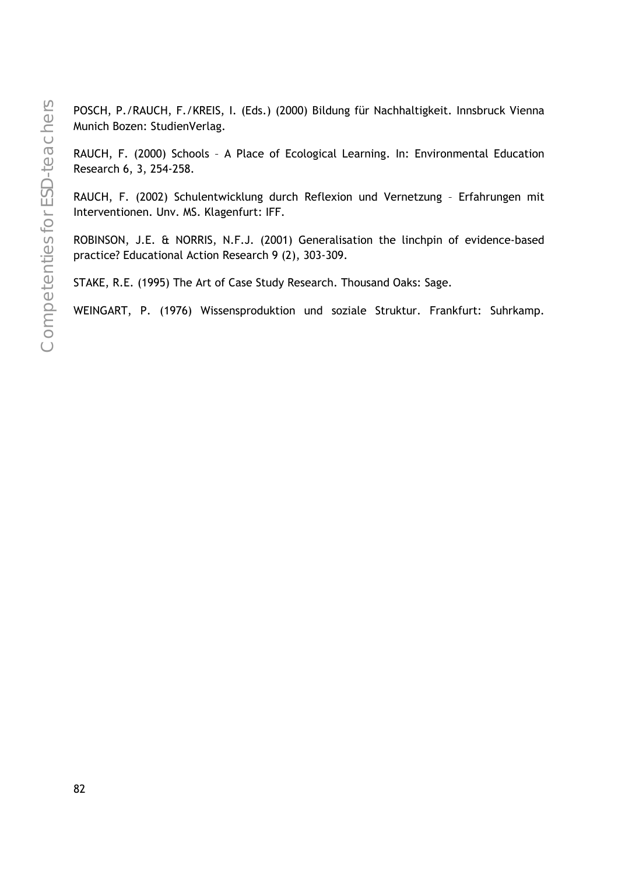POSCH, P./RAUCH, F./KREIS, I. (Eds.) (2000) Bildung für Nachhaltigkeit. Innsbruck Vienna Munich Bozen: StudienVerlag.

RAUCH, F. (2000) Schools – A Place of Ecological Learning. In: Environmental Education Research 6, 3, 254-258.

RAUCH, F. (2002) Schulentwicklung durch Reflexion und Vernetzung – Erfahrungen mit Interventionen. Unv. MS. Klagenfurt: IFF.

ROBINSON, J.E. & NORRIS, N.F.J. (2001) Generalisation the linchpin of evidence-based practice? Educational Action Research 9 (2), 303-309.

STAKE, R.E. (1995) The Art of Case Study Research. Thousand Oaks: Sage.

WEINGART, P. (1976) Wissensproduktion und soziale Struktur. Frankfurt: Suhrkamp.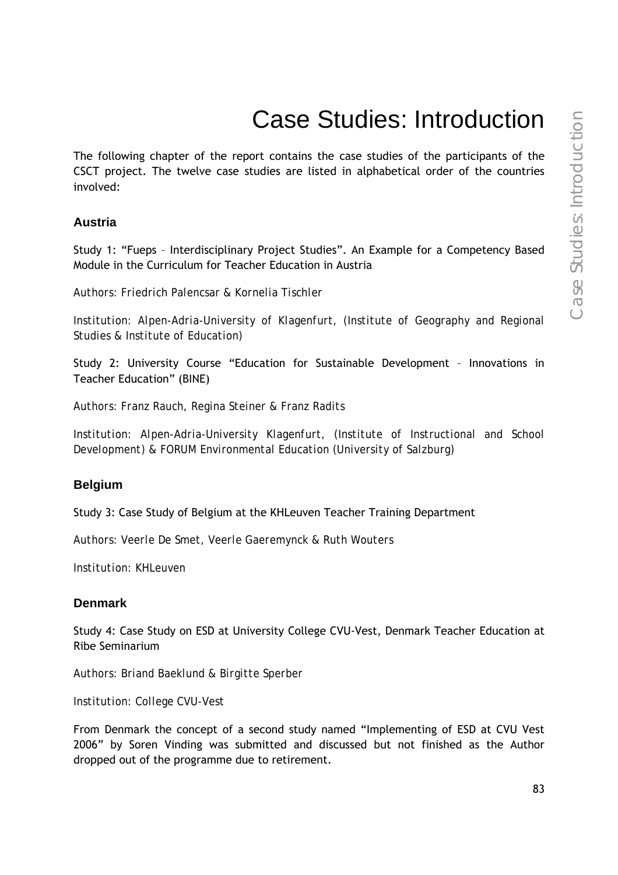# Case Studies: Introduction

The following chapter of the report contains the case studies of the participants of the CSCT project. The twelve case studies are listed in alphabetical order of the countries involved:

### **Austria**

Study 1: "Fueps – Interdisciplinary Project Studies". An Example for a Competency Based Module in the Curriculum for Teacher Education in Austria

*Authors: Friedrich Palencsar & Kornelia Tischler* 

*Institution: Alpen-Adria-University of Klagenfurt, (Institute of Geography and Regional Studies & Institute of Education)* 

Study 2: University Course "Education for Sustainable Development – Innovations in Teacher Education" (BINE)

*Authors: Franz Rauch, Regina Steiner & Franz Radits* 

*Institution: Alpen-Adria-University Klagenfurt, (Institute of Instructional and School Development) & FORUM Environmental Education (University of Salzburg)* 

### **Belgium**

Study 3: Case Study of Belgium at the KHLeuven Teacher Training Department

*Authors: Veerle De Smet, Veerle Gaeremynck & Ruth Wouters* 

*Institution: KHLeuven* 

### **Denmark**

Study 4: Case Study on ESD at University College CVU-Vest, Denmark Teacher Education at Ribe Seminarium

*Authors: Briand Baeklund & Birgitte Sperber* 

*Institution: College CVU-Vest* 

From Denmark the concept of a second study named "Implementing of ESD at CVU Vest 2006" by Soren Vinding was submitted and discussed but not finished as the Author dropped out of the programme due to retirement.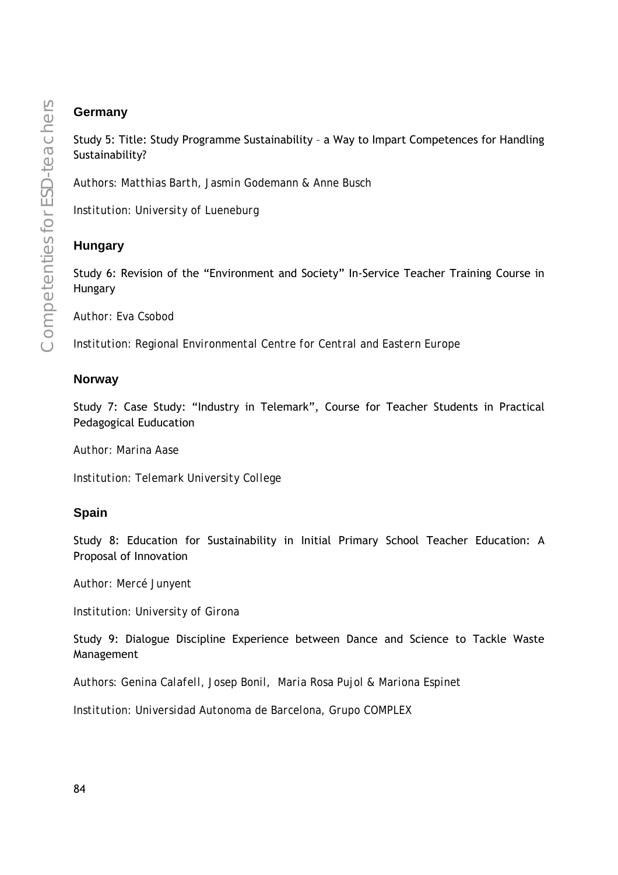# **Germany**

Study 5: Title: Study Programme Sustainability – a Way to Impart Competences for Handling Sustainability?

*Authors: Matthias Barth, Jasmin Godemann & Anne Busch* 

*Institution: University of Lueneburg* 

# **Hungary**

Study 6: Revision of the "Environment and Society" In-Service Teacher Training Course in Hungary

*Author: Eva Csobod* 

*Institution: Regional Environmental Centre for Central and Eastern Europe* 

### **Norway**

Study 7: Case Study: "Industry in Telemark", Course for Teacher Students in Practical Pedagogical Euducation

*Author: Marina Aase* 

*Institution: Telemark University College* 

### **Spain**

Study 8: Education for Sustainability in Initial Primary School Teacher Education: A Proposal of Innovation

*Author: Mercé Junyent* 

*Institution: University of Girona* 

Study 9: Dialogue Discipline Experience between Dance and Science to Tackle Waste Management

*Authors: Genina Calafell, Josep Bonil, Maria Rosa Pujol & Mariona Espinet* 

*Institution: Universidad Autonoma de Barcelona, Grupo COMPLEX*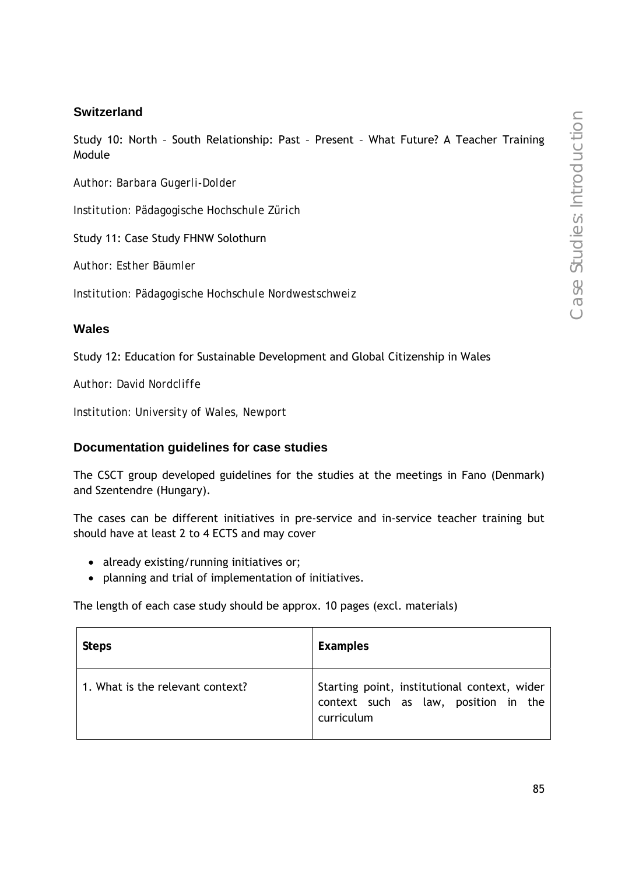# **Switzerland**

Study 10: North – South Relationship: Past – Present – What Future? A Teacher Training Module

*Author: Barbara Gugerli-Dolder* 

*Institution: Pädagogische Hochschule Zürich* 

Study 11: Case Study FHNW Solothurn

*Author: Esther Bäumler* 

*Institution: Pädagogische Hochschule Nordwestschweiz* 

### **Wales**

Study 12: Education for Sustainable Development and Global Citizenship in Wales

*Author: David Nordcliffe* 

*Institution: University of Wales, Newport* 

### **Documentation guidelines for case studies**

The CSCT group developed guidelines for the studies at the meetings in Fano (Denmark) and Szentendre (Hungary).

The cases can be different initiatives in pre-service and in-service teacher training but should have at least 2 to 4 ECTS and may cover

- already existing/running initiatives or;
- planning and trial of implementation of initiatives.

The length of each case study should be approx. 10 pages (excl. materials)

| <b>Steps</b>                     | Examples                                                                                           |
|----------------------------------|----------------------------------------------------------------------------------------------------|
| 1. What is the relevant context? | Starting point, institutional context, wider<br>context such as law, position in the<br>curriculum |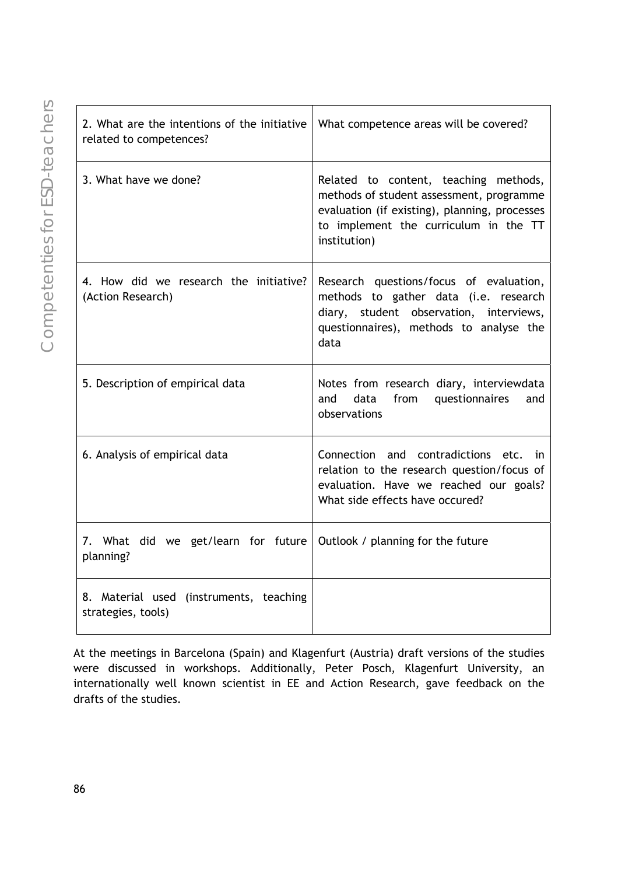| 2. What are the intentions of the initiative<br>related to competences? | What competence areas will be covered?                                                                                                                                                      |
|-------------------------------------------------------------------------|---------------------------------------------------------------------------------------------------------------------------------------------------------------------------------------------|
| 3. What have we done?                                                   | Related to content, teaching methods,<br>methods of student assessment, programme<br>evaluation (if existing), planning, processes<br>to implement the curriculum in the TT<br>institution) |
| 4. How did we research the initiative?<br>(Action Research)             | Research questions/focus of evaluation,<br>methods to gather data (i.e. research<br>diary, student observation, interviews,<br>questionnaires), methods to analyse the<br>data              |
| 5. Description of empirical data                                        | Notes from research diary, interviewdata<br>from<br>and<br>data<br>questionnaires<br>and<br>observations                                                                                    |
| 6. Analysis of empirical data                                           | Connection and contradictions etc.<br>in.<br>relation to the research question/focus of<br>evaluation. Have we reached our goals?<br>What side effects have occured?                        |
| 7. What did we get/learn for future<br>planning?                        | Outlook / planning for the future                                                                                                                                                           |
| 8. Material used (instruments, teaching<br>strategies, tools)           |                                                                                                                                                                                             |

At the meetings in Barcelona (Spain) and Klagenfurt (Austria) draft versions of the studies were discussed in workshops. Additionally, Peter Posch, Klagenfurt University, an internationally well known scientist in EE and Action Research, gave feedback on the drafts of the studies.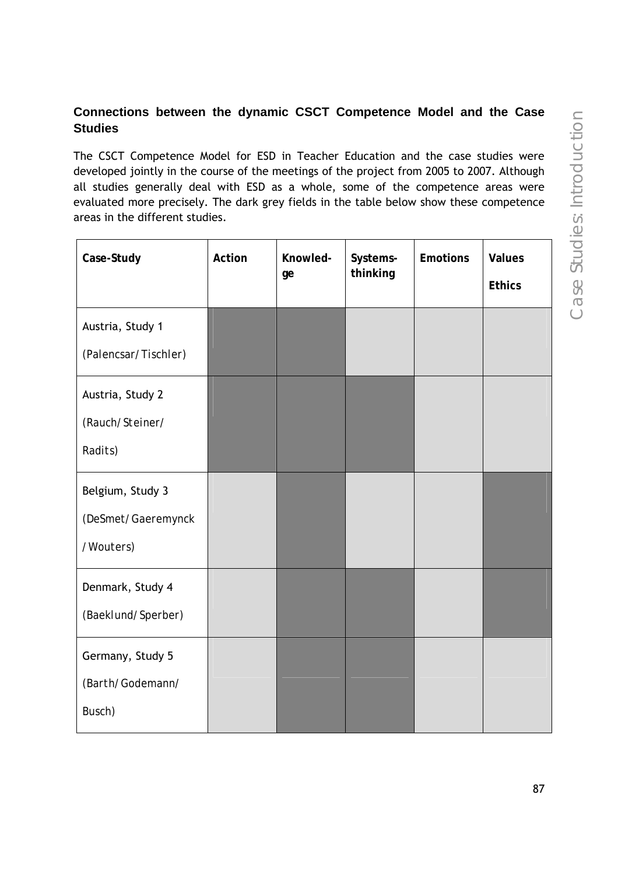# **Connections between the dynamic CSCT Competence Model and the Case Studies**

The CSCT Competence Model for ESD in Teacher Education and the case studies were developed jointly in the course of the meetings of the project from 2005 to 2007. Although all studies generally deal with ESD as a whole, some of the competence areas were evaluated more precisely. The dark grey fields in the table below show these competence areas in the different studies.

| Case-Study                                          | Action | Knowled-<br>ge | Systems-<br>thinking | <b>Emotions</b> | <b>Values</b><br><b>Ethics</b> |
|-----------------------------------------------------|--------|----------------|----------------------|-----------------|--------------------------------|
| Austria, Study 1<br>(Palencsar/Tischler)            |        |                |                      |                 |                                |
| Austria, Study 2<br>(Rauch/Steiner/<br>Radits)      |        |                |                      |                 |                                |
| Belgium, Study 3<br>(DeSmet/Gaeremynck<br>/Wouters) |        |                |                      |                 |                                |
| Denmark, Study 4<br>(Baeklund/Sperber)              |        |                |                      |                 |                                |
| Germany, Study 5<br>(Barth/Godemann/<br>Busch)      |        |                |                      |                 |                                |